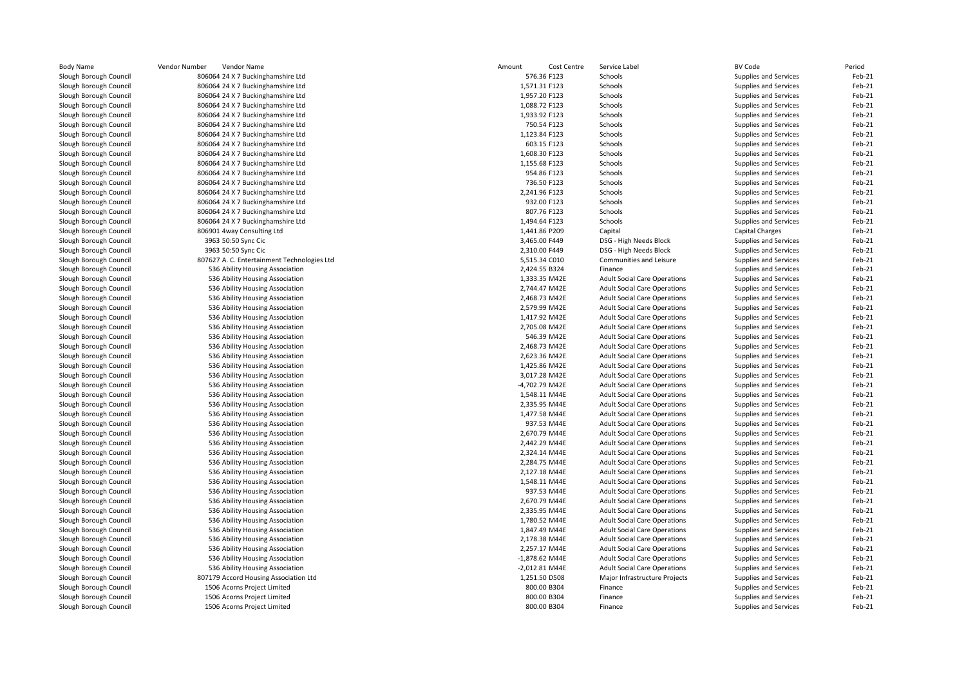| <b>Body Name</b>                                 | Vendor Number<br>Vendor Name                                       | Amount<br>Cost Centre        | Service Label                                                              | <b>BV Code</b>                                 | Period           |
|--------------------------------------------------|--------------------------------------------------------------------|------------------------------|----------------------------------------------------------------------------|------------------------------------------------|------------------|
| Slough Borough Council                           | 806064 24 X 7 Buckinghamshire Ltd                                  | 576.36 F123                  | Schools                                                                    | Supplies and Services                          | Feb-21           |
| Slough Borough Council                           | 806064 24 X 7 Buckinghamshire Ltd                                  | 1,571.31 F123                | Schools                                                                    | Supplies and Services                          | Feb-21           |
| Slough Borough Council                           | 806064 24 X 7 Buckinghamshire Ltd                                  | 1,957.20 F123                | Schools                                                                    | Supplies and Services                          | Feb-21           |
| Slough Borough Council                           | 806064 24 X 7 Buckinghamshire Ltd                                  | 1,088.72 F123                | Schools                                                                    | Supplies and Services                          | Feb-21           |
| Slough Borough Council                           | 806064 24 X 7 Buckinghamshire Ltd                                  | 1,933.92 F123                | Schools                                                                    | Supplies and Services                          | Feb-21           |
| Slough Borough Council                           | 806064 24 X 7 Buckinghamshire Ltd                                  | 750.54 F123                  | Schools                                                                    | Supplies and Services                          | Feb-21           |
| Slough Borough Council                           | 806064 24 X 7 Buckinghamshire Ltd                                  | 1,123.84 F123                | Schools                                                                    | Supplies and Services                          | Feb-21           |
| Slough Borough Council                           | 806064 24 X 7 Buckinghamshire Ltd                                  | 603.15 F123                  | Schools                                                                    | Supplies and Services                          | Feb-21           |
| Slough Borough Council                           | 806064 24 X 7 Buckinghamshire Ltd                                  | 1,608.30 F123                | Schools                                                                    | Supplies and Services                          | Feb-21           |
| Slough Borough Council                           | 806064 24 X 7 Buckinghamshire Ltd                                  | 1,155.68 F123                | Schools                                                                    | Supplies and Services                          | Feb-21           |
| Slough Borough Council                           | 806064 24 X 7 Buckinghamshire Ltd                                  | 954.86 F123                  | Schools                                                                    | Supplies and Services                          | Feb-21           |
| Slough Borough Council                           | 806064 24 X 7 Buckinghamshire Ltd                                  | 736.50 F123                  | Schools                                                                    | Supplies and Services                          | Feb-21           |
| Slough Borough Council                           | 806064 24 X 7 Buckinghamshire Ltd                                  | 2,241.96 F123                | Schools                                                                    | Supplies and Services                          | Feb-21           |
| Slough Borough Council                           | 806064 24 X 7 Buckinghamshire Ltd                                  | 932.00 F123                  | Schools                                                                    | Supplies and Services                          | Feb-21           |
| Slough Borough Council                           | 806064 24 X 7 Buckinghamshire Ltd                                  | 807.76 F123                  | Schools                                                                    | Supplies and Services                          | Feb-21           |
| Slough Borough Council                           | 806064 24 X 7 Buckinghamshire Ltd                                  | 1,494.64 F123                | Schools                                                                    | Supplies and Services                          | Feb-21           |
| Slough Borough Council                           | 806901 4way Consulting Ltd                                         | 1,441.86 P209                | Capital                                                                    | Capital Charges                                | Feb-21           |
| Slough Borough Council                           | 3963 50:50 Sync Cic                                                | 3,465.00 F449                | DSG - High Needs Block                                                     | Supplies and Services                          | Feb-21           |
| Slough Borough Council                           | 3963 50:50 Sync Cic                                                | 2,310.00 F449                | DSG - High Needs Block                                                     | Supplies and Services                          | Feb-21           |
| Slough Borough Council                           | 807627 A. C. Entertainment Technologies Ltd                        | 5,515.34 C010                | Communities and Leisure                                                    | Supplies and Services                          | Feb-21           |
| Slough Borough Council                           | 536 Ability Housing Association                                    | 2,424.55 B324                | Finance                                                                    | Supplies and Services                          | Feb-21           |
| Slough Borough Council                           | 536 Ability Housing Association                                    | 1,333.35 M42E                | <b>Adult Social Care Operations</b>                                        | Supplies and Services                          | Feb-21           |
| Slough Borough Council                           | 536 Ability Housing Association                                    | 2,744.47 M42E                | <b>Adult Social Care Operations</b>                                        | Supplies and Services                          | Feb-21           |
| Slough Borough Council                           | 536 Ability Housing Association                                    | 2,468.73 M42E                | <b>Adult Social Care Operations</b>                                        | <b>Supplies and Services</b>                   | Feb-21           |
| Slough Borough Council                           | 536 Ability Housing Association                                    | 2,579.99 M42E                | <b>Adult Social Care Operations</b>                                        | <b>Supplies and Services</b>                   | Feb-21           |
| Slough Borough Council                           | 536 Ability Housing Association                                    | 1,417.92 M42E                | <b>Adult Social Care Operations</b>                                        | Supplies and Services                          | Feb-21           |
| Slough Borough Council                           | 536 Ability Housing Association                                    | 2,705.08 M42E                | <b>Adult Social Care Operations</b>                                        | Supplies and Services                          | Feb-21           |
| Slough Borough Council                           | 536 Ability Housing Association                                    | 546.39 M42E                  | <b>Adult Social Care Operations</b>                                        | Supplies and Services                          | Feb-21           |
| Slough Borough Council                           | 536 Ability Housing Association                                    | 2,468.73 M42E                | <b>Adult Social Care Operations</b>                                        | Supplies and Services                          | Feb-21           |
| Slough Borough Council                           | 536 Ability Housing Association                                    | 2,623.36 M42E                | <b>Adult Social Care Operations</b>                                        | Supplies and Services                          | Feb-21           |
| Slough Borough Council                           | 536 Ability Housing Association                                    | 1,425.86 M42E                | <b>Adult Social Care Operations</b>                                        | Supplies and Services                          | Feb-21           |
| Slough Borough Council                           | 536 Ability Housing Association                                    | 3,017.28 M42E                | <b>Adult Social Care Operations</b>                                        | Supplies and Services                          | Feb-21           |
| Slough Borough Council                           | 536 Ability Housing Association                                    | -4,702.79 M42E               | <b>Adult Social Care Operations</b>                                        | Supplies and Services                          | Feb-21           |
| Slough Borough Council                           | 536 Ability Housing Association                                    | 1,548.11 M44E                | <b>Adult Social Care Operations</b>                                        | Supplies and Services                          | Feb-21           |
| Slough Borough Council                           | 536 Ability Housing Association                                    | 2,335.95 M44E                | <b>Adult Social Care Operations</b>                                        | Supplies and Services                          | Feb-21           |
| Slough Borough Council<br>Slough Borough Council | 536 Ability Housing Association                                    | 1,477.58 M44E<br>937.53 M44E | <b>Adult Social Care Operations</b>                                        | Supplies and Services                          | Feb-21<br>Feb-21 |
|                                                  | 536 Ability Housing Association                                    | 2,670.79 M44E                | <b>Adult Social Care Operations</b>                                        | Supplies and Services                          | Feb-21           |
| Slough Borough Council<br>Slough Borough Council | 536 Ability Housing Association<br>536 Ability Housing Association | 2,442.29 M44E                | <b>Adult Social Care Operations</b><br><b>Adult Social Care Operations</b> | Supplies and Services<br>Supplies and Services | Feb-21           |
| Slough Borough Council                           | 536 Ability Housing Association                                    | 2,324.14 M44E                | <b>Adult Social Care Operations</b>                                        | Supplies and Services                          | Feb-21           |
| Slough Borough Council                           | 536 Ability Housing Association                                    | 2,284.75 M44E                | <b>Adult Social Care Operations</b>                                        | Supplies and Services                          | Feb-21           |
| Slough Borough Council                           | 536 Ability Housing Association                                    | 2,127.18 M44E                | <b>Adult Social Care Operations</b>                                        | Supplies and Services                          | Feb-21           |
| Slough Borough Council                           | 536 Ability Housing Association                                    | 1,548.11 M44E                | <b>Adult Social Care Operations</b>                                        | Supplies and Services                          | Feb-21           |
| Slough Borough Council                           | 536 Ability Housing Association                                    | 937.53 M44E                  | <b>Adult Social Care Operations</b>                                        | Supplies and Services                          | Feb-21           |
| Slough Borough Council                           | 536 Ability Housing Association                                    | 2,670.79 M44E                | <b>Adult Social Care Operations</b>                                        | Supplies and Services                          | Feb-21           |
| Slough Borough Council                           | 536 Ability Housing Association                                    | 2,335.95 M44E                | <b>Adult Social Care Operations</b>                                        | Supplies and Services                          | Feb-21           |
| Slough Borough Council                           | 536 Ability Housing Association                                    | 1,780.52 M44E                | <b>Adult Social Care Operations</b>                                        | Supplies and Services                          | Feb-21           |
| Slough Borough Council                           | 536 Ability Housing Association                                    | 1,847.49 M44E                | <b>Adult Social Care Operations</b>                                        | Supplies and Services                          | Feb-21           |
| Slough Borough Council                           | 536 Ability Housing Association                                    | 2,178.38 M44E                | <b>Adult Social Care Operations</b>                                        | Supplies and Services                          | Feb-21           |
| Slough Borough Council                           | 536 Ability Housing Association                                    | 2,257.17 M44E                | <b>Adult Social Care Operations</b>                                        | Supplies and Services                          | Feb-21           |
| Slough Borough Council                           | 536 Ability Housing Association                                    | $-1,878.62$ M44E             | <b>Adult Social Care Operations</b>                                        | Supplies and Services                          | Feb-21           |
| Slough Borough Council                           | 536 Ability Housing Association                                    | -2,012.81 M44E               | <b>Adult Social Care Operations</b>                                        | Supplies and Services                          | Feb-21           |
| Slough Borough Council                           | 807179 Accord Housing Association Ltd                              | 1,251.50 D508                | Major Infrastructure Projects                                              | Supplies and Services                          | Feb-21           |
| Slough Borough Council                           | 1506 Acorns Project Limited                                        | 800.00 B304                  | Finance                                                                    | Supplies and Services                          | Feb-21           |
| Slough Borough Council                           | 1506 Acorns Project Limited                                        | 800.00 B304                  | Finance                                                                    | Supplies and Services                          | Feb-21           |
| Slough Borough Council                           | 1506 Acorns Project Limited                                        | 800.00 B304                  | Finance                                                                    | Supplies and Services                          | Feb-21           |
|                                                  |                                                                    |                              |                                                                            |                                                |                  |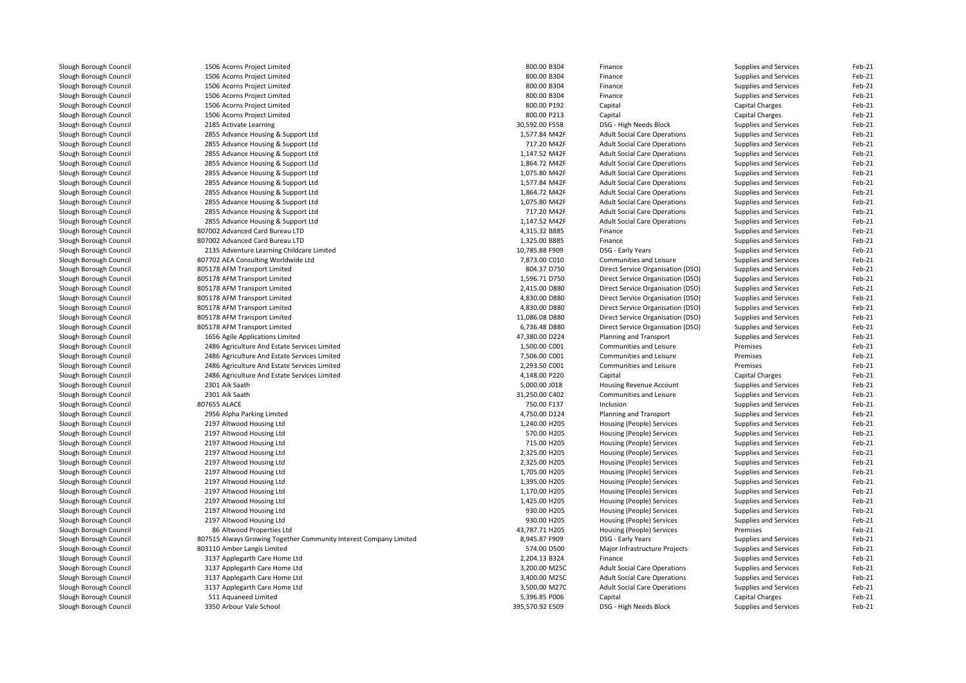| Slough Borough Council | 1506 Acorns Project Limited                                       | 800.00 B304     | Finance                             | Supplies and Services  | Feb-21 |
|------------------------|-------------------------------------------------------------------|-----------------|-------------------------------------|------------------------|--------|
| Slough Borough Council | 1506 Acorns Project Limited                                       | 800.00 B304     | Finance                             | Supplies and Services  | Feb-21 |
| Slough Borough Council | 1506 Acorns Project Limited                                       | 800.00 B304     | Finance                             | Supplies and Services  | Feb-21 |
| Slough Borough Council | 1506 Acorns Project Limited                                       | 800.00 B304     | Finance                             | Supplies and Services  | Feb-21 |
| Slough Borough Council | 1506 Acorns Project Limited                                       | 800.00 P192     | Capital                             | <b>Capital Charges</b> | Feb-21 |
| Slough Borough Council | 1506 Acorns Project Limited                                       | 800.00 P213     | Capital                             | Capital Charges        | Feb-21 |
| Slough Borough Council | 2185 Activate Learning                                            | 30,592.00 F558  | DSG - High Needs Block              | Supplies and Services  | Feb-21 |
| Slough Borough Council | 2855 Advance Housing & Support Ltd                                | 1,577.84 M42F   | <b>Adult Social Care Operations</b> | Supplies and Services  | Feb-21 |
| Slough Borough Council | 2855 Advance Housing & Support Ltd                                | 717.20 M42F     | <b>Adult Social Care Operations</b> | Supplies and Services  | Feb-21 |
| Slough Borough Council | 2855 Advance Housing & Support Ltd                                | 1,147.52 M42F   | <b>Adult Social Care Operations</b> | Supplies and Services  | Feb-21 |
| Slough Borough Council | 2855 Advance Housing & Support Ltd                                | 1,864.72 M42F   | <b>Adult Social Care Operations</b> | Supplies and Services  | Feb-21 |
| Slough Borough Council | 2855 Advance Housing & Support Ltd                                | 1,075.80 M42F   | <b>Adult Social Care Operations</b> | Supplies and Services  | Feb-21 |
| Slough Borough Council | 2855 Advance Housing & Support Ltd                                | 1,577.84 M42F   | <b>Adult Social Care Operations</b> | Supplies and Services  | Feb-21 |
| Slough Borough Council | 2855 Advance Housing & Support Ltd                                | 1,864.72 M42F   | <b>Adult Social Care Operations</b> | Supplies and Services  | Feb-21 |
| Slough Borough Council | 2855 Advance Housing & Support Ltd                                | 1,075.80 M42F   | <b>Adult Social Care Operations</b> | Supplies and Services  | Feb-21 |
| Slough Borough Council | 2855 Advance Housing & Support Ltd                                | 717.20 M42F     | <b>Adult Social Care Operations</b> | Supplies and Services  | Feb-21 |
| Slough Borough Council | 2855 Advance Housing & Support Ltd                                | 1,147.52 M42F   | <b>Adult Social Care Operations</b> | Supplies and Services  | Feb-21 |
| Slough Borough Council | 807002 Advanced Card Bureau LTD                                   | 4,315.32 B885   | Finance                             | Supplies and Services  | Feb-21 |
| Slough Borough Council | 807002 Advanced Card Bureau LTD                                   | 1,325.00 B885   | Finance                             | Supplies and Services  | Feb-21 |
| Slough Borough Council | 2135 Adventure Learning Childcare Limited                         | 10,785.88 F909  | DSG - Early Years                   | Supplies and Services  | Feb-21 |
| Slough Borough Council | 807702 AEA Consulting Worldwide Ltd                               | 7,873.00 C010   | Communities and Leisure             | Supplies and Services  | Feb-21 |
| Slough Borough Council | 805178 AFM Transport Limited                                      | 804.37 D750     | Direct Service Organisation (DSO)   | Supplies and Services  | Feb-21 |
| Slough Borough Council | 805178 AFM Transport Limited                                      | 1,596.71 D750   | Direct Service Organisation (DSO)   | Supplies and Services  | Feb-21 |
| Slough Borough Council | 805178 AFM Transport Limited                                      | 2,415.00 D880   | Direct Service Organisation (DSO)   |                        | Feb-21 |
|                        |                                                                   |                 |                                     | Supplies and Services  | Feb-21 |
| Slough Borough Council | 805178 AFM Transport Limited                                      | 4,830.00 D880   | Direct Service Organisation (DSO)   | Supplies and Services  |        |
| Slough Borough Council | 805178 AFM Transport Limited                                      | 4,830.00 D880   | Direct Service Organisation (DSO)   | Supplies and Services  | Feb-21 |
| Slough Borough Council | 805178 AFM Transport Limited                                      | 11,086.08 D880  | Direct Service Organisation (DSO)   | Supplies and Services  | Feb-21 |
| Slough Borough Council | 805178 AFM Transport Limited                                      | 6,736.48 D880   | Direct Service Organisation (DSO)   | Supplies and Services  | Feb-21 |
| Slough Borough Council | 1656 Agile Applications Limited                                   | 47,380.00 D224  | Planning and Transport              | Supplies and Services  | Feb-21 |
| Slough Borough Council | 2486 Agriculture And Estate Services Limited                      | 1,500.00 C001   | Communities and Leisure             | Premises               | Feb-21 |
| Slough Borough Council | 2486 Agriculture And Estate Services Limited                      | 7,506.00 C001   | Communities and Leisure             | Premises               | Feb-21 |
| Slough Borough Council | 2486 Agriculture And Estate Services Limited                      | 2,293.50 C001   | Communities and Leisure             | Premises               | Feb-21 |
| Slough Borough Council | 2486 Agriculture And Estate Services Limited                      | 4,148.00 P220   | Capital                             | <b>Capital Charges</b> | Feb-21 |
| Slough Borough Council | 2301 Aik Saath                                                    | 5,000.00 J018   | Housing Revenue Account             | Supplies and Services  | Feb-21 |
| Slough Borough Council | 2301 Aik Saath                                                    | 31,250.00 C402  | Communities and Leisure             | Supplies and Services  | Feb-21 |
| Slough Borough Council | 807655 ALACE                                                      | 750.00 F137     | Inclusion                           | Supplies and Services  | Feb-21 |
| Slough Borough Council | 2956 Alpha Parking Limited                                        | 4,750.00 D124   | Planning and Transport              | Supplies and Services  | Feb-21 |
| Slough Borough Council | 2197 Altwood Housing Ltd                                          | 1,240.00 H205   | Housing (People) Services           | Supplies and Services  | Feb-21 |
| Slough Borough Council | 2197 Altwood Housing Ltd                                          | 570.00 H205     | Housing (People) Services           | Supplies and Services  | Feb-21 |
| Slough Borough Council | 2197 Altwood Housing Ltd                                          | 715.00 H205     | Housing (People) Services           | Supplies and Services  | Feb-21 |
| Slough Borough Council | 2197 Altwood Housing Ltd                                          | 2,325.00 H205   | Housing (People) Services           | Supplies and Services  | Feb-21 |
| Slough Borough Council | 2197 Altwood Housing Ltd                                          | 2,325.00 H205   | Housing (People) Services           | Supplies and Services  | Feb-21 |
| Slough Borough Council | 2197 Altwood Housing Ltd                                          | 1,705.00 H205   | Housing (People) Services           | Supplies and Services  | Feb-21 |
| Slough Borough Council | 2197 Altwood Housing Ltd                                          | 1,395.00 H205   | Housing (People) Services           | Supplies and Services  | Feb-21 |
| Slough Borough Council | 2197 Altwood Housing Ltd                                          | 1,170.00 H205   | Housing (People) Services           | Supplies and Services  | Feb-21 |
| Slough Borough Council | 2197 Altwood Housing Ltd                                          | 1,425.00 H205   | Housing (People) Services           | Supplies and Services  | Feb-21 |
| Slough Borough Council | 2197 Altwood Housing Ltd                                          | 930.00 H205     | Housing (People) Services           | Supplies and Services  | Feb-21 |
| Slough Borough Council | 2197 Altwood Housing Ltd                                          | 930.00 H205     | Housing (People) Services           | Supplies and Services  | Feb-21 |
| Slough Borough Council | 86 Altwood Properties Ltd                                         | 43,787.71 H205  | Housing (People) Services           | Premises               | Feb-21 |
| Slough Borough Council | 807515 Always Growing Together Community Interest Company Limited | 8,945.87 F909   | DSG - Early Years                   | Supplies and Services  | Feb-21 |
| Slough Borough Council | 803110 Amber Langis Limited                                       | 574.00 D500     | Major Infrastructure Projects       | Supplies and Services  | Feb-21 |
| Slough Borough Council | 3137 Applegarth Care Home Ltd                                     | 2,204.13 B324   | Finance                             | Supplies and Services  | Feb-21 |
| Slough Borough Council | 3137 Applegarth Care Home Ltd                                     | 3,200.00 M25C   | <b>Adult Social Care Operations</b> | Supplies and Services  | Feb-21 |
| Slough Borough Council | 3137 Applegarth Care Home Ltd                                     | 3,400.00 M25C   | <b>Adult Social Care Operations</b> | Supplies and Services  | Feb-21 |
| Slough Borough Council | 3137 Applegarth Care Home Ltd                                     | 3,500.00 M27C   | <b>Adult Social Care Operations</b> | Supplies and Services  | Feb-21 |
| Slough Borough Council | 511 Aquaneed Limited                                              | 5,396.85 P006   | Capital                             | <b>Capital Charges</b> | Feb-21 |
| Slough Borough Council | 3350 Arbour Vale School                                           | 395,570.92 E509 | DSG - High Needs Block              | Supplies and Services  | Feb-21 |
|                        |                                                                   |                 |                                     |                        |        |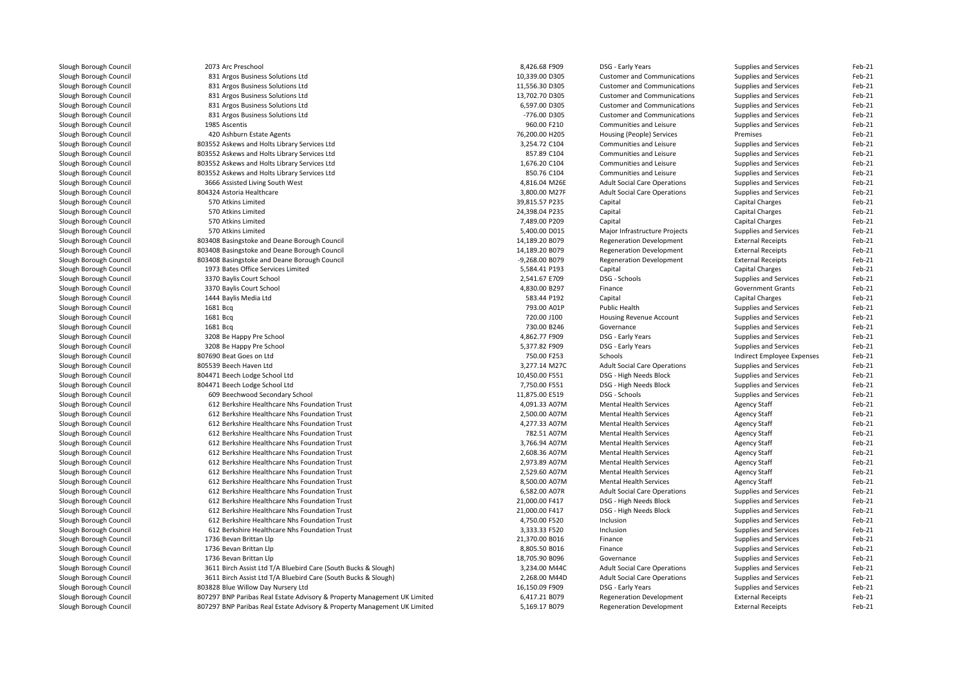| Slough Borough Council | 2073 Arc Preschool                                                       | 8,426.68 F909  | DSG - Early Years                   | Supplies and Services        | Feb-21 |
|------------------------|--------------------------------------------------------------------------|----------------|-------------------------------------|------------------------------|--------|
| Slough Borough Council | 831 Argos Business Solutions Ltd                                         | 10,339.00 D305 | <b>Customer and Communications</b>  | Supplies and Services        | Feb-21 |
| Slough Borough Council | 831 Argos Business Solutions Ltd                                         | 11,556.30 D305 | <b>Customer and Communications</b>  | <b>Supplies and Services</b> | Feb-21 |
| Slough Borough Council | 831 Argos Business Solutions Ltd                                         | 13,702.70 D305 | <b>Customer and Communications</b>  | Supplies and Services        | Feb-21 |
| Slough Borough Council | 831 Argos Business Solutions Ltd                                         | 6,597.00 D305  | <b>Customer and Communications</b>  | Supplies and Services        | Feb-21 |
| Slough Borough Council | 831 Argos Business Solutions Ltd                                         | -776.00 D305   | <b>Customer and Communications</b>  | Supplies and Services        | Feb-21 |
| Slough Borough Council | 1985 Ascentis                                                            | 960.00 F210    | Communities and Leisure             | Supplies and Services        | Feb-21 |
| Slough Borough Council | 420 Ashburn Estate Agents                                                | 76,200.00 H205 | Housing (People) Services           | Premises                     | Feb-21 |
| Slough Borough Council | 803552 Askews and Holts Library Services Ltd                             | 3,254.72 C104  | Communities and Leisure             | Supplies and Services        | Feb-21 |
| Slough Borough Council | 803552 Askews and Holts Library Services Ltd                             | 857.89 C104    | Communities and Leisure             | Supplies and Services        | Feb-21 |
| Slough Borough Council | 803552 Askews and Holts Library Services Ltd                             | 1,676.20 C104  | Communities and Leisure             | Supplies and Services        | Feb-21 |
| Slough Borough Council | 803552 Askews and Holts Library Services Ltd                             | 850.76 C104    | Communities and Leisure             | <b>Supplies and Services</b> | Feb-21 |
| Slough Borough Council | 3666 Assisted Living South West                                          | 4,816.04 M26E  | <b>Adult Social Care Operations</b> | Supplies and Services        | Feb-21 |
| Slough Borough Council | 804324 Astoria Healthcare                                                | 3,800.00 M27F  | <b>Adult Social Care Operations</b> | Supplies and Services        | Feb-21 |
| Slough Borough Council | 570 Atkins Limited                                                       | 39,815.57 P235 | Capital                             | Capital Charges              | Feb-21 |
| Slough Borough Council | 570 Atkins Limited                                                       | 24,398.04 P235 | Capital                             | <b>Capital Charges</b>       | Feb-21 |
| Slough Borough Council | 570 Atkins Limited                                                       | 7,489.00 P209  | Capital                             | Capital Charges              | Feb-21 |
| Slough Borough Council | 570 Atkins Limited                                                       | 5,400.00 D015  | Major Infrastructure Projects       | Supplies and Services        | Feb-21 |
| Slough Borough Council | 803408 Basingstoke and Deane Borough Council                             | 14,189.20 B079 | <b>Regeneration Development</b>     | <b>External Receipts</b>     | Feb-21 |
| Slough Borough Council | 803408 Basingstoke and Deane Borough Council                             | 14,189.20 B079 | <b>Regeneration Development</b>     | <b>External Receipts</b>     | Feb-21 |
| Slough Borough Council | 803408 Basingstoke and Deane Borough Council                             | -9,268.00 B079 | <b>Regeneration Development</b>     | <b>External Receipts</b>     | Feb-21 |
| Slough Borough Council | 1973 Bates Office Services Limited                                       | 5,584.41 P193  | Capital                             | Capital Charges              | Feb-21 |
|                        | 3370 Baylis Court School                                                 | 2,541.67 E709  | DSG - Schools                       | Supplies and Services        | Feb-21 |
| Slough Borough Council | 3370 Baylis Court School                                                 | 4,830.00 B297  | Finance                             | <b>Government Grants</b>     | Feb-21 |
| Slough Borough Council |                                                                          | 583.44 P192    |                                     |                              | Feb-21 |
| Slough Borough Council | 1444 Baylis Media Ltd                                                    |                | Capital                             | Capital Charges              |        |
| Slough Borough Council | 1681 Bcq                                                                 | 793.00 A01P    | Public Health                       | Supplies and Services        | Feb-21 |
| Slough Borough Council | 1681 Bcg                                                                 | 720.00 J100    | <b>Housing Revenue Account</b>      | Supplies and Services        | Feb-21 |
| Slough Borough Council | 1681 Bcg                                                                 | 730.00 B246    | Governance                          | Supplies and Services        | Feb-21 |
| Slough Borough Council | 3208 Be Happy Pre School                                                 | 4,862.77 F909  | DSG - Early Years                   | Supplies and Services        | Feb-21 |
| Slough Borough Council | 3208 Be Happy Pre School                                                 | 5,377.82 F909  | DSG - Early Years                   | Supplies and Services        | Feb-21 |
| Slough Borough Council | 807690 Beat Goes on Ltd                                                  | 750.00 F253    | Schools                             | Indirect Employee Expenses   | Feb-21 |
| Slough Borough Council | 805539 Beech Haven Ltd                                                   | 3,277.14 M27C  | <b>Adult Social Care Operations</b> | Supplies and Services        | Feb-21 |
| Slough Borough Council | 804471 Beech Lodge School Ltd                                            | 10,450.00 F551 | DSG - High Needs Block              | Supplies and Services        | Feb-21 |
| Slough Borough Council | 804471 Beech Lodge School Ltd                                            | 7,750.00 F551  | DSG - High Needs Block              | Supplies and Services        | Feb-21 |
| Slough Borough Council | 609 Beechwood Secondary School                                           | 11,875.00 E519 | DSG - Schools                       | Supplies and Services        | Feb-21 |
| Slough Borough Council | 612 Berkshire Healthcare Nhs Foundation Trust                            | 4,091.33 A07M  | <b>Mental Health Services</b>       | <b>Agency Staff</b>          | Feb-21 |
| Slough Borough Council | 612 Berkshire Healthcare Nhs Foundation Trust                            | 2,500.00 A07M  | <b>Mental Health Services</b>       | <b>Agency Staff</b>          | Feb-21 |
| Slough Borough Council | 612 Berkshire Healthcare Nhs Foundation Trust                            | 4,277.33 A07M  | <b>Mental Health Services</b>       | <b>Agency Staff</b>          | Feb-21 |
| Slough Borough Council | 612 Berkshire Healthcare Nhs Foundation Trust                            | 782.51 A07M    | <b>Mental Health Services</b>       | Agency Staff                 | Feb-21 |
| Slough Borough Council | 612 Berkshire Healthcare Nhs Foundation Trust                            | 3,766.94 A07M  | <b>Mental Health Services</b>       | <b>Agency Staff</b>          | Feb-21 |
| Slough Borough Council | 612 Berkshire Healthcare Nhs Foundation Trust                            | 2,608.36 A07M  | <b>Mental Health Services</b>       | <b>Agency Staff</b>          | Feb-21 |
| Slough Borough Council | 612 Berkshire Healthcare Nhs Foundation Trust                            | 2,973.89 A07M  | <b>Mental Health Services</b>       | <b>Agency Staff</b>          | Feb-21 |
| Slough Borough Council | 612 Berkshire Healthcare Nhs Foundation Trust                            | 2,529.60 A07M  | <b>Mental Health Services</b>       | <b>Agency Staff</b>          | Feb-21 |
| Slough Borough Council | 612 Berkshire Healthcare Nhs Foundation Trust                            | 8,500.00 A07M  | <b>Mental Health Services</b>       | Agency Staff                 | Feb-21 |
| Slough Borough Council | 612 Berkshire Healthcare Nhs Foundation Trust                            | 6,582.00 A07R  | <b>Adult Social Care Operations</b> | Supplies and Services        | Feb-21 |
| Slough Borough Council | 612 Berkshire Healthcare Nhs Foundation Trust                            | 21,000.00 F417 | DSG - High Needs Block              | Supplies and Services        | Feb-21 |
| Slough Borough Council | 612 Berkshire Healthcare Nhs Foundation Trust                            | 21,000.00 F417 | DSG - High Needs Block              | Supplies and Services        | Feb-21 |
| Slough Borough Council | 612 Berkshire Healthcare Nhs Foundation Trust                            | 4,750.00 F520  | Inclusion                           | Supplies and Services        | Feb-21 |
| Slough Borough Council | 612 Berkshire Healthcare Nhs Foundation Trust                            | 3,333.33 F520  | Inclusion                           | Supplies and Services        | Feb-21 |
| Slough Borough Council | 1736 Bevan Brittan Llp                                                   | 21,370.00 B016 | Finance                             | Supplies and Services        | Feb-21 |
| Slough Borough Council | 1736 Bevan Brittan Llp                                                   | 8,805.50 B016  | Finance                             | Supplies and Services        | Feb-21 |
| Slough Borough Council | 1736 Bevan Brittan Llp                                                   | 18,705.90 B096 | Governance                          | Supplies and Services        | Feb-21 |
| Slough Borough Council | 3611 Birch Assist Ltd T/A Bluebird Care (South Bucks & Slough)           | 3,234.00 M44C  | <b>Adult Social Care Operations</b> | Supplies and Services        | Feb-21 |
| Slough Borough Council | 3611 Birch Assist Ltd T/A Bluebird Care (South Bucks & Slough)           | 2,268.00 M44D  | <b>Adult Social Care Operations</b> | Supplies and Services        | Feb-21 |
| Slough Borough Council | 803828 Blue Willow Day Nursery Ltd                                       | 16,150.09 F909 | DSG - Early Years                   | Supplies and Services        | Feb-21 |
| Slough Borough Council | 807297 BNP Paribas Real Estate Advisory & Property Management UK Limited | 6,417.21 B079  | <b>Regeneration Development</b>     | <b>External Receipts</b>     | Feb-21 |
| Slough Borough Council | 807297 BNP Paribas Real Estate Advisory & Property Management UK Limited | 5,169.17 B079  | <b>Regeneration Development</b>     | <b>External Receipts</b>     | Feb-21 |
|                        |                                                                          |                |                                     |                              |        |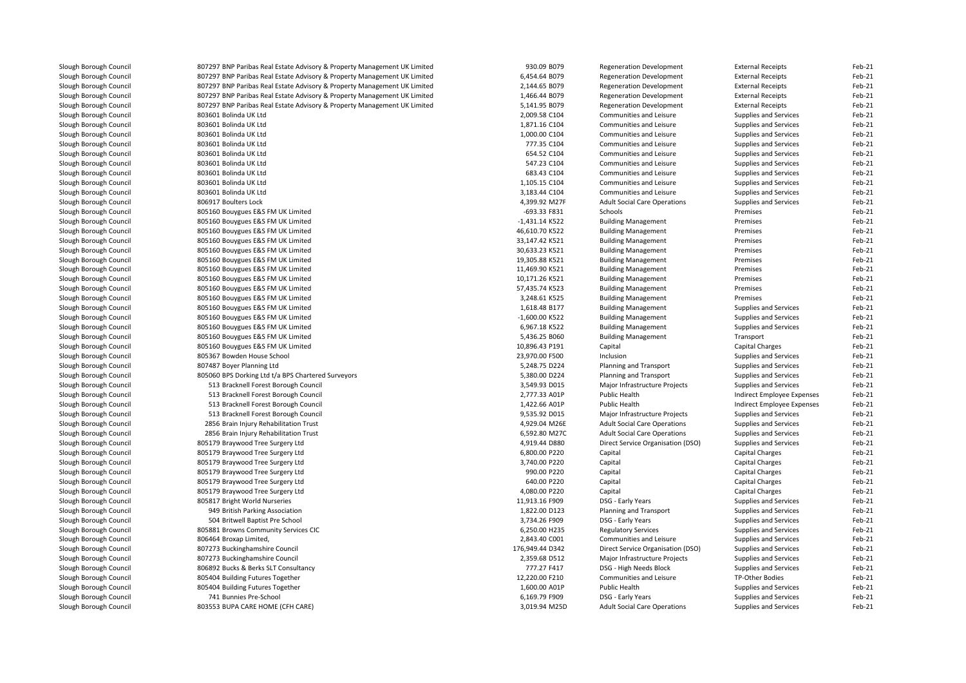| Slough Borough Council | 807297 BNP Paribas Real Estate Advisory & Property Management UK Limited | 930.09 B079     | <b>Regeneration Development</b>     | <b>External Receipts</b>   | Feb-21   |
|------------------------|--------------------------------------------------------------------------|-----------------|-------------------------------------|----------------------------|----------|
| Slough Borough Council | 807297 BNP Paribas Real Estate Advisory & Property Management UK Limited | 6,454.64 B079   | <b>Regeneration Development</b>     | <b>External Receipts</b>   | Feb-21   |
| Slough Borough Council | 807297 BNP Paribas Real Estate Advisory & Property Management UK Limited | 2,144.65 B079   | <b>Regeneration Development</b>     | <b>External Receipts</b>   | Feb-21   |
| Slough Borough Council | 807297 BNP Paribas Real Estate Advisory & Property Management UK Limited | 1,466.44 B079   | <b>Regeneration Development</b>     | <b>External Receipts</b>   | Feb-21   |
| Slough Borough Council | 807297 BNP Paribas Real Estate Advisory & Property Management UK Limited | 5,141.95 B079   | <b>Regeneration Development</b>     | <b>External Receipts</b>   | Feb-21   |
| Slough Borough Council | 803601 Bolinda UK Ltd                                                    | 2,009.58 C104   | Communities and Leisure             | Supplies and Services      | Feb-21   |
| Slough Borough Council | 803601 Bolinda UK Ltd                                                    | 1,871.16 C104   | Communities and Leisure             | Supplies and Services      | Feb-21   |
| Slough Borough Council | 803601 Bolinda UK Ltd                                                    | 1,000.00 C104   | Communities and Leisure             | Supplies and Services      | Feb-21   |
| Slough Borough Council | 803601 Bolinda UK Ltd                                                    | 777.35 C104     | Communities and Leisure             | Supplies and Services      | Feb-21   |
| Slough Borough Council | 803601 Bolinda UK Ltd                                                    | 654.52 C104     | Communities and Leisure             | Supplies and Services      | Feb-21   |
| Slough Borough Council | 803601 Bolinda UK Ltd                                                    | 547.23 C104     | Communities and Leisure             | Supplies and Services      | Feb-21   |
| Slough Borough Council | 803601 Bolinda UK Ltd                                                    | 683.43 C104     | Communities and Leisure             | Supplies and Services      | Feb-21   |
| Slough Borough Council | 803601 Bolinda UK Ltd                                                    | 1,105.15 C104   | Communities and Leisure             | Supplies and Services      | Feb-21   |
| Slough Borough Council | 803601 Bolinda UK Ltd                                                    | 3,183.44 C104   | Communities and Leisure             | Supplies and Services      | Feb-21   |
| Slough Borough Council | 806917 Boulters Lock                                                     | 4,399.92 M27F   | <b>Adult Social Care Operations</b> | Supplies and Services      | Feb-21   |
| Slough Borough Council | 805160 Bouygues E&S FM UK Limited                                        | -693.33 F831    | Schools                             | Premises                   | Feb-21   |
| Slough Borough Council | 805160 Bouygues E&S FM UK Limited                                        | -1,431.14 K522  | <b>Building Management</b>          | Premises                   | Feb-21   |
| Slough Borough Council | 805160 Bouygues E&S FM UK Limited                                        | 46,610.70 K522  | <b>Building Management</b>          | Premises                   | Feb-21   |
| Slough Borough Council | 805160 Bouygues E&S FM UK Limited                                        | 33,147.42 K521  | <b>Building Management</b>          | Premises                   | Feb-21   |
| Slough Borough Council |                                                                          | 30,633.23 K521  |                                     | Premises                   | Feb-21   |
|                        | 805160 Bouygues E&S FM UK Limited                                        |                 | <b>Building Management</b>          | Premises                   | $Feb-21$ |
| Slough Borough Council | 805160 Bouygues E&S FM UK Limited                                        | 19,305.88 K521  | <b>Building Management</b>          |                            |          |
| Slough Borough Council | 805160 Bouygues E&S FM UK Limited                                        | 11,469.90 K521  | <b>Building Management</b>          | Premises                   | Feb-21   |
| Slough Borough Council | 805160 Bouygues E&S FM UK Limited                                        | 10,171.26 K521  | <b>Building Management</b>          | Premises                   | Feb-21   |
| Slough Borough Council | 805160 Bouygues E&S FM UK Limited                                        | 57,435.74 K523  | <b>Building Management</b>          | Premises                   | $Feb-21$ |
| Slough Borough Council | 805160 Bouygues E&S FM UK Limited                                        | 3,248.61 K525   | <b>Building Management</b>          | Premises                   | Feb-21   |
| Slough Borough Council | 805160 Bouygues E&S FM UK Limited                                        | 1,618.48 B177   | <b>Building Management</b>          | Supplies and Services      | Feb-21   |
| Slough Borough Council | 805160 Bouygues E&S FM UK Limited                                        | -1,600.00 K522  | <b>Building Management</b>          | Supplies and Services      | Feb-21   |
| Slough Borough Council | 805160 Bouygues E&S FM UK Limited                                        | 6,967.18 K522   | <b>Building Management</b>          | Supplies and Services      | Feb-21   |
| Slough Borough Council | 805160 Bouygues E&S FM UK Limited                                        | 5,436.25 B060   | <b>Building Management</b>          | Transport                  | Feb-21   |
| Slough Borough Council | 805160 Bouygues E&S FM UK Limited                                        | 10,896.43 P191  | Capital                             | Capital Charges            | Feb-21   |
| Slough Borough Council | 805367 Bowden House School                                               | 23,970.00 F500  | Inclusion                           | Supplies and Services      | Feb-21   |
| Slough Borough Council | 807487 Boyer Planning Ltd                                                | 5,248.75 D224   | Planning and Transport              | Supplies and Services      | Feb-21   |
| Slough Borough Council | 805060 BPS Dorking Ltd t/a BPS Chartered Surveyors                       | 5,380.00 D224   | Planning and Transport              | Supplies and Services      | Feb-21   |
| Slough Borough Council | 513 Bracknell Forest Borough Council                                     | 3,549.93 D015   | Major Infrastructure Projects       | Supplies and Services      | Feb-21   |
| Slough Borough Council | 513 Bracknell Forest Borough Council                                     | 2,777.33 A01P   | Public Health                       | Indirect Employee Expenses | Feb-21   |
| Slough Borough Council | 513 Bracknell Forest Borough Council                                     | 1,422.66 A01P   | Public Health                       | Indirect Employee Expenses | Feb-21   |
| Slough Borough Council | 513 Bracknell Forest Borough Council                                     | 9,535.92 D015   | Major Infrastructure Projects       | Supplies and Services      | Feb-21   |
| Slough Borough Council | 2856 Brain Injury Rehabilitation Trust                                   | 4,929.04 M26E   | <b>Adult Social Care Operations</b> | Supplies and Services      | Feb-21   |
| Slough Borough Council | 2856 Brain Injury Rehabilitation Trust                                   | 6,592.80 M27C   | <b>Adult Social Care Operations</b> | Supplies and Services      | Feb-21   |
| Slough Borough Council | 805179 Braywood Tree Surgery Ltd                                         | 4,919.44 D880   | Direct Service Organisation (DSO)   | Supplies and Services      | Feb-21   |
| Slough Borough Council | 805179 Braywood Tree Surgery Ltd                                         | 6,800.00 P220   | Capital                             | <b>Capital Charges</b>     | Feb-21   |
| Slough Borough Council | 805179 Braywood Tree Surgery Ltd                                         | 3,740.00 P220   | Capital                             | <b>Capital Charges</b>     | Feb-21   |
| Slough Borough Council | 805179 Braywood Tree Surgery Ltd                                         | 990.00 P220     | Capital                             | Capital Charges            | Feb-21   |
| Slough Borough Council | 805179 Braywood Tree Surgery Ltd                                         | 640.00 P220     | Capital                             | Capital Charges            | Feb-21   |
| Slough Borough Council | 805179 Braywood Tree Surgery Ltd                                         | 4,080.00 P220   | Capital                             | Capital Charges            | Feb-21   |
| Slough Borough Council | 805817 Bright World Nurseries                                            | 11,913.16 F909  | DSG - Early Years                   | Supplies and Services      | Feb-21   |
| Slough Borough Council | 949 British Parking Association                                          | 1,822.00 D123   | Planning and Transport              | Supplies and Services      | Feb-21   |
| Slough Borough Council | 504 Britwell Baptist Pre School                                          | 3,734.26 F909   | DSG - Early Years                   | Supplies and Services      | Feb-21   |
| Slough Borough Council | 805881 Browns Community Services CIC                                     | 6,250.00 H235   | <b>Regulatory Services</b>          | Supplies and Services      | Feb-21   |
| Slough Borough Council | 806464 Broxap Limited,                                                   | 2,843.40 C001   | Communities and Leisure             | Supplies and Services      | Feb-21   |
| Slough Borough Council | 807273 Buckinghamshire Council                                           | 176,949.44 D342 | Direct Service Organisation (DSO)   | Supplies and Services      | Feb-21   |
| Slough Borough Council | 807273 Buckinghamshire Council                                           | 2,359.68 D512   | Major Infrastructure Projects       | Supplies and Services      | Feb-21   |
| Slough Borough Council | 806892 Bucks & Berks SLT Consultancy                                     | 777.27 F417     | DSG - High Needs Block              | Supplies and Services      | Feb-21   |
| Slough Borough Council | 805404 Building Futures Together                                         | 12,220.00 F210  | Communities and Leisure             | TP-Other Bodies            | Feb-21   |
| Slough Borough Council | 805404 Building Futures Together                                         | 1,600.00 A01P   | Public Health                       | Supplies and Services      | Feb-21   |
| Slough Borough Council | 741 Bunnies Pre-School                                                   | 6,169.79 F909   | DSG - Early Years                   | Supplies and Services      | Feb-21   |
| Slough Borough Council | 803553 BUPA CARE HOME (CFH CARE)                                         | 3,019.94 M25D   | <b>Adult Social Care Operations</b> | Supplies and Services      | Feb-21   |
|                        |                                                                          |                 |                                     |                            |          |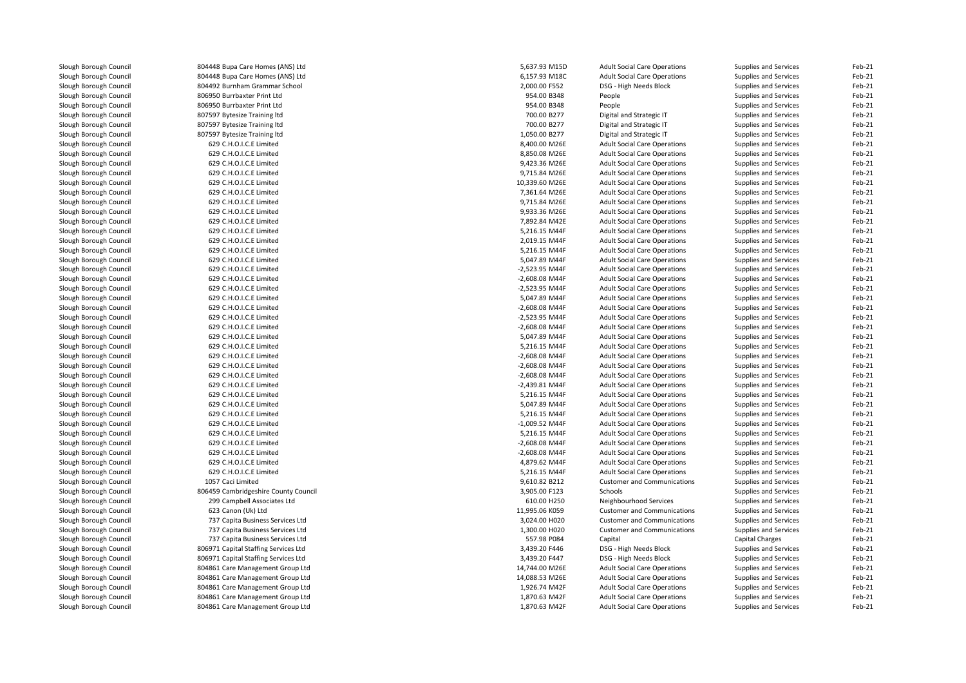| Slough Borough Council | 804448 Bupa Care Homes (ANS) Ltd     | 5,637.93 M15D    | <b>Adult Social Care Operations</b> | Supplies and Services  | Feb-21 |
|------------------------|--------------------------------------|------------------|-------------------------------------|------------------------|--------|
| Slough Borough Council | 804448 Bupa Care Homes (ANS) Ltd     | 6,157.93 M18C    | <b>Adult Social Care Operations</b> | Supplies and Services  | Feb-21 |
| Slough Borough Council | 804492 Burnham Grammar School        | 2,000.00 F552    | DSG - High Needs Block              | Supplies and Services  | Feb-21 |
| Slough Borough Council | 806950 Burrbaxter Print Ltd          | 954.00 B348      | People                              | Supplies and Services  | Feb-21 |
| Slough Borough Council | 806950 Burrbaxter Print Ltd          | 954.00 B348      | People                              | Supplies and Services  | Feb-21 |
| Slough Borough Council | 807597 Bytesize Training Itd         | 700.00 B277      | Digital and Strategic IT            | Supplies and Services  | Feb-21 |
| Slough Borough Council | 807597 Bytesize Training Itd         | 700.00 B277      | Digital and Strategic IT            | Supplies and Services  | Feb-21 |
| Slough Borough Council | 807597 Bytesize Training Itd         | 1,050.00 B277    | Digital and Strategic IT            | Supplies and Services  | Feb-21 |
| Slough Borough Council | 629 C.H.O.I.C.E Limited              | 8,400.00 M26E    | <b>Adult Social Care Operations</b> | Supplies and Services  | Feb-21 |
| Slough Borough Council | 629 C.H.O.I.C.E Limited              | 8,850.08 M26E    | <b>Adult Social Care Operations</b> | Supplies and Services  | Feb-21 |
| Slough Borough Council | 629 C.H.O.I.C.E Limited              | 9,423.36 M26E    | <b>Adult Social Care Operations</b> | Supplies and Services  | Feb-21 |
| Slough Borough Council | 629 C.H.O.I.C.E Limited              | 9,715.84 M26E    | <b>Adult Social Care Operations</b> | Supplies and Services  | Feb-21 |
| Slough Borough Council | 629 C.H.O.I.C.E Limited              | 10,339.60 M26E   | <b>Adult Social Care Operations</b> | Supplies and Services  | Feb-21 |
|                        |                                      |                  |                                     |                        |        |
| Slough Borough Council | 629 C.H.O.I.C.E Limited              | 7,361.64 M26E    | <b>Adult Social Care Operations</b> | Supplies and Services  | Feb-21 |
| Slough Borough Council | 629 C.H.O.I.C.E Limited              | 9,715.84 M26E    | <b>Adult Social Care Operations</b> | Supplies and Services  | Feb-21 |
| Slough Borough Council | 629 C.H.O.I.C.E Limited              | 9,933.36 M26E    | <b>Adult Social Care Operations</b> | Supplies and Services  | Feb-21 |
| Slough Borough Council | 629 C.H.O.I.C.E Limited              | 7,892.84 M42E    | <b>Adult Social Care Operations</b> | Supplies and Services  | Feb-21 |
| Slough Borough Council | 629 C.H.O.I.C.E Limited              | 5,216.15 M44F    | <b>Adult Social Care Operations</b> | Supplies and Services  | Feb-21 |
| Slough Borough Council | 629 C.H.O.I.C.E Limited              | 2,019.15 M44F    | <b>Adult Social Care Operations</b> | Supplies and Services  | Feb-21 |
| Slough Borough Council | 629 C.H.O.I.C.E Limited              | 5,216.15 M44F    | <b>Adult Social Care Operations</b> | Supplies and Services  | Feb-21 |
| Slough Borough Council | 629 C.H.O.I.C.E Limited              | 5,047.89 M44F    | <b>Adult Social Care Operations</b> | Supplies and Services  | Feb-21 |
| Slough Borough Council | 629 C.H.O.I.C.E Limited              | -2,523.95 M44F   | <b>Adult Social Care Operations</b> | Supplies and Services  | Feb-21 |
| Slough Borough Council | 629 C.H.O.I.C.E Limited              | -2,608.08 M44F   | <b>Adult Social Care Operations</b> | Supplies and Services  | Feb-21 |
| Slough Borough Council | 629 C.H.O.I.C.E Limited              | -2,523.95 M44F   | <b>Adult Social Care Operations</b> | Supplies and Services  | Feb-21 |
| Slough Borough Council | 629 C.H.O.I.C.E Limited              | 5,047.89 M44F    | <b>Adult Social Care Operations</b> | Supplies and Services  | Feb-21 |
| Slough Borough Council | 629 C.H.O.I.C.E Limited              | -2,608.08 M44F   | <b>Adult Social Care Operations</b> | Supplies and Services  | Feb-21 |
| Slough Borough Council | 629 C.H.O.I.C.E Limited              | -2,523.95 M44F   | <b>Adult Social Care Operations</b> | Supplies and Services  | Feb-21 |
| Slough Borough Council | 629 C.H.O.I.C.E Limited              | -2,608.08 M44F   | <b>Adult Social Care Operations</b> | Supplies and Services  | Feb-21 |
| Slough Borough Council | 629 C.H.O.I.C.E Limited              | 5,047.89 M44F    | <b>Adult Social Care Operations</b> | Supplies and Services  | Feb-21 |
| Slough Borough Council | 629 C.H.O.I.C.E Limited              | 5,216.15 M44F    | <b>Adult Social Care Operations</b> | Supplies and Services  | Feb-21 |
| Slough Borough Council | 629 C.H.O.I.C.E Limited              | -2,608.08 M44F   | <b>Adult Social Care Operations</b> | Supplies and Services  | Feb-21 |
| Slough Borough Council | 629 C.H.O.I.C.E Limited              | $-2,608.08$ M44F | <b>Adult Social Care Operations</b> | Supplies and Services  | Feb-21 |
|                        |                                      |                  |                                     |                        |        |
| Slough Borough Council | 629 C.H.O.I.C.E Limited              | -2,608.08 M44F   | <b>Adult Social Care Operations</b> | Supplies and Services  | Feb-21 |
| Slough Borough Council | 629 C.H.O.I.C.E Limited              | -2,439.81 M44F   | <b>Adult Social Care Operations</b> | Supplies and Services  | Feb-21 |
| Slough Borough Council | 629 C.H.O.I.C.E Limited              | 5,216.15 M44F    | <b>Adult Social Care Operations</b> | Supplies and Services  | Feb-21 |
| Slough Borough Council | 629 C.H.O.I.C.E Limited              | 5,047.89 M44F    | <b>Adult Social Care Operations</b> | Supplies and Services  | Feb-21 |
| Slough Borough Council | 629 C.H.O.I.C.E Limited              | 5,216.15 M44F    | <b>Adult Social Care Operations</b> | Supplies and Services  | Feb-21 |
| Slough Borough Council | 629 C.H.O.I.C.E Limited              | -1,009.52 M44F   | <b>Adult Social Care Operations</b> | Supplies and Services  | Feb-21 |
| Slough Borough Council | 629 C.H.O.I.C.E Limited              | 5,216.15 M44F    | <b>Adult Social Care Operations</b> | Supplies and Services  | Feb-21 |
| Slough Borough Council | 629 C.H.O.I.C.E Limited              | -2,608.08 M44F   | <b>Adult Social Care Operations</b> | Supplies and Services  | Feb-21 |
| Slough Borough Council | 629 C.H.O.I.C.E Limited              | -2,608.08 M44F   | <b>Adult Social Care Operations</b> | Supplies and Services  | Feb-21 |
| Slough Borough Council | 629 C.H.O.I.C.E Limited              | 4,879.62 M44F    | <b>Adult Social Care Operations</b> | Supplies and Services  | Feb-21 |
| Slough Borough Council | 629 C.H.O.I.C.E Limited              | 5,216.15 M44F    | <b>Adult Social Care Operations</b> | Supplies and Services  | Feb-21 |
| Slough Borough Council | 1057 Caci Limited                    | 9,610.82 B212    | <b>Customer and Communications</b>  | Supplies and Services  | Feb-21 |
| Slough Borough Council | 806459 Cambridgeshire County Council | 3,905.00 F123    | Schools                             | Supplies and Services  | Feb-21 |
| Slough Borough Council | 299 Campbell Associates Ltd          | 610.00 H250      | Neighbourhood Services              | Supplies and Services  | Feb-21 |
| Slough Borough Council | 623 Canon (Uk) Ltd                   | 11,995.06 K059   | <b>Customer and Communications</b>  | Supplies and Services  | Feb-21 |
| Slough Borough Council | 737 Capita Business Services Ltd     | 3,024.00 H020    | <b>Customer and Communications</b>  | Supplies and Services  | Feb-21 |
| Slough Borough Council | 737 Capita Business Services Ltd     | 1,300.00 H020    | <b>Customer and Communications</b>  | Supplies and Services  | Feb-21 |
|                        |                                      |                  |                                     |                        |        |
| Slough Borough Council | 737 Capita Business Services Ltd     | 557.98 P084      | Capital                             | <b>Capital Charges</b> | Feb-21 |
| Slough Borough Council | 806971 Capital Staffing Services Ltd | 3,439.20 F446    | DSG - High Needs Block              | Supplies and Services  | Feb-21 |
| Slough Borough Council | 806971 Capital Staffing Services Ltd | 3,439.20 F447    | DSG - High Needs Block              | Supplies and Services  | Feb-21 |
| Slough Borough Council | 804861 Care Management Group Ltd     | 14,744.00 M26E   | <b>Adult Social Care Operations</b> | Supplies and Services  | Feb-21 |
| Slough Borough Council | 804861 Care Management Group Ltd     | 14,088.53 M26E   | <b>Adult Social Care Operations</b> | Supplies and Services  | Feb-21 |
| Slough Borough Council | 804861 Care Management Group Ltd     | 1,926.74 M42F    | <b>Adult Social Care Operations</b> | Supplies and Services  | Feb-21 |
| Slough Borough Council | 804861 Care Management Group Ltd     | 1,870.63 M42F    | <b>Adult Social Care Operations</b> | Supplies and Services  | Feb-21 |
| Slough Borough Council | 804861 Care Management Group Ltd     | 1,870.63 M42F    | <b>Adult Social Care Operations</b> | Supplies and Services  | Feb-21 |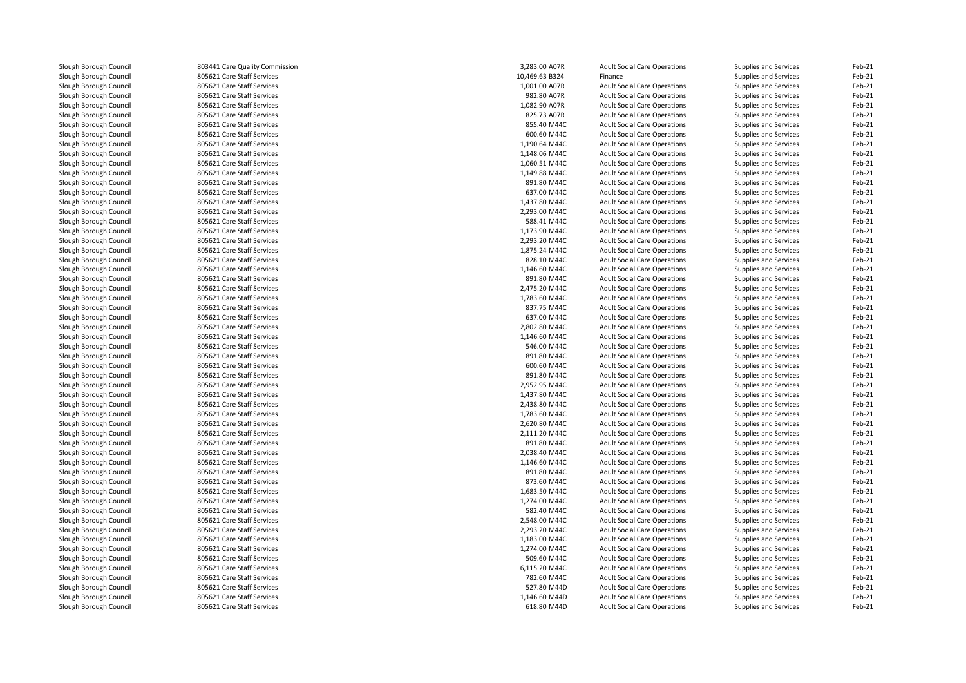| Slough Borough Council | 803441 Care Quality Commission | 3,283.00 A07R  | <b>Adult Social Care Operations</b> | Supplies and Services        | Feb-21 |
|------------------------|--------------------------------|----------------|-------------------------------------|------------------------------|--------|
| Slough Borough Council | 805621 Care Staff Services     | 10,469.63 B324 | Finance                             | Supplies and Services        | Feb-21 |
| Slough Borough Council | 805621 Care Staff Services     | 1,001.00 A07R  | <b>Adult Social Care Operations</b> | Supplies and Services        | Feb-21 |
| Slough Borough Council | 805621 Care Staff Services     | 982.80 A07R    | <b>Adult Social Care Operations</b> | Supplies and Services        | Feb-21 |
| Slough Borough Council | 805621 Care Staff Services     | 1,082.90 A07R  | <b>Adult Social Care Operations</b> | Supplies and Services        | Feb-21 |
| Slough Borough Council | 805621 Care Staff Services     | 825.73 A07R    | <b>Adult Social Care Operations</b> | Supplies and Services        | Feb-21 |
| Slough Borough Council | 805621 Care Staff Services     | 855.40 M44C    | <b>Adult Social Care Operations</b> | Supplies and Services        | Feb-21 |
| Slough Borough Council | 805621 Care Staff Services     | 600.60 M44C    | <b>Adult Social Care Operations</b> | Supplies and Services        | Feb-21 |
| Slough Borough Council | 805621 Care Staff Services     | 1,190.64 M44C  | <b>Adult Social Care Operations</b> | Supplies and Services        | Feb-21 |
| Slough Borough Council | 805621 Care Staff Services     | 1,148.06 M44C  | <b>Adult Social Care Operations</b> | <b>Supplies and Services</b> | Feb-21 |
| Slough Borough Council | 805621 Care Staff Services     | 1,060.51 M44C  | <b>Adult Social Care Operations</b> | Supplies and Services        | Feb-21 |
| Slough Borough Council | 805621 Care Staff Services     | 1,149.88 M44C  | <b>Adult Social Care Operations</b> | Supplies and Services        | Feb-21 |
| Slough Borough Council | 805621 Care Staff Services     | 891.80 M44C    | <b>Adult Social Care Operations</b> | Supplies and Services        | Feb-21 |
| Slough Borough Council | 805621 Care Staff Services     | 637.00 M44C    | <b>Adult Social Care Operations</b> | Supplies and Services        | Feb-21 |
| Slough Borough Council | 805621 Care Staff Services     | 1,437.80 M44C  | <b>Adult Social Care Operations</b> | Supplies and Services        | Feb-21 |
| Slough Borough Council | 805621 Care Staff Services     | 2,293.00 M44C  | <b>Adult Social Care Operations</b> | Supplies and Services        | Feb-21 |
| Slough Borough Council | 805621 Care Staff Services     | 588.41 M44C    | <b>Adult Social Care Operations</b> | Supplies and Services        | Feb-21 |
| Slough Borough Council | 805621 Care Staff Services     | 1,173.90 M44C  | <b>Adult Social Care Operations</b> | Supplies and Services        | Feb-21 |
| Slough Borough Council | 805621 Care Staff Services     | 2,293.20 M44C  | <b>Adult Social Care Operations</b> | Supplies and Services        | Feb-21 |
| Slough Borough Council | 805621 Care Staff Services     | 1,875.24 M44C  | <b>Adult Social Care Operations</b> | Supplies and Services        | Feb-21 |
| Slough Borough Council | 805621 Care Staff Services     | 828.10 M44C    | <b>Adult Social Care Operations</b> | Supplies and Services        | Feb-21 |
| Slough Borough Council | 805621 Care Staff Services     | 1,146.60 M44C  | <b>Adult Social Care Operations</b> | Supplies and Services        | Feb-21 |
| Slough Borough Council | 805621 Care Staff Services     | 891.80 M44C    | <b>Adult Social Care Operations</b> | Supplies and Services        | Feb-21 |
| Slough Borough Council | 805621 Care Staff Services     | 2,475.20 M44C  | <b>Adult Social Care Operations</b> | Supplies and Services        | Feb-21 |
| Slough Borough Council | 805621 Care Staff Services     | 1,783.60 M44C  | <b>Adult Social Care Operations</b> | Supplies and Services        | Feb-21 |
| Slough Borough Council | 805621 Care Staff Services     | 837.75 M44C    | <b>Adult Social Care Operations</b> | Supplies and Services        | Feb-21 |
| Slough Borough Council | 805621 Care Staff Services     | 637.00 M44C    | <b>Adult Social Care Operations</b> | Supplies and Services        | Feb-21 |
| Slough Borough Council | 805621 Care Staff Services     | 2,802.80 M44C  | <b>Adult Social Care Operations</b> | Supplies and Services        | Feb-21 |
| Slough Borough Council | 805621 Care Staff Services     | 1,146.60 M44C  | <b>Adult Social Care Operations</b> | <b>Supplies and Services</b> | Feb-21 |
| Slough Borough Council | 805621 Care Staff Services     | 546.00 M44C    | <b>Adult Social Care Operations</b> | Supplies and Services        | Feb-21 |
| Slough Borough Council | 805621 Care Staff Services     | 891.80 M44C    | <b>Adult Social Care Operations</b> | Supplies and Services        | Feb-21 |
| Slough Borough Council | 805621 Care Staff Services     | 600.60 M44C    | <b>Adult Social Care Operations</b> | Supplies and Services        | Feb-21 |
| Slough Borough Council | 805621 Care Staff Services     | 891.80 M44C    | <b>Adult Social Care Operations</b> | Supplies and Services        | Feb-21 |
| Slough Borough Council | 805621 Care Staff Services     | 2,952.95 M44C  | <b>Adult Social Care Operations</b> | Supplies and Services        | Feb-21 |
| Slough Borough Council | 805621 Care Staff Services     | 1,437.80 M44C  | <b>Adult Social Care Operations</b> | Supplies and Services        | Feb-21 |
| Slough Borough Council | 805621 Care Staff Services     | 2,438.80 M44C  | <b>Adult Social Care Operations</b> | Supplies and Services        | Feb-21 |
| Slough Borough Council | 805621 Care Staff Services     | 1,783.60 M44C  | <b>Adult Social Care Operations</b> | Supplies and Services        | Feb-21 |
| Slough Borough Council | 805621 Care Staff Services     | 2,620.80 M44C  | <b>Adult Social Care Operations</b> | Supplies and Services        | Feb-21 |
| Slough Borough Council | 805621 Care Staff Services     | 2,111.20 M44C  | <b>Adult Social Care Operations</b> | Supplies and Services        | Feb-21 |
| Slough Borough Council | 805621 Care Staff Services     | 891.80 M44C    | <b>Adult Social Care Operations</b> | Supplies and Services        | Feb-21 |
| Slough Borough Council | 805621 Care Staff Services     | 2,038.40 M44C  | <b>Adult Social Care Operations</b> | Supplies and Services        | Feb-21 |
| Slough Borough Council | 805621 Care Staff Services     | 1,146.60 M44C  | <b>Adult Social Care Operations</b> | Supplies and Services        | Feb-21 |
| Slough Borough Council | 805621 Care Staff Services     | 891.80 M44C    | <b>Adult Social Care Operations</b> | Supplies and Services        | Feb-21 |
| Slough Borough Council | 805621 Care Staff Services     | 873.60 M44C    | <b>Adult Social Care Operations</b> | Supplies and Services        | Feb-21 |
| Slough Borough Council | 805621 Care Staff Services     | 1,683.50 M44C  | <b>Adult Social Care Operations</b> | Supplies and Services        | Feb-21 |
| Slough Borough Council | 805621 Care Staff Services     | 1,274.00 M44C  | <b>Adult Social Care Operations</b> | Supplies and Services        | Feb-21 |
| Slough Borough Council | 805621 Care Staff Services     | 582.40 M44C    | <b>Adult Social Care Operations</b> | Supplies and Services        | Feb-21 |
| Slough Borough Council | 805621 Care Staff Services     | 2,548.00 M44C  | <b>Adult Social Care Operations</b> | Supplies and Services        | Feb-21 |
| Slough Borough Council | 805621 Care Staff Services     | 2,293.20 M44C  | <b>Adult Social Care Operations</b> | Supplies and Services        | Feb-21 |
| Slough Borough Council | 805621 Care Staff Services     | 1,183.00 M44C  | <b>Adult Social Care Operations</b> | Supplies and Services        | Feb-21 |
| Slough Borough Council | 805621 Care Staff Services     | 1,274.00 M44C  | <b>Adult Social Care Operations</b> | Supplies and Services        | Feb-21 |
| Slough Borough Council | 805621 Care Staff Services     | 509.60 M44C    | <b>Adult Social Care Operations</b> | Supplies and Services        | Feb-21 |
| Slough Borough Council | 805621 Care Staff Services     | 6,115.20 M44C  | <b>Adult Social Care Operations</b> | Supplies and Services        | Feb-21 |
| Slough Borough Council | 805621 Care Staff Services     | 782.60 M44C    | <b>Adult Social Care Operations</b> | Supplies and Services        | Feb-21 |
| Slough Borough Council | 805621 Care Staff Services     | 527.80 M44D    | <b>Adult Social Care Operations</b> | Supplies and Services        | Feb-21 |
| Slough Borough Council | 805621 Care Staff Services     | 1,146.60 M44D  | <b>Adult Social Care Operations</b> | Supplies and Services        | Feb-21 |
| Slough Borough Council | 805621 Care Staff Services     | 618.80 M44D    | <b>Adult Social Care Operations</b> | Supplies and Services        | Feb-21 |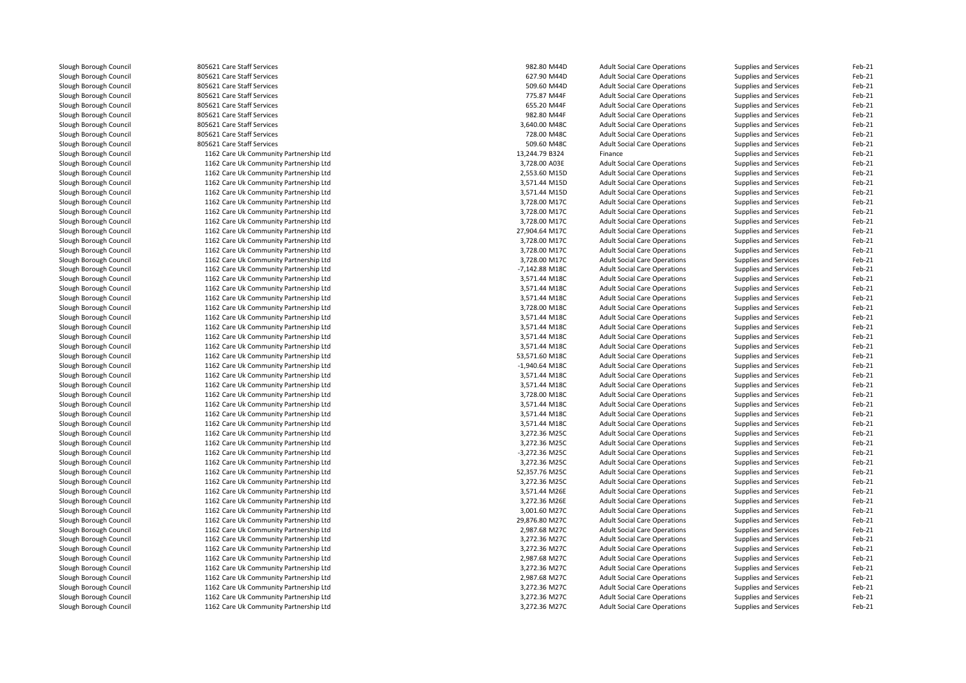| Slough Borough Council | 805621 Care Staff Services             | 982.80 M44D                    | <b>Adult Social Care Operations</b> | Supplies and Services | Feb-21   |
|------------------------|----------------------------------------|--------------------------------|-------------------------------------|-----------------------|----------|
| Slough Borough Council | 805621 Care Staff Services             | 627.90 M44D                    | <b>Adult Social Care Operations</b> | Supplies and Services | Feb-21   |
| Slough Borough Council | 805621 Care Staff Services             | 509.60 M44D                    | <b>Adult Social Care Operations</b> | Supplies and Services | Feb-21   |
| Slough Borough Council | 805621 Care Staff Services             | 775.87 M44F                    | <b>Adult Social Care Operations</b> | Supplies and Services | Feb-21   |
| Slough Borough Council | 805621 Care Staff Services             | 655.20 M44F                    | <b>Adult Social Care Operations</b> | Supplies and Services | Feb-21   |
| Slough Borough Council | 805621 Care Staff Services             | 982.80 M44F                    | <b>Adult Social Care Operations</b> | Supplies and Services | Feb-21   |
| Slough Borough Council | 805621 Care Staff Services             | 3,640.00 M48C                  | <b>Adult Social Care Operations</b> | Supplies and Services | Feb-21   |
| Slough Borough Council | 805621 Care Staff Services             | 728.00 M48C                    | <b>Adult Social Care Operations</b> | Supplies and Services | Feb-21   |
| Slough Borough Council | 805621 Care Staff Services             | 509.60 M48C                    | <b>Adult Social Care Operations</b> | Supplies and Services | Feb-21   |
| Slough Borough Council | 1162 Care Uk Community Partnership Ltd | 13,244.79 B324                 | Finance                             | Supplies and Services | Feb-21   |
| Slough Borough Council | 1162 Care Uk Community Partnership Ltd | 3,728.00 A03E                  | <b>Adult Social Care Operations</b> | Supplies and Services | Feb-21   |
| Slough Borough Council | 1162 Care Uk Community Partnership Ltd | 2,553.60 M15D                  | <b>Adult Social Care Operations</b> | Supplies and Services | Feb-21   |
| Slough Borough Council | 1162 Care Uk Community Partnership Ltd | 3,571.44 M15D                  | <b>Adult Social Care Operations</b> | Supplies and Services | Feb-21   |
| Slough Borough Council | 1162 Care Uk Community Partnership Ltd | 3,571.44 M15D                  | <b>Adult Social Care Operations</b> | Supplies and Services | Feb-21   |
| Slough Borough Council | 1162 Care Uk Community Partnership Ltd | 3,728.00 M17C                  | <b>Adult Social Care Operations</b> | Supplies and Services | Feb-21   |
| Slough Borough Council | 1162 Care Uk Community Partnership Ltd | 3,728.00 M17C                  | <b>Adult Social Care Operations</b> | Supplies and Services | Feb-21   |
| Slough Borough Council | 1162 Care Uk Community Partnership Ltd | 3,728.00 M17C                  | <b>Adult Social Care Operations</b> | Supplies and Services | Feb-21   |
| Slough Borough Council | 1162 Care Uk Community Partnership Ltd | 27,904.64 M17C                 | <b>Adult Social Care Operations</b> | Supplies and Services | Feb-21   |
| Slough Borough Council | 1162 Care Uk Community Partnership Ltd |                                |                                     |                       | Feb-21   |
|                        |                                        | 3,728.00 M17C<br>3,728.00 M17C | <b>Adult Social Care Operations</b> | Supplies and Services | Feb-21   |
| Slough Borough Council | 1162 Care Uk Community Partnership Ltd | 3,728.00 M17C                  | <b>Adult Social Care Operations</b> | Supplies and Services | Feb-21   |
| Slough Borough Council | 1162 Care Uk Community Partnership Ltd |                                | <b>Adult Social Care Operations</b> | Supplies and Services |          |
| Slough Borough Council | 1162 Care Uk Community Partnership Ltd | -7,142.88 M18C                 | <b>Adult Social Care Operations</b> | Supplies and Services | Feb-21   |
| Slough Borough Council | 1162 Care Uk Community Partnership Ltd | 3,571.44 M18C                  | <b>Adult Social Care Operations</b> | Supplies and Services | Feb-21   |
| Slough Borough Council | 1162 Care Uk Community Partnership Ltd | 3,571.44 M18C                  | <b>Adult Social Care Operations</b> | Supplies and Services | Feb-21   |
| Slough Borough Council | 1162 Care Uk Community Partnership Ltd | 3,571.44 M18C                  | <b>Adult Social Care Operations</b> | Supplies and Services | Feb-21   |
| Slough Borough Council | 1162 Care Uk Community Partnership Ltd | 3,728.00 M18C                  | <b>Adult Social Care Operations</b> | Supplies and Services | Feb-21   |
| Slough Borough Council | 1162 Care Uk Community Partnership Ltd | 3,571.44 M18C                  | <b>Adult Social Care Operations</b> | Supplies and Services | Feb-21   |
| Slough Borough Council | 1162 Care Uk Community Partnership Ltd | 3,571.44 M18C                  | <b>Adult Social Care Operations</b> | Supplies and Services | Feb-21   |
| Slough Borough Council | 1162 Care Uk Community Partnership Ltd | 3,571.44 M18C                  | <b>Adult Social Care Operations</b> | Supplies and Services | Feb-21   |
| Slough Borough Council | 1162 Care Uk Community Partnership Ltd | 3,571.44 M18C                  | <b>Adult Social Care Operations</b> | Supplies and Services | Feb-21   |
| Slough Borough Council | 1162 Care Uk Community Partnership Ltd | 53,571.60 M18C                 | <b>Adult Social Care Operations</b> | Supplies and Services | Feb-21   |
| Slough Borough Council | 1162 Care Uk Community Partnership Ltd | $-1,940.64$ M18C               | <b>Adult Social Care Operations</b> | Supplies and Services | Feb-21   |
| Slough Borough Council | 1162 Care Uk Community Partnership Ltd | 3,571.44 M18C                  | <b>Adult Social Care Operations</b> | Supplies and Services | Feb-21   |
| Slough Borough Council | 1162 Care Uk Community Partnership Ltd | 3,571.44 M18C                  | <b>Adult Social Care Operations</b> | Supplies and Services | Feb-21   |
| Slough Borough Council | 1162 Care Uk Community Partnership Ltd | 3,728.00 M18C                  | <b>Adult Social Care Operations</b> | Supplies and Services | Feb-21   |
| Slough Borough Council | 1162 Care Uk Community Partnership Ltd | 3,571.44 M18C                  | <b>Adult Social Care Operations</b> | Supplies and Services | Feb-21   |
| Slough Borough Council | 1162 Care Uk Community Partnership Ltd | 3,571.44 M18C                  | <b>Adult Social Care Operations</b> | Supplies and Services | Feb-21   |
| Slough Borough Council | 1162 Care Uk Community Partnership Ltd | 3,571.44 M18C                  | <b>Adult Social Care Operations</b> | Supplies and Services | Feb-21   |
| Slough Borough Council | 1162 Care Uk Community Partnership Ltd | 3,272.36 M25C                  | <b>Adult Social Care Operations</b> | Supplies and Services | Feb-21   |
| Slough Borough Council | 1162 Care Uk Community Partnership Ltd | 3,272.36 M25C                  | <b>Adult Social Care Operations</b> | Supplies and Services | Feb-21   |
| Slough Borough Council | 1162 Care Uk Community Partnership Ltd | -3,272.36 M25C                 | <b>Adult Social Care Operations</b> | Supplies and Services | Feb-21   |
| Slough Borough Council | 1162 Care Uk Community Partnership Ltd | 3,272.36 M25C                  | <b>Adult Social Care Operations</b> | Supplies and Services | Feb-21   |
| Slough Borough Council | 1162 Care Uk Community Partnership Ltd | 52,357.76 M25C                 | <b>Adult Social Care Operations</b> | Supplies and Services | Feb-21   |
| Slough Borough Council | 1162 Care Uk Community Partnership Ltd | 3,272.36 M25C                  | <b>Adult Social Care Operations</b> | Supplies and Services | Feb-21   |
| Slough Borough Council | 1162 Care Uk Community Partnership Ltd | 3,571.44 M26E                  | <b>Adult Social Care Operations</b> | Supplies and Services | Feb-21   |
| Slough Borough Council | 1162 Care Uk Community Partnership Ltd | 3,272.36 M26E                  | <b>Adult Social Care Operations</b> | Supplies and Services | Feb-21   |
| Slough Borough Council | 1162 Care Uk Community Partnership Ltd | 3,001.60 M27C                  | <b>Adult Social Care Operations</b> | Supplies and Services | Feb-21   |
| Slough Borough Council | 1162 Care Uk Community Partnership Ltd | 29,876.80 M27C                 | <b>Adult Social Care Operations</b> | Supplies and Services | Feb-21   |
| Slough Borough Council | 1162 Care Uk Community Partnership Ltd | 2,987.68 M27C                  | <b>Adult Social Care Operations</b> | Supplies and Services | Feb-21   |
| Slough Borough Council | 1162 Care Uk Community Partnership Ltd | 3,272.36 M27C                  | <b>Adult Social Care Operations</b> | Supplies and Services | Feb-21   |
| Slough Borough Council | 1162 Care Uk Community Partnership Ltd | 3,272.36 M27C                  | <b>Adult Social Care Operations</b> | Supplies and Services | Feb-21   |
| Slough Borough Council | 1162 Care Uk Community Partnership Ltd | 2,987.68 M27C                  | <b>Adult Social Care Operations</b> | Supplies and Services | Feb-21   |
| Slough Borough Council | 1162 Care Uk Community Partnership Ltd | 3,272.36 M27C                  | <b>Adult Social Care Operations</b> | Supplies and Services | Feb-21   |
| Slough Borough Council | 1162 Care Uk Community Partnership Ltd | 2,987.68 M27C                  | <b>Adult Social Care Operations</b> | Supplies and Services | Feb-21   |
| Slough Borough Council | 1162 Care Uk Community Partnership Ltd | 3,272.36 M27C                  | <b>Adult Social Care Operations</b> | Supplies and Services | Feb-21   |
| Slough Borough Council | 1162 Care Uk Community Partnership Ltd | 3,272.36 M27C                  | <b>Adult Social Care Operations</b> | Supplies and Services | Feb-21   |
| Slough Borough Council | 1162 Care Uk Community Partnership Ltd | 3.272.36 M27C                  | <b>Adult Social Care Operations</b> | Supplies and Services | $Feh-21$ |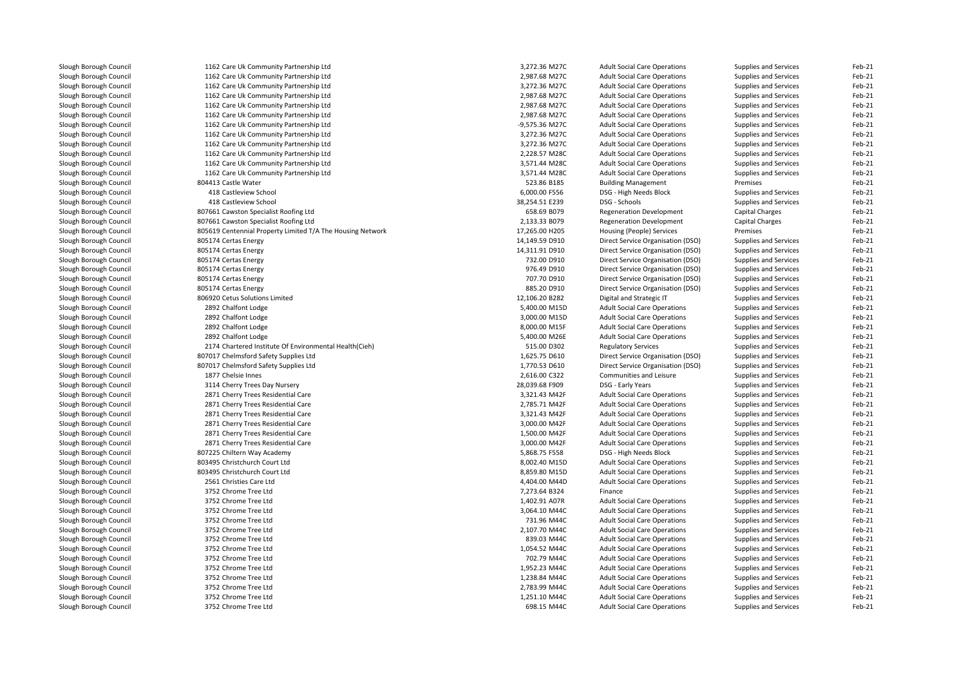| Slough Borough Council | 1162 Care Uk Community Partnership Ltd                     | 3,272.36 M27C  | <b>Adult Social Care Operations</b> | Supplies and Services | Feb-21           |
|------------------------|------------------------------------------------------------|----------------|-------------------------------------|-----------------------|------------------|
| Slough Borough Council | 1162 Care Uk Community Partnership Ltd                     | 2,987.68 M27C  | <b>Adult Social Care Operations</b> | Supplies and Services | Feb-21           |
| Slough Borough Council | 1162 Care Uk Community Partnership Ltd                     | 3,272.36 M27C  | <b>Adult Social Care Operations</b> | Supplies and Services | Feb-21           |
| Slough Borough Council | 1162 Care Uk Community Partnership Ltd                     | 2,987.68 M27C  | <b>Adult Social Care Operations</b> | Supplies and Services | Feb-21           |
| Slough Borough Council | 1162 Care Uk Community Partnership Ltd                     | 2,987.68 M27C  | <b>Adult Social Care Operations</b> | Supplies and Services | Feb-21           |
| Slough Borough Council | 1162 Care Uk Community Partnership Ltd                     | 2,987.68 M27C  | <b>Adult Social Care Operations</b> | Supplies and Services | Feb-21           |
| Slough Borough Council | 1162 Care Uk Community Partnership Ltd                     | -9,575.36 M27C | <b>Adult Social Care Operations</b> | Supplies and Services | Feb-21           |
| Slough Borough Council | 1162 Care Uk Community Partnership Ltd                     | 3,272.36 M27C  | <b>Adult Social Care Operations</b> | Supplies and Services | Feb-21           |
| Slough Borough Council | 1162 Care Uk Community Partnership Ltd                     | 3,272.36 M27C  | <b>Adult Social Care Operations</b> | Supplies and Services | Feb-21           |
| Slough Borough Council | 1162 Care Uk Community Partnership Ltd                     | 2,228.57 M28C  | <b>Adult Social Care Operations</b> | Supplies and Services | Feb-21           |
| Slough Borough Council | 1162 Care Uk Community Partnership Ltd                     | 3,571.44 M28C  | <b>Adult Social Care Operations</b> | Supplies and Services | Feb-21           |
| Slough Borough Council | 1162 Care Uk Community Partnership Ltd                     | 3,571.44 M28C  | <b>Adult Social Care Operations</b> | Supplies and Services | Feb-21           |
| Slough Borough Council | 804413 Castle Water                                        | 523.86 B185    | <b>Building Management</b>          | Premises              | Feb-21           |
| Slough Borough Council | 418 Castleview School                                      | 6,000.00 F556  | DSG - High Needs Block              | Supplies and Services | Feb-21           |
| Slough Borough Council | 418 Castleview School                                      | 38,254.51 E239 | DSG - Schools                       | Supplies and Services | Feb-21           |
| Slough Borough Council | 807661 Cawston Specialist Roofing Ltd                      | 658.69 B079    | <b>Regeneration Development</b>     | Capital Charges       | Feb-21           |
| Slough Borough Council | 807661 Cawston Specialist Roofing Ltd                      | 2,133.33 B079  | <b>Regeneration Development</b>     | Capital Charges       | Feb-21           |
| Slough Borough Council | 805619 Centennial Property Limited T/A The Housing Network | 17,265.00 H205 | Housing (People) Services           | Premises              | Feb-21           |
| Slough Borough Council | 805174 Certas Energy                                       | 14,149.59 D910 | Direct Service Organisation (DSO)   | Supplies and Services | Feb-21           |
| Slough Borough Council | 805174 Certas Energy                                       | 14,311.91 D910 | Direct Service Organisation (DSO)   | Supplies and Services | Feb-21           |
| Slough Borough Council | 805174 Certas Energy                                       | 732.00 D910    | Direct Service Organisation (DSO)   | Supplies and Services | Feb-21           |
| Slough Borough Council | 805174 Certas Energy                                       | 976.49 D910    | Direct Service Organisation (DSO)   | Supplies and Services | Feb-21           |
| Slough Borough Council | 805174 Certas Energy                                       | 707.70 D910    | Direct Service Organisation (DSO)   | Supplies and Services | Feb-21           |
|                        |                                                            | 885.20 D910    |                                     |                       |                  |
| Slough Borough Council | 805174 Certas Energy                                       |                | Direct Service Organisation (DSO)   | Supplies and Services | Feb-21<br>Feb-21 |
| Slough Borough Council | 806920 Cetus Solutions Limited                             | 12,106.20 B282 | Digital and Strategic IT            | Supplies and Services | Feb-21           |
| Slough Borough Council | 2892 Chalfont Lodge                                        | 5,400.00 M15D  | <b>Adult Social Care Operations</b> | Supplies and Services |                  |
| Slough Borough Council | 2892 Chalfont Lodge                                        | 3,000.00 M15D  | <b>Adult Social Care Operations</b> | Supplies and Services | Feb-21           |
| Slough Borough Council | 2892 Chalfont Lodge                                        | 8,000.00 M15F  | <b>Adult Social Care Operations</b> | Supplies and Services | Feb-21           |
| Slough Borough Council | 2892 Chalfont Lodge                                        | 5,400.00 M26E  | <b>Adult Social Care Operations</b> | Supplies and Services | Feb-21           |
| Slough Borough Council | 2174 Chartered Institute Of Environmental Health(Cieh)     | 515.00 D302    | <b>Regulatory Services</b>          | Supplies and Services | Feb-21           |
| Slough Borough Council | 807017 Chelmsford Safety Supplies Ltd                      | 1,625.75 D610  | Direct Service Organisation (DSO)   | Supplies and Services | Feb-21           |
| Slough Borough Council | 807017 Chelmsford Safety Supplies Ltd                      | 1,770.53 D610  | Direct Service Organisation (DSO)   | Supplies and Services | Feb-21           |
| Slough Borough Council | 1877 Chelsie Innes                                         | 2,616.00 C322  | Communities and Leisure             | Supplies and Services | Feb-21           |
| Slough Borough Council | 3114 Cherry Trees Day Nursery                              | 28,039.68 F909 | DSG - Early Years                   | Supplies and Services | Feb-21           |
| Slough Borough Council | 2871 Cherry Trees Residential Care                         | 3,321.43 M42F  | <b>Adult Social Care Operations</b> | Supplies and Services | Feb-21           |
| Slough Borough Council | 2871 Cherry Trees Residential Care                         | 2,785.71 M42F  | <b>Adult Social Care Operations</b> | Supplies and Services | Feb-21           |
| Slough Borough Council | 2871 Cherry Trees Residential Care                         | 3,321.43 M42F  | <b>Adult Social Care Operations</b> | Supplies and Services | Feb-21           |
| Slough Borough Council | 2871 Cherry Trees Residential Care                         | 3,000.00 M42F  | <b>Adult Social Care Operations</b> | Supplies and Services | Feb-21           |
| Slough Borough Council | 2871 Cherry Trees Residential Care                         | 1,500.00 M42F  | <b>Adult Social Care Operations</b> | Supplies and Services | Feb-21           |
| Slough Borough Council | 2871 Cherry Trees Residential Care                         | 3,000.00 M42F  | <b>Adult Social Care Operations</b> | Supplies and Services | Feb-21           |
| Slough Borough Council | 807225 Chiltern Way Academy                                | 5,868.75 F558  | DSG - High Needs Block              | Supplies and Services | Feb-21           |
| Slough Borough Council | 803495 Christchurch Court Ltd                              | 8,002.40 M15D  | <b>Adult Social Care Operations</b> | Supplies and Services | Feb-21           |
| Slough Borough Council | 803495 Christchurch Court Ltd                              | 8,859.80 M15D  | <b>Adult Social Care Operations</b> | Supplies and Services | Feb-21           |
| Slough Borough Council | 2561 Christies Care Ltd                                    | 4,404.00 M44D  | <b>Adult Social Care Operations</b> | Supplies and Services | Feb-21           |
| Slough Borough Council | 3752 Chrome Tree Ltd                                       | 7,273.64 B324  | Finance                             | Supplies and Services | Feb-21           |
| Slough Borough Council | 3752 Chrome Tree Ltd                                       | 1,402.91 A07R  | <b>Adult Social Care Operations</b> | Supplies and Services | Feb-21           |
| Slough Borough Council | 3752 Chrome Tree Ltd                                       | 3,064.10 M44C  | <b>Adult Social Care Operations</b> | Supplies and Services | Feb-21           |
| Slough Borough Council | 3752 Chrome Tree Ltd                                       | 731.96 M44C    | <b>Adult Social Care Operations</b> | Supplies and Services | Feb-21           |
| Slough Borough Council | 3752 Chrome Tree Ltd                                       | 2,107.70 M44C  | <b>Adult Social Care Operations</b> | Supplies and Services | Feb-21           |
| Slough Borough Council | 3752 Chrome Tree Ltd                                       | 839.03 M44C    | <b>Adult Social Care Operations</b> | Supplies and Services | Feb-21           |
| Slough Borough Council | 3752 Chrome Tree Ltd                                       | 1,054.52 M44C  | <b>Adult Social Care Operations</b> | Supplies and Services | Feb-21           |
| Slough Borough Council | 3752 Chrome Tree Ltd                                       | 702.79 M44C    | <b>Adult Social Care Operations</b> | Supplies and Services | Feb-21           |
| Slough Borough Council | 3752 Chrome Tree Ltd                                       | 1,952.23 M44C  | <b>Adult Social Care Operations</b> | Supplies and Services | Feb-21           |
| Slough Borough Council | 3752 Chrome Tree Ltd                                       | 1,238.84 M44C  | <b>Adult Social Care Operations</b> | Supplies and Services | Feb-21           |
| Slough Borough Council | 3752 Chrome Tree Ltd                                       | 2,783.99 M44C  | <b>Adult Social Care Operations</b> | Supplies and Services | Feb-21           |
| Slough Borough Council | 3752 Chrome Tree Ltd                                       | 1,251.10 M44C  | <b>Adult Social Care Operations</b> | Supplies and Services | Feb-21           |
| Slough Borough Council | 3752 Chrome Tree Ltd                                       | 698.15 M44C    | <b>Adult Social Care Operations</b> | Supplies and Services | Feb-21           |
|                        |                                                            |                |                                     |                       |                  |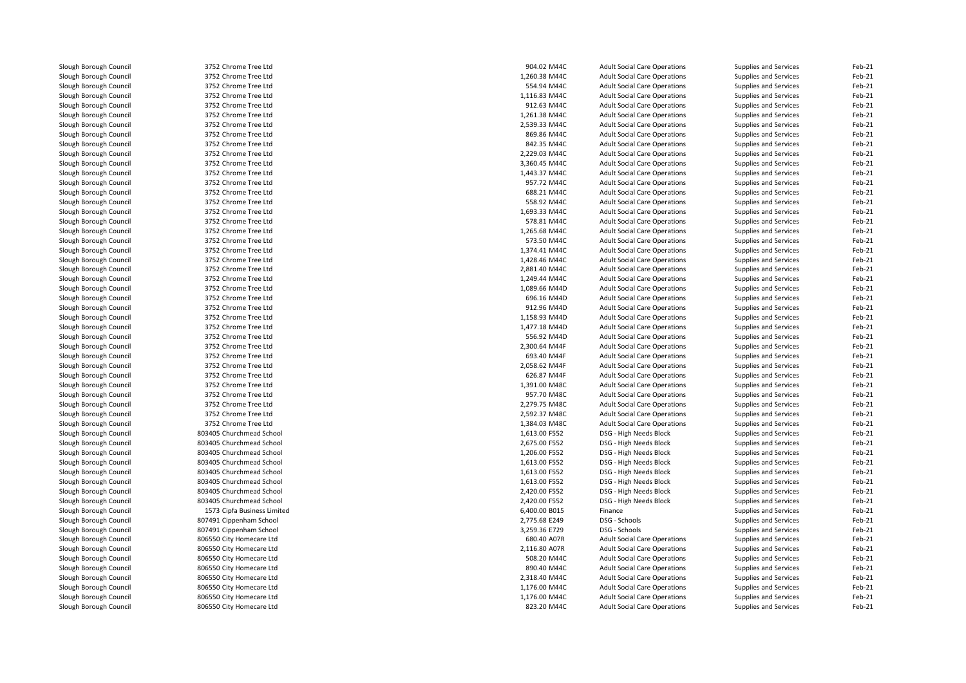| Slough Borough Council | 3752 Chrome Tree Ltd        | 904.02 M44C   | <b>Adult Social Care Operations</b> | Supplies and Services | Feb-21 |
|------------------------|-----------------------------|---------------|-------------------------------------|-----------------------|--------|
| Slough Borough Council | 3752 Chrome Tree Ltd        | 1,260.38 M44C | <b>Adult Social Care Operations</b> | Supplies and Services | Feb-21 |
| Slough Borough Council | 3752 Chrome Tree Ltd        | 554.94 M44C   | <b>Adult Social Care Operations</b> | Supplies and Services | Feb-21 |
| Slough Borough Council | 3752 Chrome Tree Ltd        | 1,116.83 M44C | <b>Adult Social Care Operations</b> | Supplies and Services | Feb-21 |
| Slough Borough Council | 3752 Chrome Tree Ltd        | 912.63 M44C   | <b>Adult Social Care Operations</b> | Supplies and Services | Feb-21 |
| Slough Borough Council | 3752 Chrome Tree Ltd        | 1,261.38 M44C | <b>Adult Social Care Operations</b> | Supplies and Services | Feb-21 |
| Slough Borough Council | 3752 Chrome Tree Ltd        | 2,539.33 M44C | <b>Adult Social Care Operations</b> | Supplies and Services | Feb-21 |
| Slough Borough Council | 3752 Chrome Tree Ltd        | 869.86 M44C   | <b>Adult Social Care Operations</b> | Supplies and Services | Feb-21 |
| Slough Borough Council | 3752 Chrome Tree Ltd        | 842.35 M44C   | <b>Adult Social Care Operations</b> | Supplies and Services | Feb-21 |
| Slough Borough Council | 3752 Chrome Tree Ltd        | 2,229.03 M44C | <b>Adult Social Care Operations</b> | Supplies and Services | Feb-21 |
| Slough Borough Council | 3752 Chrome Tree Ltd        | 3,360.45 M44C | <b>Adult Social Care Operations</b> | Supplies and Services | Feb-21 |
| Slough Borough Council | 3752 Chrome Tree Ltd        | 1,443.37 M44C | <b>Adult Social Care Operations</b> | Supplies and Services | Feb-21 |
| Slough Borough Council | 3752 Chrome Tree Ltd        | 957.72 M44C   | <b>Adult Social Care Operations</b> | Supplies and Services | Feb-21 |
| Slough Borough Council | 3752 Chrome Tree Ltd        | 688.21 M44C   | <b>Adult Social Care Operations</b> | Supplies and Services | Feb-21 |
| Slough Borough Council | 3752 Chrome Tree Ltd        | 558.92 M44C   | <b>Adult Social Care Operations</b> | Supplies and Services | Feb-21 |
| Slough Borough Council | 3752 Chrome Tree Ltd        | 1,693.33 M44C | <b>Adult Social Care Operations</b> | Supplies and Services | Feb-21 |
| Slough Borough Council | 3752 Chrome Tree Ltd        | 578.81 M44C   | <b>Adult Social Care Operations</b> | Supplies and Services | Feb-21 |
| Slough Borough Council | 3752 Chrome Tree Ltd        | 1,265.68 M44C | <b>Adult Social Care Operations</b> | Supplies and Services | Feb-21 |
| Slough Borough Council | 3752 Chrome Tree Ltd        | 573.50 M44C   | <b>Adult Social Care Operations</b> | Supplies and Services | Feb-21 |
| Slough Borough Council | 3752 Chrome Tree Ltd        | 1,374.41 M44C | <b>Adult Social Care Operations</b> | Supplies and Services | Feb-21 |
| Slough Borough Council | 3752 Chrome Tree Ltd        | 1,428.46 M44C | <b>Adult Social Care Operations</b> | Supplies and Services | Feb-21 |
| Slough Borough Council | 3752 Chrome Tree Ltd        | 2,881.40 M44C | <b>Adult Social Care Operations</b> |                       | Feb-21 |
|                        | 3752 Chrome Tree Ltd        | 1,249.44 M44C |                                     | Supplies and Services | Feb-21 |
| Slough Borough Council |                             |               | <b>Adult Social Care Operations</b> | Supplies and Services |        |
| Slough Borough Council | 3752 Chrome Tree Ltd        | 1,089.66 M44D | <b>Adult Social Care Operations</b> | Supplies and Services | Feb-21 |
| Slough Borough Council | 3752 Chrome Tree Ltd        | 696.16 M44D   | <b>Adult Social Care Operations</b> | Supplies and Services | Feb-21 |
| Slough Borough Council | 3752 Chrome Tree Ltd        | 912.96 M44D   | <b>Adult Social Care Operations</b> | Supplies and Services | Feb-21 |
| Slough Borough Council | 3752 Chrome Tree Ltd        | 1,158.93 M44D | <b>Adult Social Care Operations</b> | Supplies and Services | Feb-21 |
| Slough Borough Council | 3752 Chrome Tree Ltd        | 1,477.18 M44D | <b>Adult Social Care Operations</b> | Supplies and Services | Feb-21 |
| Slough Borough Council | 3752 Chrome Tree Ltd        | 556.92 M44D   | <b>Adult Social Care Operations</b> | Supplies and Services | Feb-21 |
| Slough Borough Council | 3752 Chrome Tree Ltd        | 2,300.64 M44F | <b>Adult Social Care Operations</b> | Supplies and Services | Feb-21 |
| Slough Borough Council | 3752 Chrome Tree Ltd        | 693.40 M44F   | <b>Adult Social Care Operations</b> | Supplies and Services | Feb-21 |
| Slough Borough Council | 3752 Chrome Tree Ltd        | 2,058.62 M44F | <b>Adult Social Care Operations</b> | Supplies and Services | Feb-21 |
| Slough Borough Council | 3752 Chrome Tree Ltd        | 626.87 M44F   | <b>Adult Social Care Operations</b> | Supplies and Services | Feb-21 |
| Slough Borough Council | 3752 Chrome Tree Ltd        | 1,391.00 M48C | <b>Adult Social Care Operations</b> | Supplies and Services | Feb-21 |
| Slough Borough Council | 3752 Chrome Tree Ltd        | 957.70 M48C   | <b>Adult Social Care Operations</b> | Supplies and Services | Feb-21 |
| Slough Borough Council | 3752 Chrome Tree Ltd        | 2,279.75 M48C | <b>Adult Social Care Operations</b> | Supplies and Services | Feb-21 |
| Slough Borough Council | 3752 Chrome Tree Ltd        | 2,592.37 M48C | <b>Adult Social Care Operations</b> | Supplies and Services | Feb-21 |
| Slough Borough Council | 3752 Chrome Tree Ltd        | 1,384.03 M48C | <b>Adult Social Care Operations</b> | Supplies and Services | Feb-21 |
| Slough Borough Council | 803405 Churchmead School    | 1,613.00 F552 | DSG - High Needs Block              | Supplies and Services | Feb-21 |
| Slough Borough Council | 803405 Churchmead School    | 2,675.00 F552 | DSG - High Needs Block              | Supplies and Services | Feb-21 |
| Slough Borough Council | 803405 Churchmead School    | 1,206.00 F552 | DSG - High Needs Block              | Supplies and Services | Feb-21 |
| Slough Borough Council | 803405 Churchmead School    | 1,613.00 F552 | DSG - High Needs Block              | Supplies and Services | Feb-21 |
| Slough Borough Council | 803405 Churchmead School    | 1,613.00 F552 | DSG - High Needs Block              | Supplies and Services | Feb-21 |
| Slough Borough Council | 803405 Churchmead School    | 1,613.00 F552 | DSG - High Needs Block              | Supplies and Services | Feb-21 |
| Slough Borough Council | 803405 Churchmead School    | 2,420.00 F552 | DSG - High Needs Block              | Supplies and Services | Feb-21 |
| Slough Borough Council | 803405 Churchmead School    | 2,420.00 F552 | DSG - High Needs Block              | Supplies and Services | Feb-21 |
| Slough Borough Council | 1573 Cipfa Business Limited | 6,400.00 B015 | Finance                             | Supplies and Services | Feb-21 |
| Slough Borough Council | 807491 Cippenham School     | 2,775.68 E249 | DSG - Schools                       | Supplies and Services | Feb-21 |
| Slough Borough Council | 807491 Cippenham School     | 3,259.36 E729 | DSG - Schools                       | Supplies and Services | Feb-21 |
| Slough Borough Council | 806550 City Homecare Ltd    | 680.40 A07R   | <b>Adult Social Care Operations</b> | Supplies and Services | Feb-21 |
| Slough Borough Council | 806550 City Homecare Ltd    | 2,116.80 A07R | <b>Adult Social Care Operations</b> | Supplies and Services | Feb-21 |
| Slough Borough Council | 806550 City Homecare Ltd    | 508.20 M44C   | <b>Adult Social Care Operations</b> | Supplies and Services | Feb-21 |
| Slough Borough Council | 806550 City Homecare Ltd    | 890.40 M44C   | <b>Adult Social Care Operations</b> | Supplies and Services | Feb-21 |
| Slough Borough Council | 806550 City Homecare Ltd    | 2,318.40 M44C | <b>Adult Social Care Operations</b> | Supplies and Services | Feb-21 |
| Slough Borough Council | 806550 City Homecare Ltd    | 1,176.00 M44C | <b>Adult Social Care Operations</b> | Supplies and Services | Feb-21 |
| Slough Borough Council | 806550 City Homecare Ltd    | 1,176.00 M44C | <b>Adult Social Care Operations</b> | Supplies and Services | Feb-21 |
| Slough Borough Council | 806550 City Homecare Ltd    | 823.20 M44C   | <b>Adult Social Care Operations</b> | Supplies and Services | Feb-21 |
|                        |                             |               |                                     |                       |        |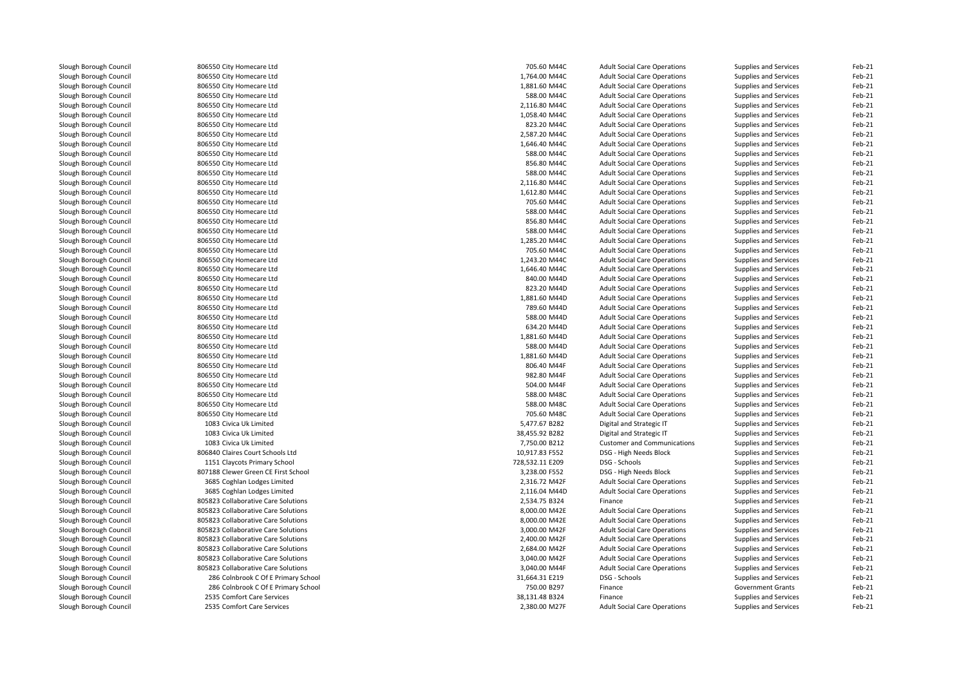| Slough Borough Council                           | 806550 City Homecare Ltd            | 705.60 M44C     | <b>Adult Social Care Operations</b>                                        | Supplies and Services                          | Feb-21 |
|--------------------------------------------------|-------------------------------------|-----------------|----------------------------------------------------------------------------|------------------------------------------------|--------|
| Slough Borough Council                           | 806550 City Homecare Ltd            | 1,764.00 M44C   | <b>Adult Social Care Operations</b>                                        | Supplies and Services                          | Feb-21 |
| Slough Borough Council                           | 806550 City Homecare Ltd            | 1,881.60 M44C   | <b>Adult Social Care Operations</b>                                        | Supplies and Services                          | Feb-21 |
| Slough Borough Council                           | 806550 City Homecare Ltd            | 588.00 M44C     | <b>Adult Social Care Operations</b>                                        | Supplies and Services                          | Feb-21 |
| Slough Borough Council                           | 806550 City Homecare Ltd            | 2,116.80 M44C   | <b>Adult Social Care Operations</b>                                        | Supplies and Services                          | Feb-21 |
| Slough Borough Council                           | 806550 City Homecare Ltd            | 1,058.40 M44C   | <b>Adult Social Care Operations</b>                                        | Supplies and Services                          | Feb-21 |
| Slough Borough Council                           | 806550 City Homecare Ltd            | 823.20 M44C     | <b>Adult Social Care Operations</b>                                        | Supplies and Services                          | Feb-21 |
| Slough Borough Council                           | 806550 City Homecare Ltd            | 2,587.20 M44C   | <b>Adult Social Care Operations</b>                                        | Supplies and Services                          | Feb-21 |
| Slough Borough Council                           | 806550 City Homecare Ltd            | 1,646.40 M44C   | <b>Adult Social Care Operations</b>                                        | <b>Supplies and Services</b>                   | Feb-21 |
| Slough Borough Council                           | 806550 City Homecare Ltd            | 588.00 M44C     | <b>Adult Social Care Operations</b>                                        | Supplies and Services                          | Feb-21 |
| Slough Borough Council                           | 806550 City Homecare Ltd            | 856.80 M44C     | <b>Adult Social Care Operations</b>                                        | Supplies and Services                          | Feb-21 |
| Slough Borough Council                           | 806550 City Homecare Ltd            | 588.00 M44C     | <b>Adult Social Care Operations</b>                                        | Supplies and Services                          | Feb-21 |
| Slough Borough Council                           | 806550 City Homecare Ltd            | 2,116.80 M44C   | <b>Adult Social Care Operations</b>                                        | Supplies and Services                          | Feb-21 |
| Slough Borough Council                           | 806550 City Homecare Ltd            | 1,612.80 M44C   | <b>Adult Social Care Operations</b>                                        | Supplies and Services                          | Feb-21 |
| Slough Borough Council                           | 806550 City Homecare Ltd            | 705.60 M44C     | <b>Adult Social Care Operations</b>                                        | Supplies and Services                          | Feb-21 |
| Slough Borough Council                           | 806550 City Homecare Ltd            | 588.00 M44C     | <b>Adult Social Care Operations</b>                                        | Supplies and Services                          | Feb-21 |
| Slough Borough Council                           | 806550 City Homecare Ltd            | 856.80 M44C     | <b>Adult Social Care Operations</b>                                        | Supplies and Services                          | Feb-21 |
| Slough Borough Council                           | 806550 City Homecare Ltd            | 588.00 M44C     | <b>Adult Social Care Operations</b>                                        | Supplies and Services                          | Feb-21 |
| Slough Borough Council                           | 806550 City Homecare Ltd            | 1,285.20 M44C   | <b>Adult Social Care Operations</b>                                        | Supplies and Services                          | Feb-21 |
| Slough Borough Council                           | 806550 City Homecare Ltd            | 705.60 M44C     | <b>Adult Social Care Operations</b>                                        | Supplies and Services                          | Feb-21 |
| Slough Borough Council                           | 806550 City Homecare Ltd            | 1,243.20 M44C   | <b>Adult Social Care Operations</b>                                        | Supplies and Services                          | Feb-21 |
| Slough Borough Council                           | 806550 City Homecare Ltd            | 1,646.40 M44C   | <b>Adult Social Care Operations</b>                                        | Supplies and Services                          | Feb-21 |
| Slough Borough Council                           | 806550 City Homecare Ltd            | 840.00 M44D     | <b>Adult Social Care Operations</b>                                        | Supplies and Services                          | Feb-21 |
| Slough Borough Council                           | 806550 City Homecare Ltd            | 823.20 M44D     | <b>Adult Social Care Operations</b>                                        | Supplies and Services                          | Feb-21 |
| Slough Borough Council                           | 806550 City Homecare Ltd            | 1,881.60 M44D   | <b>Adult Social Care Operations</b>                                        | Supplies and Services                          | Feb-21 |
| Slough Borough Council                           | 806550 City Homecare Ltd            | 789.60 M44D     | <b>Adult Social Care Operations</b>                                        | Supplies and Services                          | Feb-21 |
| Slough Borough Council                           | 806550 City Homecare Ltd            | 588.00 M44D     | <b>Adult Social Care Operations</b>                                        | Supplies and Services                          | Feb-21 |
| Slough Borough Council                           | 806550 City Homecare Ltd            | 634.20 M44D     | <b>Adult Social Care Operations</b>                                        | Supplies and Services                          | Feb-21 |
| Slough Borough Council                           | 806550 City Homecare Ltd            | 1,881.60 M44D   | <b>Adult Social Care Operations</b>                                        | <b>Supplies and Services</b>                   | Feb-21 |
|                                                  | 806550 City Homecare Ltd            | 588.00 M44D     | <b>Adult Social Care Operations</b>                                        |                                                | Feb-21 |
| Slough Borough Council<br>Slough Borough Council | 806550 City Homecare Ltd            | 1,881.60 M44D   | <b>Adult Social Care Operations</b>                                        | Supplies and Services<br>Supplies and Services | Feb-21 |
| Slough Borough Council                           |                                     | 806.40 M44F     |                                                                            |                                                | Feb-21 |
|                                                  | 806550 City Homecare Ltd            | 982.80 M44F     | <b>Adult Social Care Operations</b><br><b>Adult Social Care Operations</b> | Supplies and Services                          | Feb-21 |
| Slough Borough Council                           | 806550 City Homecare Ltd            |                 |                                                                            | Supplies and Services                          |        |
| Slough Borough Council                           | 806550 City Homecare Ltd            | 504.00 M44F     | <b>Adult Social Care Operations</b>                                        | Supplies and Services                          | Feb-21 |
| Slough Borough Council                           | 806550 City Homecare Ltd            | 588.00 M48C     | <b>Adult Social Care Operations</b>                                        | Supplies and Services                          | Feb-21 |
| Slough Borough Council                           | 806550 City Homecare Ltd            | 588.00 M48C     | <b>Adult Social Care Operations</b>                                        | Supplies and Services                          | Feb-21 |
| Slough Borough Council                           | 806550 City Homecare Ltd            | 705.60 M48C     | <b>Adult Social Care Operations</b>                                        | Supplies and Services                          | Feb-21 |
| Slough Borough Council                           | 1083 Civica Uk Limited              | 5,477.67 B282   | Digital and Strategic IT                                                   | Supplies and Services                          | Feb-21 |
| Slough Borough Council                           | 1083 Civica Uk Limited              | 38,455.92 B282  | Digital and Strategic IT                                                   | <b>Supplies and Services</b>                   | Feb-21 |
| Slough Borough Council                           | 1083 Civica Uk Limited              | 7,750.00 B212   | <b>Customer and Communications</b>                                         | Supplies and Services                          | Feb-21 |
| Slough Borough Council                           | 806840 Claires Court Schools Ltd    | 10,917.83 F552  | DSG - High Needs Block                                                     | Supplies and Services                          | Feb-21 |
| Slough Borough Council                           | 1151 Claycots Primary School        | 728,532.11 E209 | DSG - Schools                                                              | Supplies and Services                          | Feb-21 |
| Slough Borough Council                           | 807188 Clewer Green CE First School | 3,238.00 F552   | DSG - High Needs Block                                                     | Supplies and Services                          | Feb-21 |
| Slough Borough Council                           | 3685 Coghlan Lodges Limited         | 2,316.72 M42F   | <b>Adult Social Care Operations</b>                                        | Supplies and Services                          | Feb-21 |
| Slough Borough Council                           | 3685 Coghlan Lodges Limited         | 2,116.04 M44D   | <b>Adult Social Care Operations</b>                                        | Supplies and Services                          | Feb-21 |
| Slough Borough Council                           | 805823 Collaborative Care Solutions | 2,534.75 B324   | Finance                                                                    | Supplies and Services                          | Feb-21 |
| Slough Borough Council                           | 805823 Collaborative Care Solutions | 8,000.00 M42E   | <b>Adult Social Care Operations</b>                                        | Supplies and Services                          | Feb-21 |
| Slough Borough Council                           | 805823 Collaborative Care Solutions | 8,000.00 M42E   | <b>Adult Social Care Operations</b>                                        | Supplies and Services                          | Feb-21 |
| Slough Borough Council                           | 805823 Collaborative Care Solutions | 3,000.00 M42F   | <b>Adult Social Care Operations</b>                                        | Supplies and Services                          | Feb-21 |
| Slough Borough Council                           | 805823 Collaborative Care Solutions | 2,400.00 M42F   | <b>Adult Social Care Operations</b>                                        | Supplies and Services                          | Feb-21 |
| Slough Borough Council                           | 805823 Collaborative Care Solutions | 2.684.00 M42F   | <b>Adult Social Care Operations</b>                                        | Supplies and Services                          | Feb-21 |
| Slough Borough Council                           | 805823 Collaborative Care Solutions | 3,040.00 M42F   | <b>Adult Social Care Operations</b>                                        | Supplies and Services                          | Feb-21 |
| Slough Borough Council                           | 805823 Collaborative Care Solutions | 3,040.00 M44F   | <b>Adult Social Care Operations</b>                                        | Supplies and Services                          | Feb-21 |
| Slough Borough Council                           | 286 Colnbrook C Of E Primary School | 31,664.31 E219  | DSG - Schools                                                              | Supplies and Services                          | Feb-21 |
| Slough Borough Council                           | 286 Colnbrook C Of E Primary School | 750.00 B297     | Finance                                                                    | <b>Government Grants</b>                       | Feb-21 |
| Slough Borough Council                           | 2535 Comfort Care Services          | 38,131.48 B324  | Finance                                                                    | Supplies and Services                          | Feb-21 |
| Slough Borough Council                           | 2535 Comfort Care Services          | 2,380.00 M27F   | <b>Adult Social Care Operations</b>                                        | Supplies and Services                          | Feb-21 |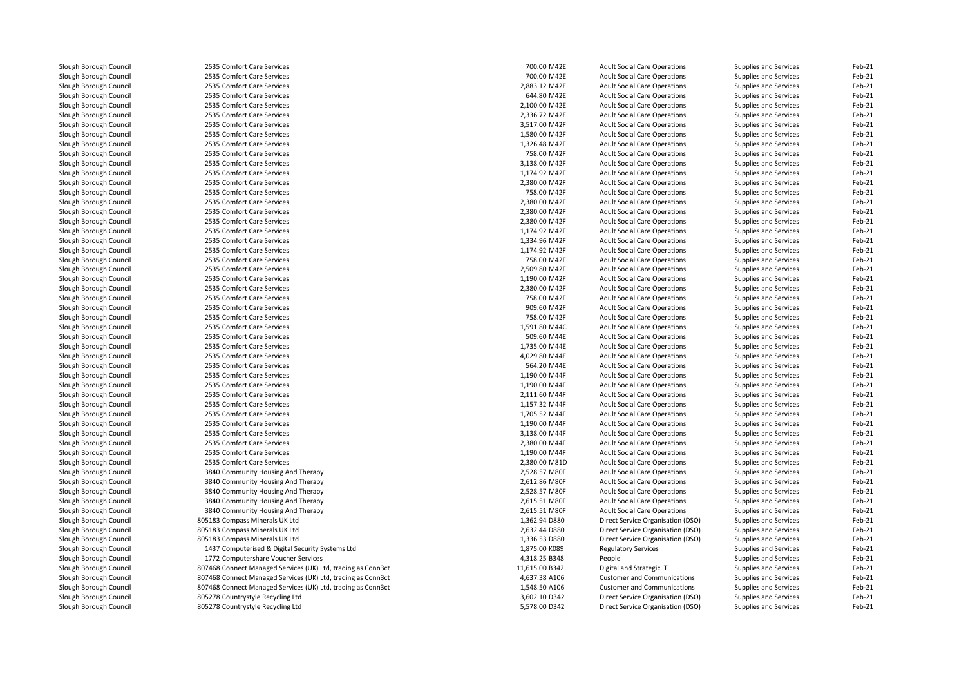| Slough Borough Council | 2535 Comfort Care Services                                   | 700.00 M42E    | <b>Adult Social Care Operations</b> | Supplies and Services        | Feb-21 |
|------------------------|--------------------------------------------------------------|----------------|-------------------------------------|------------------------------|--------|
| Slough Borough Council | 2535 Comfort Care Services                                   | 700.00 M42E    | <b>Adult Social Care Operations</b> | Supplies and Services        | Feb-21 |
| Slough Borough Council | 2535 Comfort Care Services                                   | 2,883.12 M42E  | <b>Adult Social Care Operations</b> | Supplies and Services        | Feb-21 |
| Slough Borough Council | 2535 Comfort Care Services                                   | 644.80 M42E    | <b>Adult Social Care Operations</b> | Supplies and Services        | Feb-21 |
| Slough Borough Council | 2535 Comfort Care Services                                   | 2,100.00 M42E  | <b>Adult Social Care Operations</b> | Supplies and Services        | Feb-21 |
| Slough Borough Council | 2535 Comfort Care Services                                   | 2,336.72 M42E  | <b>Adult Social Care Operations</b> | Supplies and Services        | Feb-21 |
| Slough Borough Council | 2535 Comfort Care Services                                   | 3,517.00 M42F  | <b>Adult Social Care Operations</b> | Supplies and Services        | Feb-21 |
| Slough Borough Council | 2535 Comfort Care Services                                   | 1,580.00 M42F  | <b>Adult Social Care Operations</b> | Supplies and Services        | Feb-21 |
| Slough Borough Council | 2535 Comfort Care Services                                   | 1,326.48 M42F  | <b>Adult Social Care Operations</b> | Supplies and Services        | Feb-21 |
| Slough Borough Council | 2535 Comfort Care Services                                   | 758.00 M42F    | <b>Adult Social Care Operations</b> | Supplies and Services        | Feb-21 |
| Slough Borough Council | 2535 Comfort Care Services                                   | 3,138.00 M42F  | <b>Adult Social Care Operations</b> | Supplies and Services        | Feb-21 |
| Slough Borough Council | 2535 Comfort Care Services                                   | 1,174.92 M42F  | <b>Adult Social Care Operations</b> | <b>Supplies and Services</b> | Feb-21 |
| Slough Borough Council | 2535 Comfort Care Services                                   | 2,380.00 M42F  | <b>Adult Social Care Operations</b> | Supplies and Services        | Feb-21 |
| Slough Borough Council | 2535 Comfort Care Services                                   | 758.00 M42F    | <b>Adult Social Care Operations</b> | Supplies and Services        | Feb-21 |
|                        | 2535 Comfort Care Services                                   | 2,380.00 M42F  |                                     |                              | Feb-21 |
| Slough Borough Council |                                                              |                | <b>Adult Social Care Operations</b> | Supplies and Services        |        |
| Slough Borough Council | 2535 Comfort Care Services                                   | 2,380.00 M42F  | <b>Adult Social Care Operations</b> | Supplies and Services        | Feb-21 |
| Slough Borough Council | 2535 Comfort Care Services                                   | 2,380.00 M42F  | <b>Adult Social Care Operations</b> | Supplies and Services        | Feb-21 |
| Slough Borough Council | 2535 Comfort Care Services                                   | 1,174.92 M42F  | <b>Adult Social Care Operations</b> | Supplies and Services        | Feb-21 |
| Slough Borough Council | 2535 Comfort Care Services                                   | 1,334.96 M42F  | <b>Adult Social Care Operations</b> | Supplies and Services        | Feb-21 |
| Slough Borough Council | 2535 Comfort Care Services                                   | 1,174.92 M42F  | <b>Adult Social Care Operations</b> | Supplies and Services        | Feb-21 |
| Slough Borough Council | 2535 Comfort Care Services                                   | 758.00 M42F    | <b>Adult Social Care Operations</b> | Supplies and Services        | Feb-21 |
| Slough Borough Council | 2535 Comfort Care Services                                   | 2,509.80 M42F  | <b>Adult Social Care Operations</b> | Supplies and Services        | Feb-21 |
| Slough Borough Council | 2535 Comfort Care Services                                   | 1,190.00 M42F  | <b>Adult Social Care Operations</b> | Supplies and Services        | Feb-21 |
| Slough Borough Council | 2535 Comfort Care Services                                   | 2.380.00 M42F  | <b>Adult Social Care Operations</b> | Supplies and Services        | Feb-21 |
| Slough Borough Council | 2535 Comfort Care Services                                   | 758.00 M42F    | <b>Adult Social Care Operations</b> | Supplies and Services        | Feb-21 |
| Slough Borough Council | 2535 Comfort Care Services                                   | 909.60 M42F    | <b>Adult Social Care Operations</b> | Supplies and Services        | Feb-21 |
| Slough Borough Council | 2535 Comfort Care Services                                   | 758.00 M42F    | <b>Adult Social Care Operations</b> | Supplies and Services        | Feb-21 |
| Slough Borough Council | 2535 Comfort Care Services                                   | 1,591.80 M44C  | <b>Adult Social Care Operations</b> | Supplies and Services        | Feb-21 |
| Slough Borough Council | 2535 Comfort Care Services                                   | 509.60 M44E    | <b>Adult Social Care Operations</b> | Supplies and Services        | Feb-21 |
| Slough Borough Council | 2535 Comfort Care Services                                   | 1,735.00 M44E  | <b>Adult Social Care Operations</b> | Supplies and Services        | Feb-21 |
| Slough Borough Council | 2535 Comfort Care Services                                   | 4,029.80 M44E  | <b>Adult Social Care Operations</b> | Supplies and Services        | Feb-21 |
| Slough Borough Council | 2535 Comfort Care Services                                   | 564.20 M44E    | <b>Adult Social Care Operations</b> | <b>Supplies and Services</b> | Feb-21 |
| Slough Borough Council | 2535 Comfort Care Services                                   | 1,190.00 M44F  | <b>Adult Social Care Operations</b> | Supplies and Services        | Feb-21 |
| Slough Borough Council | 2535 Comfort Care Services                                   | 1,190.00 M44F  | <b>Adult Social Care Operations</b> | Supplies and Services        | Feb-21 |
| Slough Borough Council | 2535 Comfort Care Services                                   | 2,111.60 M44F  | <b>Adult Social Care Operations</b> | Supplies and Services        | Feb-21 |
| Slough Borough Council | 2535 Comfort Care Services                                   | 1,157.32 M44F  | <b>Adult Social Care Operations</b> | Supplies and Services        | Feb-21 |
| Slough Borough Council | 2535 Comfort Care Services                                   | 1,705.52 M44F  | <b>Adult Social Care Operations</b> | Supplies and Services        | Feb-21 |
| Slough Borough Council | 2535 Comfort Care Services                                   | 1,190.00 M44F  | <b>Adult Social Care Operations</b> | Supplies and Services        | Feb-21 |
| Slough Borough Council | 2535 Comfort Care Services                                   | 3,138.00 M44F  | <b>Adult Social Care Operations</b> | Supplies and Services        | Feb-21 |
| Slough Borough Council | 2535 Comfort Care Services                                   | 2,380.00 M44F  | <b>Adult Social Care Operations</b> | Supplies and Services        | Feb-21 |
| Slough Borough Council | 2535 Comfort Care Services                                   | 1,190.00 M44F  | <b>Adult Social Care Operations</b> | Supplies and Services        | Feb-21 |
|                        |                                                              |                |                                     |                              | Feb-21 |
| Slough Borough Council | 2535 Comfort Care Services                                   | 2,380.00 M81D  | <b>Adult Social Care Operations</b> | Supplies and Services        |        |
| Slough Borough Council | 3840 Community Housing And Therapy                           | 2,528.57 M80F  | <b>Adult Social Care Operations</b> | Supplies and Services        | Feb-21 |
| Slough Borough Council | 3840 Community Housing And Therapy                           | 2,612.86 M80F  | <b>Adult Social Care Operations</b> | Supplies and Services        | Feb-21 |
| Slough Borough Council | 3840 Community Housing And Therapy                           | 2,528.57 M80F  | <b>Adult Social Care Operations</b> | Supplies and Services        | Feb-21 |
| Slough Borough Council | 3840 Community Housing And Therapy                           | 2,615.51 M80F  | <b>Adult Social Care Operations</b> | Supplies and Services        | Feb-21 |
| Slough Borough Council | 3840 Community Housing And Therapy                           | 2,615.51 M80F  | <b>Adult Social Care Operations</b> | Supplies and Services        | Feb-21 |
| Slough Borough Council | 805183 Compass Minerals UK Ltd                               | 1,362.94 D880  | Direct Service Organisation (DSO)   | Supplies and Services        | Feb-21 |
| Slough Borough Council | 805183 Compass Minerals UK Ltd                               | 2,632.44 D880  | Direct Service Organisation (DSO)   | Supplies and Services        | Feb-21 |
| Slough Borough Council | 805183 Compass Minerals UK Ltd                               | 1,336.53 D880  | Direct Service Organisation (DSO)   | Supplies and Services        | Feb-21 |
| Slough Borough Council | 1437 Computerised & Digital Security Systems Ltd             | 1,875.00 K089  | <b>Regulatory Services</b>          | Supplies and Services        | Feb-21 |
| Slough Borough Council | 1772 Computershare Voucher Services                          | 4,318.25 B348  | People                              | Supplies and Services        | Feb-21 |
| Slough Borough Council | 807468 Connect Managed Services (UK) Ltd, trading as Conn3ct | 11,615.00 B342 | Digital and Strategic IT            | Supplies and Services        | Feb-21 |
| Slough Borough Council | 807468 Connect Managed Services (UK) Ltd, trading as Conn3ct | 4,637.38 A106  | <b>Customer and Communications</b>  | Supplies and Services        | Feb-21 |
| Slough Borough Council | 807468 Connect Managed Services (UK) Ltd, trading as Conn3ct | 1,548.50 A106  | <b>Customer and Communications</b>  | Supplies and Services        | Feb-21 |
| Slough Borough Council | 805278 Countrystyle Recycling Ltd                            | 3,602.10 D342  | Direct Service Organisation (DSO)   | Supplies and Services        | Feb-21 |
| Slough Borough Council | 805278 Countrystyle Recycling Ltd                            | 5,578.00 D342  | Direct Service Organisation (DSO)   | Supplies and Services        | Feb-21 |
|                        |                                                              |                |                                     |                              |        |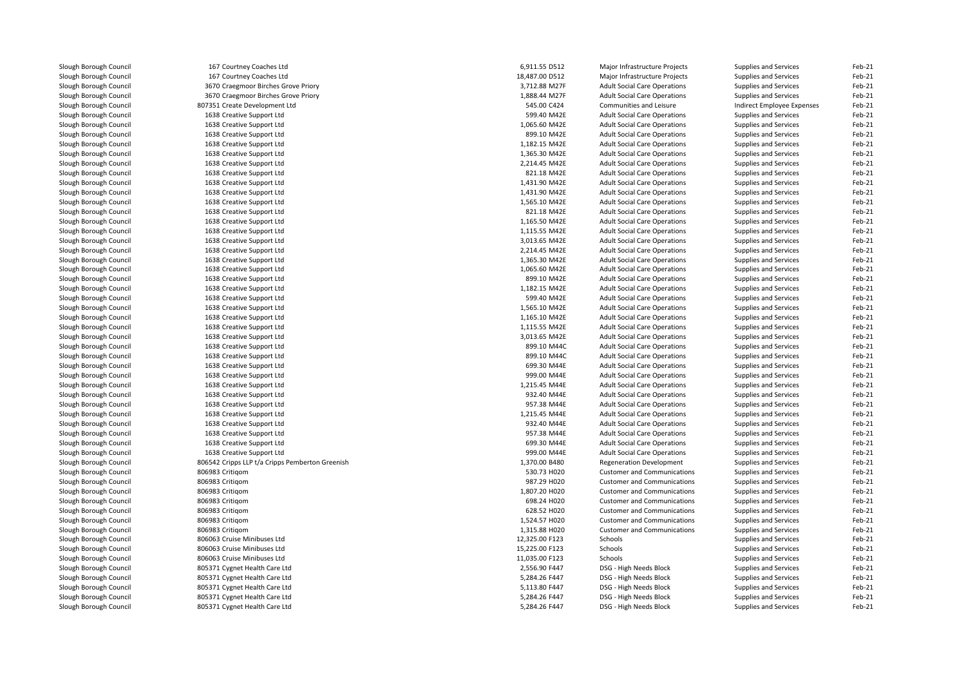| Slough Borough Council | 167 Courtney Coaches Ltd                        | 6,911.55 D512                | Major Infrastructure Projects       | Supplies and Services        | Feb-21 |
|------------------------|-------------------------------------------------|------------------------------|-------------------------------------|------------------------------|--------|
| Slough Borough Council | 167 Courtney Coaches Ltd                        | 18,487.00 D512               | Major Infrastructure Projects       | Supplies and Services        | Feb-21 |
| Slough Borough Council | 3670 Craegmoor Birches Grove Priory             | 3,712.88 M27F                | <b>Adult Social Care Operations</b> | <b>Supplies and Services</b> | Feb-21 |
| Slough Borough Council | 3670 Craegmoor Birches Grove Priory             | 1,888.44 M27F                | <b>Adult Social Care Operations</b> | <b>Supplies and Services</b> | Feb-21 |
| Slough Borough Council | 807351 Create Development Ltd                   | 545.00 C424                  | Communities and Leisure             | Indirect Employee Expenses   | Feb-21 |
| Slough Borough Council | 1638 Creative Support Ltd                       | 599.40 M42E                  | <b>Adult Social Care Operations</b> | <b>Supplies and Services</b> | Feb-21 |
| Slough Borough Council | 1638 Creative Support Ltd                       | 1,065.60 M42E                | <b>Adult Social Care Operations</b> | <b>Supplies and Services</b> | Feb-21 |
| Slough Borough Council | 1638 Creative Support Ltd                       | 899.10 M42E                  | <b>Adult Social Care Operations</b> | <b>Supplies and Services</b> | Feb-21 |
| Slough Borough Council | 1638 Creative Support Ltd                       | 1,182.15 M42E                | <b>Adult Social Care Operations</b> | <b>Supplies and Services</b> | Feb-21 |
| Slough Borough Council | 1638 Creative Support Ltd                       | 1,365.30 M42E                | <b>Adult Social Care Operations</b> | <b>Supplies and Services</b> | Feb-21 |
| Slough Borough Council | 1638 Creative Support Ltd                       | 2,214.45 M42E                | <b>Adult Social Care Operations</b> | Supplies and Services        | Feb-21 |
| Slough Borough Council | 1638 Creative Support Ltd                       | 821.18 M42E                  | <b>Adult Social Care Operations</b> | <b>Supplies and Services</b> | Feb-21 |
| Slough Borough Council | 1638 Creative Support Ltd                       | 1,431.90 M42E                | <b>Adult Social Care Operations</b> | Supplies and Services        | Feb-21 |
| Slough Borough Council | 1638 Creative Support Ltd                       | 1,431.90 M42E                | <b>Adult Social Care Operations</b> | Supplies and Services        | Feb-21 |
| Slough Borough Council | 1638 Creative Support Ltd                       | 1,565.10 M42E                | <b>Adult Social Care Operations</b> | <b>Supplies and Services</b> | Feb-21 |
| Slough Borough Council | 1638 Creative Support Ltd                       | 821.18 M42E                  | <b>Adult Social Care Operations</b> | Supplies and Services        | Feb-21 |
| Slough Borough Council | 1638 Creative Support Ltd                       | 1,165.50 M42E                | <b>Adult Social Care Operations</b> | <b>Supplies and Services</b> | Feb-21 |
| Slough Borough Council | 1638 Creative Support Ltd                       | 1,115.55 M42E                | <b>Adult Social Care Operations</b> | <b>Supplies and Services</b> | Feb-21 |
| Slough Borough Council | 1638 Creative Support Ltd                       | 3,013.65 M42E                | <b>Adult Social Care Operations</b> | <b>Supplies and Services</b> | Feb-21 |
| Slough Borough Council | 1638 Creative Support Ltd                       | 2,214.45 M42E                | <b>Adult Social Care Operations</b> | <b>Supplies and Services</b> | Feb-21 |
| Slough Borough Council | 1638 Creative Support Ltd                       | 1,365.30 M42E                | <b>Adult Social Care Operations</b> | <b>Supplies and Services</b> | Feb-21 |
| Slough Borough Council | 1638 Creative Support Ltd                       | 1,065.60 M42E                | <b>Adult Social Care Operations</b> | <b>Supplies and Services</b> | Feb-21 |
| Slough Borough Council | 1638 Creative Support Ltd                       | 899.10 M42E                  | <b>Adult Social Care Operations</b> | <b>Supplies and Services</b> | Feb-21 |
| Slough Borough Council | 1638 Creative Support Ltd                       | 1,182.15 M42E                | <b>Adult Social Care Operations</b> | <b>Supplies and Services</b> | Feb-21 |
| Slough Borough Council | 1638 Creative Support Ltd                       | 599.40 M42E                  | <b>Adult Social Care Operations</b> | <b>Supplies and Services</b> | Feb-21 |
| Slough Borough Council | 1638 Creative Support Ltd                       | 1,565.10 M42E                | <b>Adult Social Care Operations</b> | Supplies and Services        | Feb-21 |
| Slough Borough Council | 1638 Creative Support Ltd                       | 1,165.10 M42E                | <b>Adult Social Care Operations</b> | <b>Supplies and Services</b> | Feb-21 |
| Slough Borough Council | 1638 Creative Support Ltd                       | 1,115.55 M42E                | <b>Adult Social Care Operations</b> |                              | Feb-21 |
|                        |                                                 |                              |                                     | Supplies and Services        |        |
| Slough Borough Council | 1638 Creative Support Ltd                       | 3,013.65 M42E<br>899.10 M44C | <b>Adult Social Care Operations</b> | <b>Supplies and Services</b> | Feb-21 |
| Slough Borough Council | 1638 Creative Support Ltd                       |                              | <b>Adult Social Care Operations</b> | <b>Supplies and Services</b> | Feb-21 |
| Slough Borough Council | 1638 Creative Support Ltd                       | 899.10 M44C                  | <b>Adult Social Care Operations</b> | Supplies and Services        | Feb-21 |
| Slough Borough Council | 1638 Creative Support Ltd                       | 699.30 M44E                  | <b>Adult Social Care Operations</b> | <b>Supplies and Services</b> | Feb-21 |
| Slough Borough Council | 1638 Creative Support Ltd                       | 999.00 M44E                  | <b>Adult Social Care Operations</b> | <b>Supplies and Services</b> | Feb-21 |
| Slough Borough Council | 1638 Creative Support Ltd                       | 1,215.45 M44E                | <b>Adult Social Care Operations</b> | Supplies and Services        | Feb-21 |
| Slough Borough Council | 1638 Creative Support Ltd                       | 932.40 M44E                  | <b>Adult Social Care Operations</b> | <b>Supplies and Services</b> | Feb-21 |
| Slough Borough Council | 1638 Creative Support Ltd                       | 957.38 M44E                  | <b>Adult Social Care Operations</b> | <b>Supplies and Services</b> | Feb-21 |
| Slough Borough Council | 1638 Creative Support Ltd                       | 1,215.45 M44E                | <b>Adult Social Care Operations</b> | <b>Supplies and Services</b> | Feb-21 |
| Slough Borough Council | 1638 Creative Support Ltd                       | 932.40 M44E                  | <b>Adult Social Care Operations</b> | Supplies and Services        | Feb-21 |
| Slough Borough Council | 1638 Creative Support Ltd                       | 957.38 M44E                  | <b>Adult Social Care Operations</b> | <b>Supplies and Services</b> | Feb-21 |
| Slough Borough Council | 1638 Creative Support Ltd                       | 699.30 M44E                  | <b>Adult Social Care Operations</b> | <b>Supplies and Services</b> | Feb-21 |
| Slough Borough Council | 1638 Creative Support Ltd                       | 999.00 M44E                  | <b>Adult Social Care Operations</b> | <b>Supplies and Services</b> | Feb-21 |
| Slough Borough Council | 806542 Cripps LLP t/a Cripps Pemberton Greenish | 1,370.00 B480                | <b>Regeneration Development</b>     | Supplies and Services        | Feb-21 |
| Slough Borough Council | 806983 Critigom                                 | 530.73 H020                  | <b>Customer and Communications</b>  | Supplies and Services        | Feb-21 |
| Slough Borough Council | 806983 Critigom                                 | 987.29 H020                  | <b>Customer and Communications</b>  | <b>Supplies and Services</b> | Feb-21 |
| Slough Borough Council | 806983 Critigom                                 | 1,807.20 H020                | <b>Customer and Communications</b>  | <b>Supplies and Services</b> | Feb-21 |
| Slough Borough Council | 806983 Critigom                                 | 698.24 H020                  | <b>Customer and Communications</b>  | Supplies and Services        | Feb-21 |
| Slough Borough Council | 806983 Critigom                                 | 628.52 H020                  | <b>Customer and Communications</b>  | <b>Supplies and Services</b> | Feb-21 |
| Slough Borough Council | 806983 Critigom                                 | 1,524.57 H020                | <b>Customer and Communications</b>  | <b>Supplies and Services</b> | Feb-21 |
| Slough Borough Council | 806983 Critigom                                 | 1,315.88 H020                | <b>Customer and Communications</b>  | Supplies and Services        | Feb-21 |
| Slough Borough Council | 806063 Cruise Minibuses Ltd                     | 12,325.00 F123               | Schools                             | <b>Supplies and Services</b> | Feb-21 |
| Slough Borough Council | 806063 Cruise Minibuses Ltd                     | 15,225.00 F123               | Schools                             | <b>Supplies and Services</b> | Feb-21 |
| Slough Borough Council | 806063 Cruise Minibuses Ltd                     | 11,035.00 F123               | Schools                             | <b>Supplies and Services</b> | Feb-21 |
| Slough Borough Council | 805371 Cygnet Health Care Ltd                   | 2,556.90 F447                | DSG - High Needs Block              | Supplies and Services        | Feb-21 |
| Slough Borough Council | 805371 Cygnet Health Care Ltd                   | 5,284.26 F447                | DSG - High Needs Block              | Supplies and Services        | Feb-21 |
| Slough Borough Council | 805371 Cygnet Health Care Ltd                   | 5,113.80 F447                | DSG - High Needs Block              | Supplies and Services        | Feb-21 |
| Slough Borough Council | 805371 Cygnet Health Care Ltd                   | 5,284.26 F447                | DSG - High Needs Block              | Supplies and Services        | Feb-21 |
| Slough Borough Council | 805371 Cygnet Health Care Ltd                   | 5,284.26 F447                | DSG - High Needs Block              | Supplies and Services        | Feb-21 |
|                        |                                                 |                              |                                     |                              |        |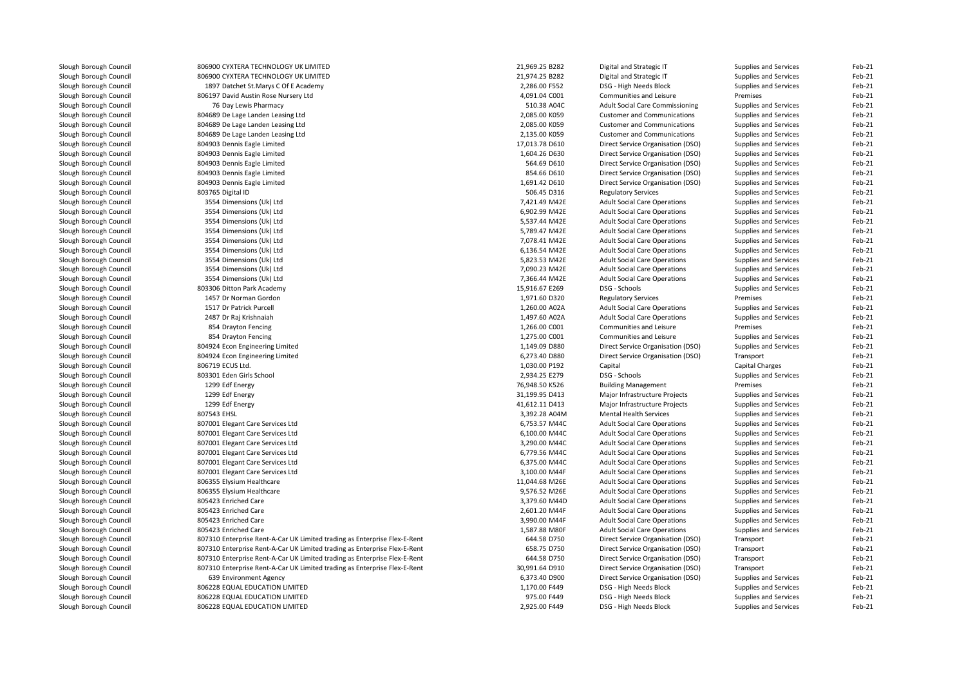| Slough Borough Council | 806900 CYXTERA TECHNOLOGY UK LIMITED                                      | 21,969.25 B282 | Digital and Strategic IT               | Supplies and Services  | Feb-21 |
|------------------------|---------------------------------------------------------------------------|----------------|----------------------------------------|------------------------|--------|
| Slough Borough Council | 806900 CYXTERA TECHNOLOGY UK LIMITED                                      | 21,974.25 B282 | Digital and Strategic IT               | Supplies and Services  | Feb-21 |
| Slough Borough Council | 1897 Datchet St.Marys C Of E Academy                                      | 2,286.00 F552  | DSG - High Needs Block                 | Supplies and Services  | Feb-21 |
| Slough Borough Council | 806197 David Austin Rose Nursery Ltd                                      | 4,091.04 C001  | Communities and Leisure                | Premises               | Feb-21 |
| Slough Borough Council | 76 Day Lewis Pharmacy                                                     | 510.38 A04C    | <b>Adult Social Care Commissioning</b> | Supplies and Services  | Feb-21 |
| Slough Borough Council | 804689 De Lage Landen Leasing Ltd                                         | 2,085.00 K059  | <b>Customer and Communications</b>     | Supplies and Services  | Feb-21 |
| Slough Borough Council | 804689 De Lage Landen Leasing Ltd                                         | 2,085.00 K059  | <b>Customer and Communications</b>     | Supplies and Services  | Feb-21 |
| Slough Borough Council | 804689 De Lage Landen Leasing Ltd                                         | 2,135.00 K059  | <b>Customer and Communications</b>     | Supplies and Services  | Feb-21 |
| Slough Borough Council | 804903 Dennis Eagle Limited                                               | 17,013.78 D610 | Direct Service Organisation (DSO)      | Supplies and Services  | Feb-21 |
| Slough Borough Council | 804903 Dennis Eagle Limited                                               | 1,604.26 D630  | Direct Service Organisation (DSO)      | Supplies and Services  | Feb-21 |
| Slough Borough Council | 804903 Dennis Eagle Limited                                               | 564.69 D610    | Direct Service Organisation (DSO)      | Supplies and Services  | Feb-21 |
| Slough Borough Council | 804903 Dennis Eagle Limited                                               | 854.66 D610    | Direct Service Organisation (DSO)      | Supplies and Services  | Feb-21 |
| Slough Borough Council | 804903 Dennis Eagle Limited                                               | 1,691.42 D610  | Direct Service Organisation (DSO)      | Supplies and Services  | Feb-21 |
| Slough Borough Council | 803765 Digital ID                                                         | 506.45 D316    | <b>Regulatory Services</b>             | Supplies and Services  | Feb-21 |
| Slough Borough Council | 3554 Dimensions (Uk) Ltd                                                  | 7,421.49 M42E  | <b>Adult Social Care Operations</b>    | Supplies and Services  | Feb-21 |
| Slough Borough Council | 3554 Dimensions (Uk) Ltd                                                  | 6,902.99 M42E  | <b>Adult Social Care Operations</b>    | Supplies and Services  | Feb-21 |
| Slough Borough Council | 3554 Dimensions (Uk) Ltd                                                  | 5,537.44 M42E  | <b>Adult Social Care Operations</b>    | Supplies and Services  | Feb-21 |
| Slough Borough Council | 3554 Dimensions (Uk) Ltd                                                  | 5,789.47 M42E  | <b>Adult Social Care Operations</b>    | Supplies and Services  | Feb-21 |
| Slough Borough Council | 3554 Dimensions (Uk) Ltd                                                  | 7,078.41 M42E  | <b>Adult Social Care Operations</b>    | Supplies and Services  | Feb-21 |
| Slough Borough Council | 3554 Dimensions (Uk) Ltd                                                  | 6,136.54 M42E  | <b>Adult Social Care Operations</b>    | Supplies and Services  | Feb-21 |
| Slough Borough Council | 3554 Dimensions (Uk) Ltd                                                  | 5,823.53 M42E  | <b>Adult Social Care Operations</b>    | Supplies and Services  | Feb-21 |
|                        | 3554 Dimensions (Uk) Ltd                                                  | 7,090.23 M42E  | <b>Adult Social Care Operations</b>    | Supplies and Services  | Feb-21 |
| Slough Borough Council |                                                                           | 7,366.44 M42E  |                                        |                        | Feb-21 |
| Slough Borough Council | 3554 Dimensions (Uk) Ltd                                                  |                | <b>Adult Social Care Operations</b>    | Supplies and Services  | Feb-21 |
| Slough Borough Council | 803306 Ditton Park Academy                                                | 15,916.67 E269 | DSG - Schools                          | Supplies and Services  |        |
| Slough Borough Council | 1457 Dr Norman Gordon                                                     | 1,971.60 D320  | <b>Regulatory Services</b>             | Premises               | Feb-21 |
| Slough Borough Council | 1517 Dr Patrick Purcell                                                   | 1,260.00 A02A  | <b>Adult Social Care Operations</b>    | Supplies and Services  | Feb-21 |
| Slough Borough Council | 2487 Dr Raj Krishnaiah                                                    | 1,497.60 A02A  | <b>Adult Social Care Operations</b>    | Supplies and Services  | Feb-21 |
| Slough Borough Council | 854 Drayton Fencing                                                       | 1,266.00 C001  | Communities and Leisure                | Premises               | Feb-21 |
| Slough Borough Council | 854 Drayton Fencing                                                       | 1,275.00 C001  | Communities and Leisure                | Supplies and Services  | Feb-21 |
| Slough Borough Council | 804924 Econ Engineering Limited                                           | 1,149.09 D880  | Direct Service Organisation (DSO)      | Supplies and Services  | Feb-21 |
| Slough Borough Council | 804924 Econ Engineering Limited                                           | 6,273.40 D880  | Direct Service Organisation (DSO)      | Transport              | Feb-21 |
| Slough Borough Council | 806719 ECUS Ltd.                                                          | 1,030.00 P192  | Capital                                | <b>Capital Charges</b> | Feb-21 |
| Slough Borough Council | 803301 Eden Girls School                                                  | 2,934.25 E279  | DSG - Schools                          | Supplies and Services  | Feb-21 |
| Slough Borough Council | 1299 Edf Energy                                                           | 76,948.50 K526 | <b>Building Management</b>             | Premises               | Feb-21 |
| Slough Borough Council | 1299 Edf Energy                                                           | 31,199.95 D413 | Major Infrastructure Projects          | Supplies and Services  | Feb-21 |
| Slough Borough Council | 1299 Edf Energy                                                           | 41,612.11 D413 | Major Infrastructure Projects          | Supplies and Services  | Feb-21 |
| Slough Borough Council | 807543 EHSL                                                               | 3,392.28 A04M  | <b>Mental Health Services</b>          | Supplies and Services  | Feb-21 |
| Slough Borough Council | 807001 Elegant Care Services Ltd                                          | 6,753.57 M44C  | <b>Adult Social Care Operations</b>    | Supplies and Services  | Feb-21 |
| Slough Borough Council | 807001 Elegant Care Services Ltd                                          | 6,100.00 M44C  | <b>Adult Social Care Operations</b>    | Supplies and Services  | Feb-21 |
| Slough Borough Council | 807001 Elegant Care Services Ltd                                          | 3,290.00 M44C  | <b>Adult Social Care Operations</b>    | Supplies and Services  | Feb-21 |
| Slough Borough Council | 807001 Elegant Care Services Ltd                                          | 6,779.56 M44C  | <b>Adult Social Care Operations</b>    | Supplies and Services  | Feb-21 |
| Slough Borough Council | 807001 Elegant Care Services Ltd                                          | 6,375.00 M44C  | <b>Adult Social Care Operations</b>    | Supplies and Services  | Feb-21 |
| Slough Borough Council | 807001 Elegant Care Services Ltd                                          | 3,100.00 M44F  | <b>Adult Social Care Operations</b>    | Supplies and Services  | Feb-21 |
| Slough Borough Council | 806355 Elysium Healthcare                                                 | 11,044.68 M26E | <b>Adult Social Care Operations</b>    | Supplies and Services  | Feb-21 |
| Slough Borough Council | 806355 Elysium Healthcare                                                 | 9,576.52 M26E  | <b>Adult Social Care Operations</b>    | Supplies and Services  | Feb-21 |
| Slough Borough Council | 805423 Enriched Care                                                      | 3,379.60 M44D  | <b>Adult Social Care Operations</b>    | Supplies and Services  | Feb-21 |
| Slough Borough Council | 805423 Enriched Care                                                      | 2,601.20 M44F  | <b>Adult Social Care Operations</b>    | Supplies and Services  | Feb-21 |
| Slough Borough Council | 805423 Enriched Care                                                      | 3,990.00 M44F  | <b>Adult Social Care Operations</b>    | Supplies and Services  | Feb-21 |
| Slough Borough Council | 805423 Enriched Care                                                      | 1,587.88 M80F  | <b>Adult Social Care Operations</b>    | Supplies and Services  | Feb-21 |
| Slough Borough Council | 807310 Enterprise Rent-A-Car UK Limited trading as Enterprise Flex-E-Rent | 644.58 D750    | Direct Service Organisation (DSO)      | Transport              | Feb-21 |
| Slough Borough Council | 807310 Enterprise Rent-A-Car UK Limited trading as Enterprise Flex-E-Rent | 658.75 D750    | Direct Service Organisation (DSO)      | Transport              | Feb-21 |
| Slough Borough Council | 807310 Enterprise Rent-A-Car UK Limited trading as Enterprise Flex-E-Rent | 644.58 D750    | Direct Service Organisation (DSO)      | Transport              | Feb-21 |
| Slough Borough Council | 807310 Enterprise Rent-A-Car UK Limited trading as Enterprise Flex-E-Rent | 30,991.64 D910 | Direct Service Organisation (DSO)      | Transport              | Feb-21 |
| Slough Borough Council | 639 Environment Agency                                                    | 6,373.40 D900  | Direct Service Organisation (DSO)      | Supplies and Services  | Feb-21 |
| Slough Borough Council | 806228 EQUAL EDUCATION LIMITED                                            | 1,170.00 F449  | DSG - High Needs Block                 | Supplies and Services  | Feb-21 |
| Slough Borough Council | 806228 EQUAL EDUCATION LIMITED                                            | 975.00 F449    | DSG - High Needs Block                 | Supplies and Services  | Feb-21 |
| Slough Borough Council | 806228 EQUAL EDUCATION LIMITED                                            | 2,925.00 F449  | DSG - High Needs Block                 | Supplies and Services  | Feb-21 |
|                        |                                                                           |                |                                        |                        |        |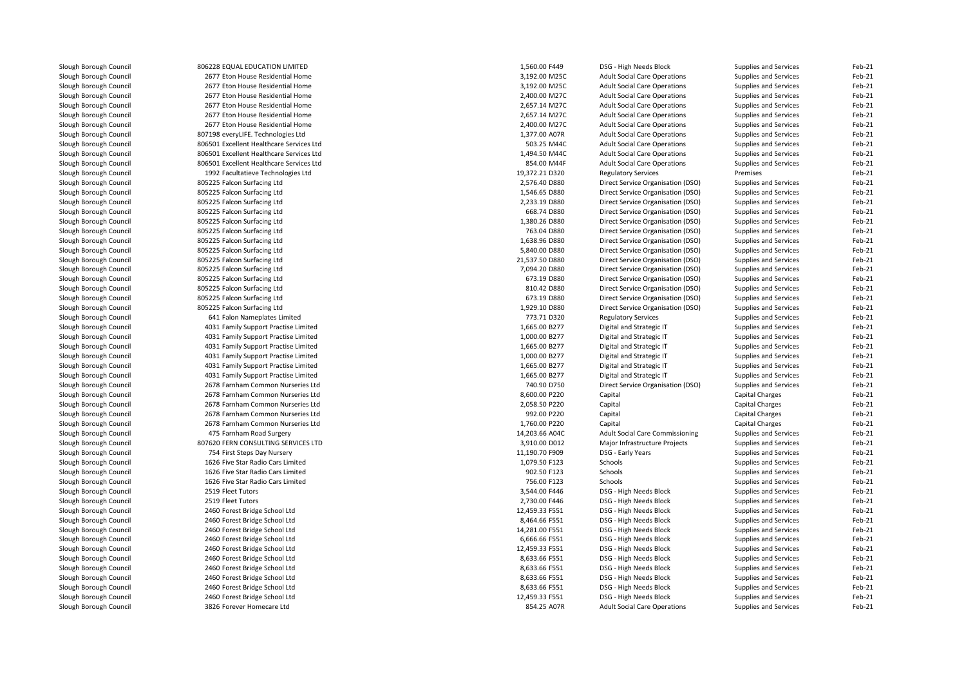| Slough Borough Council | 806228 EQUAL EDUCATION LIMITED           | 1,560.00 F449  | DSG - High Needs Block                 | Supplies and Services        | Feb-21 |
|------------------------|------------------------------------------|----------------|----------------------------------------|------------------------------|--------|
| Slough Borough Council | 2677 Eton House Residential Home         | 3,192.00 M25C  | <b>Adult Social Care Operations</b>    | Supplies and Services        | Feb-21 |
| Slough Borough Council | 2677 Eton House Residential Home         | 3,192.00 M25C  | <b>Adult Social Care Operations</b>    | Supplies and Services        | Feb-21 |
| Slough Borough Council | 2677 Eton House Residential Home         | 2,400.00 M27C  | <b>Adult Social Care Operations</b>    | Supplies and Services        | Feb-21 |
| Slough Borough Council | 2677 Eton House Residential Home         | 2,657.14 M27C  | <b>Adult Social Care Operations</b>    | Supplies and Services        | Feb-21 |
| Slough Borough Council | 2677 Eton House Residential Home         | 2,657.14 M27C  | <b>Adult Social Care Operations</b>    | Supplies and Services        | Feb-21 |
| Slough Borough Council | 2677 Eton House Residential Home         | 2,400.00 M27C  | <b>Adult Social Care Operations</b>    | Supplies and Services        | Feb-21 |
| Slough Borough Council | 807198 everyLIFE. Technologies Ltd       | 1,377.00 A07R  | <b>Adult Social Care Operations</b>    | Supplies and Services        | Feb-21 |
| Slough Borough Council | 806501 Excellent Healthcare Services Ltd | 503.25 M44C    | <b>Adult Social Care Operations</b>    | Supplies and Services        | Feb-21 |
| Slough Borough Council | 806501 Excellent Healthcare Services Ltd | 1,494.50 M44C  | <b>Adult Social Care Operations</b>    | Supplies and Services        | Feb-21 |
| Slough Borough Council | 806501 Excellent Healthcare Services Ltd | 854.00 M44F    | <b>Adult Social Care Operations</b>    | Supplies and Services        | Feb-21 |
| Slough Borough Council | 1992 Facultatieve Technologies Ltd       | 19,372.21 D320 | <b>Regulatory Services</b>             | Premises                     | Feb-21 |
| Slough Borough Council | 805225 Falcon Surfacing Ltd              | 2,576.40 D880  | Direct Service Organisation (DSO)      | Supplies and Services        | Feb-21 |
| Slough Borough Council | 805225 Falcon Surfacing Ltd              | 1,546.65 D880  | Direct Service Organisation (DSO)      | Supplies and Services        | Feb-21 |
| Slough Borough Council | 805225 Falcon Surfacing Ltd              | 2,233.19 D880  | Direct Service Organisation (DSO)      | Supplies and Services        | Feb-21 |
| Slough Borough Council | 805225 Falcon Surfacing Ltd              | 668.74 D880    | Direct Service Organisation (DSO)      | Supplies and Services        | Feb-21 |
| Slough Borough Council | 805225 Falcon Surfacing Ltd              | 1,380.26 D880  | Direct Service Organisation (DSO)      | Supplies and Services        | Feb-21 |
| Slough Borough Council | 805225 Falcon Surfacing Ltd              | 763.04 D880    | Direct Service Organisation (DSO)      |                              | Feb-21 |
| Slough Borough Council | 805225 Falcon Surfacing Ltd              | 1,638.96 D880  | Direct Service Organisation (DSO)      | Supplies and Services        | Feb-21 |
|                        | 805225 Falcon Surfacing Ltd              | 5,840.00 D880  |                                        | Supplies and Services        | Feb-21 |
| Slough Borough Council |                                          |                | Direct Service Organisation (DSO)      | Supplies and Services        |        |
| Slough Borough Council | 805225 Falcon Surfacing Ltd              | 21,537.50 D880 | Direct Service Organisation (DSO)      | Supplies and Services        | Feb-21 |
| Slough Borough Council | 805225 Falcon Surfacing Ltd              | 7,094.20 D880  | Direct Service Organisation (DSO)      | Supplies and Services        | Feb-21 |
| Slough Borough Council | 805225 Falcon Surfacing Ltd              | 673.19 D880    | Direct Service Organisation (DSO)      | Supplies and Services        | Feb-21 |
| Slough Borough Council | 805225 Falcon Surfacing Ltd              | 810.42 D880    | Direct Service Organisation (DSO)      | Supplies and Services        | Feb-21 |
| Slough Borough Council | 805225 Falcon Surfacing Ltd              | 673.19 D880    | Direct Service Organisation (DSO)      | Supplies and Services        | Feb-21 |
| Slough Borough Council | 805225 Falcon Surfacing Ltd              | 1,929.10 D880  | Direct Service Organisation (DSO)      | Supplies and Services        | Feb-21 |
| Slough Borough Council | 641 Falon Nameplates Limited             | 773.71 D320    | <b>Regulatory Services</b>             | Supplies and Services        | Feb-21 |
| Slough Borough Council | 4031 Family Support Practise Limited     | 1,665.00 B277  | Digital and Strategic IT               | Supplies and Services        | Feb-21 |
| Slough Borough Council | 4031 Family Support Practise Limited     | 1,000.00 B277  | Digital and Strategic IT               | <b>Supplies and Services</b> | Feb-21 |
| Slough Borough Council | 4031 Family Support Practise Limited     | 1,665.00 B277  | Digital and Strategic IT               | Supplies and Services        | Feb-21 |
| Slough Borough Council | 4031 Family Support Practise Limited     | 1,000.00 B277  | Digital and Strategic IT               | Supplies and Services        | Feb-21 |
| Slough Borough Council | 4031 Family Support Practise Limited     | 1,665.00 B277  | Digital and Strategic IT               | Supplies and Services        | Feb-21 |
| Slough Borough Council | 4031 Family Support Practise Limited     | 1,665.00 B277  | Digital and Strategic IT               | Supplies and Services        | Feb-21 |
| Slough Borough Council | 2678 Farnham Common Nurseries Ltd        | 740.90 D750    | Direct Service Organisation (DSO)      | Supplies and Services        | Feb-21 |
| Slough Borough Council | 2678 Farnham Common Nurseries Ltd        | 8.600.00 P220  | Capital                                | <b>Capital Charges</b>       | Feb-21 |
| Slough Borough Council | 2678 Farnham Common Nurseries Ltd        | 2,058.50 P220  | Capital                                | Capital Charges              | Feb-21 |
| Slough Borough Council | 2678 Farnham Common Nurseries Ltd        | 992.00 P220    | Capital                                | Capital Charges              | Feb-21 |
| Slough Borough Council | 2678 Farnham Common Nurseries Ltd        | 1,760.00 P220  | Capital                                | Capital Charges              | Feb-21 |
| Slough Borough Council | 475 Farnham Road Surgery                 | 14,203.66 A04C | <b>Adult Social Care Commissioning</b> | Supplies and Services        | Feb-21 |
| Slough Borough Council | 807620 FERN CONSULTING SERVICES LTD      | 3,910.00 D012  | Major Infrastructure Projects          | Supplies and Services        | Feb-21 |
| Slough Borough Council | 754 First Steps Day Nursery              | 11,190.70 F909 | DSG - Early Years                      | Supplies and Services        | Feb-21 |
| Slough Borough Council | 1626 Five Star Radio Cars Limited        | 1,079.50 F123  | Schools                                | Supplies and Services        | Feb-21 |
| Slough Borough Council | 1626 Five Star Radio Cars Limited        | 902.50 F123    | Schools                                | Supplies and Services        | Feb-21 |
| Slough Borough Council | 1626 Five Star Radio Cars Limited        | 756.00 F123    | Schools                                | Supplies and Services        | Feb-21 |
| Slough Borough Council | 2519 Fleet Tutors                        | 3,544.00 F446  | DSG - High Needs Block                 | Supplies and Services        | Feb-21 |
| Slough Borough Council | 2519 Fleet Tutors                        | 2,730.00 F446  | DSG - High Needs Block                 | Supplies and Services        | Feb-21 |
| Slough Borough Council | 2460 Forest Bridge School Ltd            | 12,459.33 F551 | DSG - High Needs Block                 | Supplies and Services        | Feb-21 |
| Slough Borough Council | 2460 Forest Bridge School Ltd            | 8,464.66 F551  | DSG - High Needs Block                 | Supplies and Services        | Feb-21 |
| Slough Borough Council | 2460 Forest Bridge School Ltd            | 14,281.00 F551 | DSG - High Needs Block                 | Supplies and Services        | Feb-21 |
| Slough Borough Council | 2460 Forest Bridge School Ltd            | 6,666.66 F551  | DSG - High Needs Block                 | Supplies and Services        | Feb-21 |
| Slough Borough Council | 2460 Forest Bridge School Ltd            | 12,459.33 F551 | DSG - High Needs Block                 | Supplies and Services        | Feb-21 |
| Slough Borough Council | 2460 Forest Bridge School Ltd            | 8,633.66 F551  | DSG - High Needs Block                 | Supplies and Services        | Feb-21 |
| Slough Borough Council | 2460 Forest Bridge School Ltd            | 8,633.66 F551  | DSG - High Needs Block                 | Supplies and Services        | Feb-21 |
| Slough Borough Council | 2460 Forest Bridge School Ltd            | 8,633.66 F551  | DSG - High Needs Block                 | Supplies and Services        | Feb-21 |
| Slough Borough Council | 2460 Forest Bridge School Ltd            | 8,633.66 F551  | DSG - High Needs Block                 | Supplies and Services        | Feb-21 |
| Slough Borough Council | 2460 Forest Bridge School Ltd            | 12,459.33 F551 | DSG - High Needs Block                 | Supplies and Services        | Feb-21 |
| Slough Borough Council | 3826 Forever Homecare Ltd                | 854.25 A07R    | <b>Adult Social Care Operations</b>    | Supplies and Services        | Feb-21 |
|                        |                                          |                |                                        |                              |        |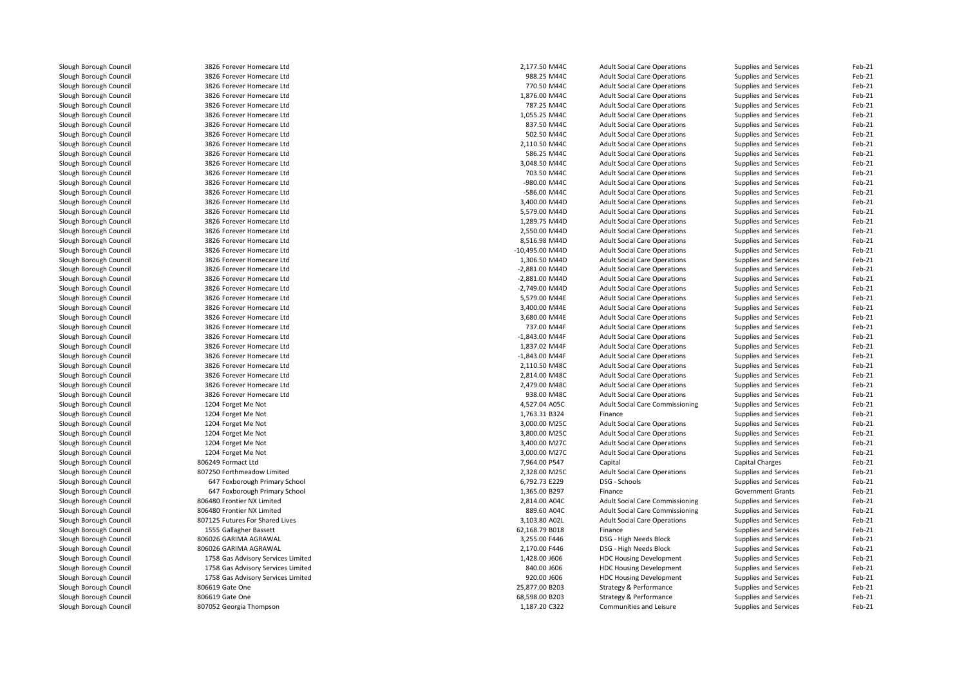| Slough Borough Council | 3826 Forever Homecare Ltd          | 2,177.50 M44C    | <b>Adult Social Care Operations</b>    | Supplies and Services        | Feb-21 |
|------------------------|------------------------------------|------------------|----------------------------------------|------------------------------|--------|
| Slough Borough Council | 3826 Forever Homecare Ltd          | 988.25 M44C      | <b>Adult Social Care Operations</b>    | Supplies and Services        | Feb-21 |
| Slough Borough Council | 3826 Forever Homecare Ltd          | 770.50 M44C      | <b>Adult Social Care Operations</b>    | Supplies and Services        | Feb-21 |
| Slough Borough Council | 3826 Forever Homecare Ltd          | 1,876.00 M44C    | <b>Adult Social Care Operations</b>    | Supplies and Services        | Feb-21 |
| Slough Borough Council | 3826 Forever Homecare Ltd          | 787.25 M44C      | <b>Adult Social Care Operations</b>    | Supplies and Services        | Feb-21 |
| Slough Borough Council | 3826 Forever Homecare Ltd          | 1,055.25 M44C    | <b>Adult Social Care Operations</b>    | Supplies and Services        | Feb-21 |
| Slough Borough Council | 3826 Forever Homecare Ltd          | 837.50 M44C      | <b>Adult Social Care Operations</b>    | Supplies and Services        | Feb-21 |
| Slough Borough Council | 3826 Forever Homecare Ltd          | 502.50 M44C      | <b>Adult Social Care Operations</b>    | Supplies and Services        | Feb-21 |
| Slough Borough Council | 3826 Forever Homecare Ltd          | 2,110.50 M44C    | <b>Adult Social Care Operations</b>    | Supplies and Services        | Feb-21 |
| Slough Borough Council | 3826 Forever Homecare Ltd          | 586.25 M44C      | <b>Adult Social Care Operations</b>    | Supplies and Services        | Feb-21 |
| Slough Borough Council | 3826 Forever Homecare Ltd          | 3,048.50 M44C    | <b>Adult Social Care Operations</b>    | Supplies and Services        | Feb-21 |
| Slough Borough Council | 3826 Forever Homecare Ltd          | 703.50 M44C      | <b>Adult Social Care Operations</b>    | Supplies and Services        | Feb-21 |
| Slough Borough Council | 3826 Forever Homecare Ltd          | -980.00 M44C     | <b>Adult Social Care Operations</b>    | Supplies and Services        | Feb-21 |
| Slough Borough Council | 3826 Forever Homecare Ltd          | -586.00 M44C     | <b>Adult Social Care Operations</b>    | Supplies and Services        | Feb-21 |
| Slough Borough Council | 3826 Forever Homecare Ltd          | 3,400.00 M44D    | <b>Adult Social Care Operations</b>    | Supplies and Services        | Feb-21 |
| Slough Borough Council | 3826 Forever Homecare Ltd          | 5,579.00 M44D    | <b>Adult Social Care Operations</b>    | Supplies and Services        | Feb-21 |
| Slough Borough Council | 3826 Forever Homecare Ltd          | 1,289.75 M44D    | <b>Adult Social Care Operations</b>    | Supplies and Services        | Feb-21 |
| Slough Borough Council | 3826 Forever Homecare Ltd          | 2,550.00 M44D    | <b>Adult Social Care Operations</b>    |                              | Feb-21 |
| Slough Borough Council | 3826 Forever Homecare Ltd          | 8,516.98 M44D    |                                        | Supplies and Services        | Feb-21 |
|                        | 3826 Forever Homecare Ltd          | -10,495.00 M44D  | <b>Adult Social Care Operations</b>    | Supplies and Services        | Feb-21 |
| Slough Borough Council |                                    |                  | <b>Adult Social Care Operations</b>    | Supplies and Services        |        |
| Slough Borough Council | 3826 Forever Homecare Ltd          | 1,306.50 M44D    | <b>Adult Social Care Operations</b>    | Supplies and Services        | Feb-21 |
| Slough Borough Council | 3826 Forever Homecare Ltd          | -2,881.00 M44D   | <b>Adult Social Care Operations</b>    | Supplies and Services        | Feb-21 |
| Slough Borough Council | 3826 Forever Homecare Ltd          | -2,881.00 M44D   | <b>Adult Social Care Operations</b>    | Supplies and Services        | Feb-21 |
| Slough Borough Council | 3826 Forever Homecare Ltd          | -2,749.00 M44D   | <b>Adult Social Care Operations</b>    | Supplies and Services        | Feb-21 |
| Slough Borough Council | 3826 Forever Homecare Ltd          | 5,579.00 M44E    | <b>Adult Social Care Operations</b>    | Supplies and Services        | Feb-21 |
| Slough Borough Council | 3826 Forever Homecare Ltd          | 3,400.00 M44E    | <b>Adult Social Care Operations</b>    | <b>Supplies and Services</b> | Feb-21 |
| Slough Borough Council | 3826 Forever Homecare Ltd          | 3,680.00 M44E    | <b>Adult Social Care Operations</b>    | Supplies and Services        | Feb-21 |
| Slough Borough Council | 3826 Forever Homecare Ltd          | 737.00 M44F      | <b>Adult Social Care Operations</b>    | Supplies and Services        | Feb-21 |
| Slough Borough Council | 3826 Forever Homecare Ltd          | $-1,843.00$ M44F | <b>Adult Social Care Operations</b>    | Supplies and Services        | Feb-21 |
| Slough Borough Council | 3826 Forever Homecare Ltd          | 1,837.02 M44F    | <b>Adult Social Care Operations</b>    | Supplies and Services        | Feb-21 |
| Slough Borough Council | 3826 Forever Homecare Ltd          | -1,843.00 M44F   | <b>Adult Social Care Operations</b>    | Supplies and Services        | Feb-21 |
| Slough Borough Council | 3826 Forever Homecare Ltd          | 2,110.50 M48C    | <b>Adult Social Care Operations</b>    | Supplies and Services        | Feb-21 |
| Slough Borough Council | 3826 Forever Homecare Ltd          | 2,814.00 M48C    | <b>Adult Social Care Operations</b>    | Supplies and Services        | Feb-21 |
| Slough Borough Council | 3826 Forever Homecare Ltd          | 2,479.00 M48C    | <b>Adult Social Care Operations</b>    | Supplies and Services        | Feb-21 |
| Slough Borough Council | 3826 Forever Homecare Ltd          | 938.00 M48C      | <b>Adult Social Care Operations</b>    | Supplies and Services        | Feb-21 |
| Slough Borough Council | 1204 Forget Me Not                 | 4,527.04 A05C    | <b>Adult Social Care Commissioning</b> | Supplies and Services        | Feb-21 |
| Slough Borough Council | 1204 Forget Me Not                 | 1,763.31 B324    | Finance                                | Supplies and Services        | Feb-21 |
| Slough Borough Council | 1204 Forget Me Not                 | 3,000.00 M25C    | <b>Adult Social Care Operations</b>    | Supplies and Services        | Feb-21 |
| Slough Borough Council | 1204 Forget Me Not                 | 3,800.00 M25C    | <b>Adult Social Care Operations</b>    | Supplies and Services        | Feb-21 |
| Slough Borough Council | 1204 Forget Me Not                 | 3,400.00 M27C    | <b>Adult Social Care Operations</b>    | Supplies and Services        | Feb-21 |
| Slough Borough Council | 1204 Forget Me Not                 | 3,000.00 M27C    | <b>Adult Social Care Operations</b>    | Supplies and Services        | Feb-21 |
| Slough Borough Council | 806249 Formact Ltd                 | 7,964.00 P547    | Capital                                | Capital Charges              | Feb-21 |
| Slough Borough Council | 807250 Forthmeadow Limited         | 2,328.00 M25C    | <b>Adult Social Care Operations</b>    | Supplies and Services        | Feb-21 |
| Slough Borough Council | 647 Foxborough Primary School      | 6,792.73 E229    | DSG - Schools                          | Supplies and Services        | Feb-21 |
| Slough Borough Council | 647 Foxborough Primary School      | 1,365.00 B297    | Finance                                | <b>Government Grants</b>     | Feb-21 |
| Slough Borough Council | 806480 Frontier NX Limited         | 2,814.00 A04C    | <b>Adult Social Care Commissioning</b> | Supplies and Services        | Feb-21 |
| Slough Borough Council | 806480 Frontier NX Limited         | 889.60 A04C      | <b>Adult Social Care Commissioning</b> | Supplies and Services        | Feb-21 |
| Slough Borough Council | 807125 Futures For Shared Lives    | 3,103.80 A02L    | <b>Adult Social Care Operations</b>    | Supplies and Services        | Feb-21 |
| Slough Borough Council | 1555 Gallagher Bassett             | 62,168.79 B018   | Finance                                | Supplies and Services        | Feb-21 |
| Slough Borough Council | 806026 GARIMA AGRAWAL              | 3,255.00 F446    | DSG - High Needs Block                 | Supplies and Services        | Feb-21 |
| Slough Borough Council | 806026 GARIMA AGRAWAL              | 2,170.00 F446    | DSG - High Needs Block                 | Supplies and Services        | Feb-21 |
| Slough Borough Council | 1758 Gas Advisory Services Limited | 1,428.00 J606    | <b>HDC Housing Development</b>         | Supplies and Services        | Feb-21 |
| Slough Borough Council | 1758 Gas Advisory Services Limited | 840.00 J606      | <b>HDC Housing Development</b>         | Supplies and Services        | Feb-21 |
| Slough Borough Council | 1758 Gas Advisory Services Limited | 920.00 J606      | <b>HDC Housing Development</b>         | Supplies and Services        | Feb-21 |
| Slough Borough Council | 806619 Gate One                    | 25,877.00 B203   | Strategy & Performance                 | Supplies and Services        | Feb-21 |
| Slough Borough Council | 806619 Gate One                    | 68,598.00 B203   | Strategy & Performance                 | Supplies and Services        | Feb-21 |
| Slough Borough Council | 807052 Georgia Thompson            | 1,187.20 C322    | Communities and Leisure                | Supplies and Services        | Feb-21 |
|                        |                                    |                  |                                        |                              |        |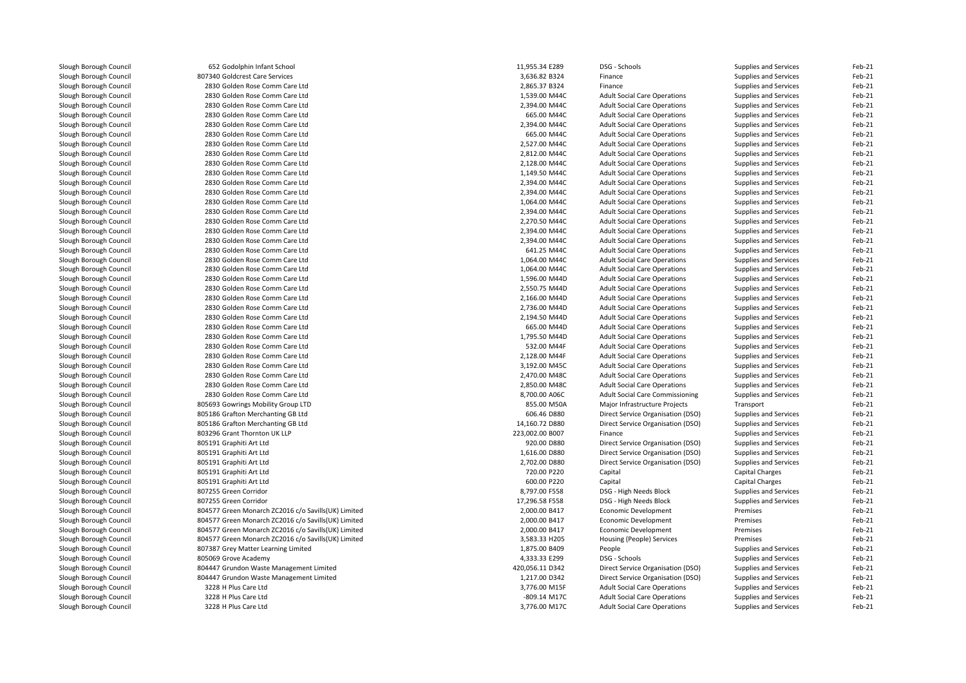| Slough Borough Council | 652 Godolphin Infant School                         | 11,955.34 E289  | DSG - Schools                          | Supplies and Services | Feb-21 |
|------------------------|-----------------------------------------------------|-----------------|----------------------------------------|-----------------------|--------|
| Slough Borough Council | 807340 Goldcrest Care Services                      | 3,636.82 B324   | Finance                                | Supplies and Services | Feb-21 |
| Slough Borough Council | 2830 Golden Rose Comm Care Ltd                      | 2,865.37 B324   | Finance                                | Supplies and Services | Feb-21 |
| Slough Borough Council | 2830 Golden Rose Comm Care Ltd                      | 1,539.00 M44C   | <b>Adult Social Care Operations</b>    | Supplies and Services | Feb-21 |
| Slough Borough Council | 2830 Golden Rose Comm Care Ltd                      | 2,394.00 M44C   | <b>Adult Social Care Operations</b>    | Supplies and Services | Feb-21 |
| Slough Borough Council | 2830 Golden Rose Comm Care Ltd                      | 665.00 M44C     | <b>Adult Social Care Operations</b>    | Supplies and Services | Feb-21 |
| Slough Borough Council | 2830 Golden Rose Comm Care Ltd                      | 2,394.00 M44C   | <b>Adult Social Care Operations</b>    | Supplies and Services | Feb-21 |
| Slough Borough Council | 2830 Golden Rose Comm Care Ltd                      | 665.00 M44C     | <b>Adult Social Care Operations</b>    | Supplies and Services | Feb-21 |
| Slough Borough Council | 2830 Golden Rose Comm Care Ltd                      | 2,527.00 M44C   | <b>Adult Social Care Operations</b>    | Supplies and Services | Feb-21 |
| Slough Borough Council | 2830 Golden Rose Comm Care Ltd                      | 2,812.00 M44C   | <b>Adult Social Care Operations</b>    | Supplies and Services | Feb-21 |
| Slough Borough Council | 2830 Golden Rose Comm Care Ltd                      | 2,128.00 M44C   | <b>Adult Social Care Operations</b>    | Supplies and Services | Feb-21 |
| Slough Borough Council | 2830 Golden Rose Comm Care Ltd                      | 1,149.50 M44C   | <b>Adult Social Care Operations</b>    | Supplies and Services | Feb-21 |
| Slough Borough Council | 2830 Golden Rose Comm Care Ltd                      | 2,394.00 M44C   | <b>Adult Social Care Operations</b>    | Supplies and Services | Feb-21 |
| Slough Borough Council | 2830 Golden Rose Comm Care Ltd                      | 2,394.00 M44C   | <b>Adult Social Care Operations</b>    | Supplies and Services | Feb-21 |
| Slough Borough Council | 2830 Golden Rose Comm Care Ltd                      | 1,064.00 M44C   | <b>Adult Social Care Operations</b>    | Supplies and Services | Feb-21 |
| Slough Borough Council | 2830 Golden Rose Comm Care Ltd                      | 2,394.00 M44C   | <b>Adult Social Care Operations</b>    | Supplies and Services | Feb-21 |
| Slough Borough Council | 2830 Golden Rose Comm Care Ltd                      | 2,270.50 M44C   | <b>Adult Social Care Operations</b>    | Supplies and Services | Feb-21 |
| Slough Borough Council | 2830 Golden Rose Comm Care Ltd                      | 2,394.00 M44C   | <b>Adult Social Care Operations</b>    | Supplies and Services | Feb-21 |
| Slough Borough Council | 2830 Golden Rose Comm Care Ltd                      | 2,394.00 M44C   | <b>Adult Social Care Operations</b>    | Supplies and Services | Feb-21 |
| Slough Borough Council | 2830 Golden Rose Comm Care Ltd                      | 641.25 M44C     | <b>Adult Social Care Operations</b>    | Supplies and Services | Feb-21 |
| Slough Borough Council | 2830 Golden Rose Comm Care Ltd                      | 1,064.00 M44C   | <b>Adult Social Care Operations</b>    | Supplies and Services | Feb-21 |
| Slough Borough Council | 2830 Golden Rose Comm Care Ltd                      | 1,064.00 M44C   | <b>Adult Social Care Operations</b>    | Supplies and Services | Feb-21 |
| Slough Borough Council | 2830 Golden Rose Comm Care Ltd                      | 1,596.00 M44D   | <b>Adult Social Care Operations</b>    | Supplies and Services | Feb-21 |
| Slough Borough Council | 2830 Golden Rose Comm Care Ltd                      | 2,550.75 M44D   | <b>Adult Social Care Operations</b>    | Supplies and Services | Feb-21 |
| Slough Borough Council | 2830 Golden Rose Comm Care Ltd                      | 2,166.00 M44D   | <b>Adult Social Care Operations</b>    | Supplies and Services | Feb-21 |
| Slough Borough Council | 2830 Golden Rose Comm Care Ltd                      | 2,736.00 M44D   | <b>Adult Social Care Operations</b>    | Supplies and Services | Feb-21 |
| Slough Borough Council | 2830 Golden Rose Comm Care Ltd                      | 2,194.50 M44D   | <b>Adult Social Care Operations</b>    | Supplies and Services | Feb-21 |
| Slough Borough Council | 2830 Golden Rose Comm Care Ltd                      | 665.00 M44D     | <b>Adult Social Care Operations</b>    | Supplies and Services | Feb-21 |
|                        |                                                     | 1,795.50 M44D   |                                        |                       | Feb-21 |
| Slough Borough Council | 2830 Golden Rose Comm Care Ltd                      |                 | <b>Adult Social Care Operations</b>    | Supplies and Services |        |
| Slough Borough Council | 2830 Golden Rose Comm Care Ltd                      | 532.00 M44F     | <b>Adult Social Care Operations</b>    | Supplies and Services | Feb-21 |
| Slough Borough Council | 2830 Golden Rose Comm Care Ltd                      | 2,128.00 M44F   | <b>Adult Social Care Operations</b>    | Supplies and Services | Feb-21 |
| Slough Borough Council | 2830 Golden Rose Comm Care Ltd                      | 3,192.00 M45C   | <b>Adult Social Care Operations</b>    | Supplies and Services | Feb-21 |
| Slough Borough Council | 2830 Golden Rose Comm Care Ltd                      | 2,470.00 M48C   | <b>Adult Social Care Operations</b>    | Supplies and Services | Feb-21 |
| Slough Borough Council | 2830 Golden Rose Comm Care Ltd                      | 2,850.00 M48C   | <b>Adult Social Care Operations</b>    | Supplies and Services | Feb-21 |
| Slough Borough Council | 2830 Golden Rose Comm Care Ltd                      | 8,700.00 A06C   | <b>Adult Social Care Commissioning</b> | Supplies and Services | Feb-21 |
| Slough Borough Council | 805693 Gowrings Mobility Group LTD                  | 855.00 M50A     | Major Infrastructure Projects          | Transport             | Feb-21 |
| Slough Borough Council | 805186 Grafton Merchanting GB Ltd                   | 606.46 D880     | Direct Service Organisation (DSO)      | Supplies and Services | Feb-21 |
| Slough Borough Council | 805186 Grafton Merchanting GB Ltd                   | 14,160.72 D880  | Direct Service Organisation (DSO)      | Supplies and Services | Feb-21 |
| Slough Borough Council | 803296 Grant Thornton UK LLP                        | 223,002.00 B007 | Finance                                | Supplies and Services | Feb-21 |
| Slough Borough Council | 805191 Graphiti Art Ltd                             | 920.00 D880     | Direct Service Organisation (DSO)      | Supplies and Services | Feb-21 |
| Slough Borough Council | 805191 Graphiti Art Ltd                             | 1,616.00 D880   | Direct Service Organisation (DSO)      | Supplies and Services | Feb-21 |
| Slough Borough Council | 805191 Graphiti Art Ltd                             | 2,702.00 D880   | Direct Service Organisation (DSO)      | Supplies and Services | Feb-21 |
| Slough Borough Council | 805191 Graphiti Art Ltd                             | 720.00 P220     | Capital                                | Capital Charges       | Feb-21 |
| Slough Borough Council | 805191 Graphiti Art Ltd                             | 600.00 P220     | Capital                                | Capital Charges       | Feb-21 |
| Slough Borough Council | 807255 Green Corridor                               | 8,797.00 F558   | DSG - High Needs Block                 | Supplies and Services | Feb-21 |
| Slough Borough Council | 807255 Green Corridor                               | 17,296.58 F558  | DSG - High Needs Block                 | Supplies and Services | Feb-21 |
| Slough Borough Council | 804577 Green Monarch ZC2016 c/o Savills(UK) Limited | 2,000.00 B417   | <b>Economic Development</b>            | Premises              | Feb-21 |
| Slough Borough Council | 804577 Green Monarch ZC2016 c/o Savills(UK) Limited | 2,000.00 B417   | Economic Development                   | Premises              | Feb-21 |
| Slough Borough Council | 804577 Green Monarch ZC2016 c/o Savills(UK) Limited | 2,000.00 B417   | <b>Economic Development</b>            | Premises              | Feb-21 |
| Slough Borough Council | 804577 Green Monarch ZC2016 c/o Savills(UK) Limited | 3,583.33 H205   | Housing (People) Services              | Premises              | Feb-21 |
| Slough Borough Council | 807387 Grey Matter Learning Limited                 | 1,875.00 B409   | People                                 | Supplies and Services | Feb-21 |
| Slough Borough Council | 805069 Grove Academy                                | 4,333.33 E299   | DSG - Schools                          | Supplies and Services | Feb-21 |
| Slough Borough Council | 804447 Grundon Waste Management Limited             | 420,056.11 D342 | Direct Service Organisation (DSO)      | Supplies and Services | Feb-21 |
| Slough Borough Council | 804447 Grundon Waste Management Limited             | 1,217.00 D342   | Direct Service Organisation (DSO)      | Supplies and Services | Feb-21 |
| Slough Borough Council | 3228 H Plus Care Ltd                                | 3,776.00 M15F   | <b>Adult Social Care Operations</b>    | Supplies and Services | Feb-21 |
| Slough Borough Council | 3228 H Plus Care Ltd                                | -809.14 M17C    | <b>Adult Social Care Operations</b>    | Supplies and Services | Feb-21 |
| Slough Borough Council | 3228 H Plus Care Ltd                                | 3,776.00 M17C   | <b>Adult Social Care Operations</b>    | Supplies and Services | Feb-21 |
|                        |                                                     |                 |                                        |                       |        |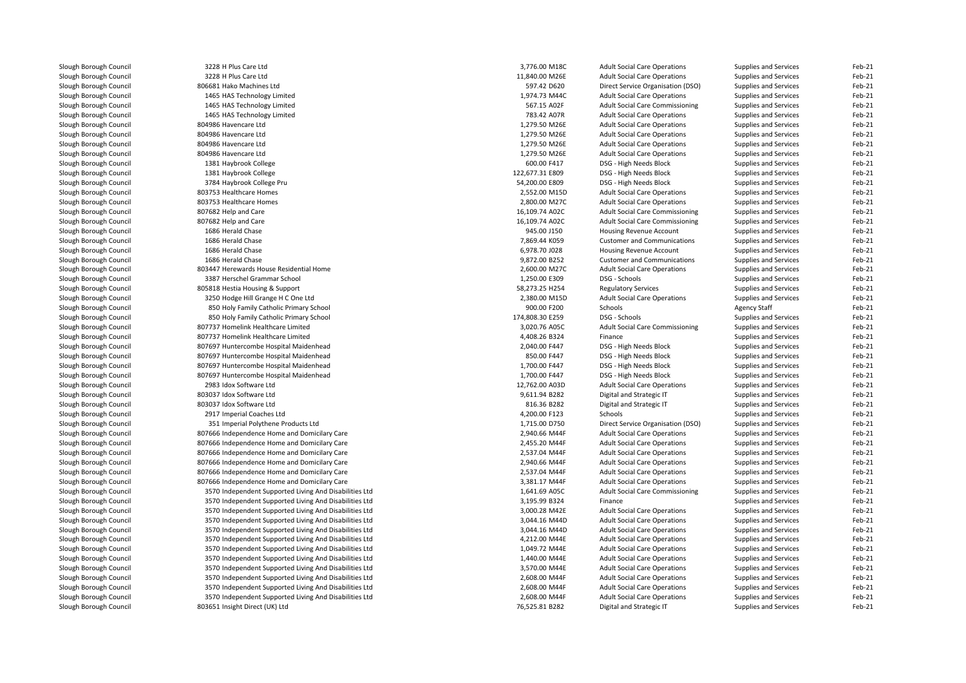| Slough Borough Council | 3228 H Plus Care Ltd                                   | 3,776.00 M18C                  | <b>Adult Social Care Operations</b>    | Supplies and Services        | Feb-21             |
|------------------------|--------------------------------------------------------|--------------------------------|----------------------------------------|------------------------------|--------------------|
| Slough Borough Council | 3228 H Plus Care Ltd                                   | 11,840.00 M26E                 | <b>Adult Social Care Operations</b>    | Supplies and Services        | Feb-21             |
| Slough Borough Council | 806681 Hako Machines Ltd                               | 597.42 D620                    | Direct Service Organisation (DSO)      | Supplies and Services        | Feb-21             |
| Slough Borough Council | 1465 HAS Technology Limited                            | 1,974.73 M44C                  | <b>Adult Social Care Operations</b>    | Supplies and Services        | Feb-21             |
| Slough Borough Council | 1465 HAS Technology Limited                            | 567.15 A02F                    | Adult Social Care Commissioning        | Supplies and Services        | Feb-21             |
| Slough Borough Council | 1465 HAS Technology Limited                            | 783.42 A07R                    | <b>Adult Social Care Operations</b>    | Supplies and Services        | Feb-21             |
| Slough Borough Council | 804986 Havencare Ltd                                   | 1,279.50 M26E                  | <b>Adult Social Care Operations</b>    | Supplies and Services        | Feb-21             |
| Slough Borough Council | 804986 Havencare Ltd                                   | 1,279.50 M26E                  | <b>Adult Social Care Operations</b>    | Supplies and Services        | Feb-21             |
| Slough Borough Council | 804986 Havencare Ltd                                   | 1,279.50 M26E                  | <b>Adult Social Care Operations</b>    | Supplies and Services        | Feb-21             |
| Slough Borough Council | 804986 Havencare Ltd                                   | 1,279.50 M26E                  | <b>Adult Social Care Operations</b>    | Supplies and Services        | Feb-21             |
| Slough Borough Council | 1381 Haybrook College                                  | 600.00 F417                    | DSG - High Needs Block                 | Supplies and Services        | Feb-21             |
| Slough Borough Council | 1381 Haybrook College                                  | 122,677.31 E809                | DSG - High Needs Block                 | Supplies and Services        | Feb-21             |
| Slough Borough Council | 3784 Haybrook College Pru                              | 54,200.00 E809                 | DSG - High Needs Block                 | Supplies and Services        | Feb-21             |
| Slough Borough Council | 803753 Healthcare Homes                                | 2,552.00 M15D                  | <b>Adult Social Care Operations</b>    | Supplies and Services        | Feb-21             |
| Slough Borough Council | 803753 Healthcare Homes                                | 2,800.00 M27C                  | <b>Adult Social Care Operations</b>    | Supplies and Services        | Feb-21             |
| Slough Borough Council | 807682 Help and Care                                   | 16,109.74 A02C                 | <b>Adult Social Care Commissioning</b> | Supplies and Services        | Feb-21             |
| Slough Borough Council | 807682 Help and Care                                   | 16,109.74 A02C                 | <b>Adult Social Care Commissioning</b> | Supplies and Services        | Feb-21             |
| Slough Borough Council | 1686 Herald Chase                                      | 945.00 J150                    | Housing Revenue Account                | Supplies and Services        | Feb-21             |
|                        | 1686 Herald Chase                                      |                                |                                        |                              |                    |
| Slough Borough Council |                                                        | 7,869.44 K059<br>6,978.70 J028 | <b>Customer and Communications</b>     | Supplies and Services        | Feb-21<br>$Feb-21$ |
| Slough Borough Council | 1686 Herald Chase                                      |                                | Housing Revenue Account                | Supplies and Services        |                    |
| Slough Borough Council | 1686 Herald Chase                                      | 9,872.00 B252                  | <b>Customer and Communications</b>     | Supplies and Services        | Feb-21             |
| Slough Borough Council | 803447 Herewards House Residential Home                | 2,600.00 M27C                  | <b>Adult Social Care Operations</b>    | Supplies and Services        | Feb-21             |
| Slough Borough Council | 3387 Herschel Grammar School                           | 1,250.00 E309                  | DSG - Schools                          | <b>Supplies and Services</b> | Feb-21             |
| Slough Borough Council | 805818 Hestia Housing & Support                        | 58,273.25 H254                 | <b>Regulatory Services</b>             | Supplies and Services        | Feb-21             |
| Slough Borough Council | 3250 Hodge Hill Grange H C One Ltd                     | 2,380.00 M15D                  | <b>Adult Social Care Operations</b>    | Supplies and Services        | Feb-21             |
| Slough Borough Council | 850 Holy Family Catholic Primary School                | 900.00 F200                    | Schools                                | <b>Agency Staff</b>          | Feb-21             |
| Slough Borough Council | 850 Holy Family Catholic Primary School                | 174,808.30 E259                | DSG - Schools                          | Supplies and Services        | Feb-21             |
| Slough Borough Council | 807737 Homelink Healthcare Limited                     | 3,020.76 A05C                  | Adult Social Care Commissioning        | Supplies and Services        | Feb-21             |
| Slough Borough Council | 807737 Homelink Healthcare Limited                     | 4,408.26 B324                  | Finance                                | Supplies and Services        | Feb-21             |
| Slough Borough Council | 807697 Huntercombe Hospital Maidenhead                 | 2,040.00 F447                  | DSG - High Needs Block                 | Supplies and Services        | Feb-21             |
| Slough Borough Council | 807697 Huntercombe Hospital Maidenhead                 | 850.00 F447                    | DSG - High Needs Block                 | Supplies and Services        | Feb-21             |
| Slough Borough Council | 807697 Huntercombe Hospital Maidenhead                 | 1,700.00 F447                  | DSG - High Needs Block                 | Supplies and Services        | Feb-21             |
| Slough Borough Council | 807697 Huntercombe Hospital Maidenhead                 | 1,700.00 F447                  | DSG - High Needs Block                 | Supplies and Services        | Feb-21             |
| Slough Borough Council | 2983 Idox Software Ltd                                 | 12,762.00 A03D                 | <b>Adult Social Care Operations</b>    | Supplies and Services        | Feb-21             |
| Slough Borough Council | 803037 Idox Software Ltd                               | 9,611.94 B282                  | Digital and Strategic IT               | Supplies and Services        | Feb-21             |
| Slough Borough Council | 803037 Idox Software Ltd                               | 816.36 B282                    | Digital and Strategic IT               | Supplies and Services        | Feb-21             |
| Slough Borough Council | 2917 Imperial Coaches Ltd                              | 4,200.00 F123                  | Schools                                | Supplies and Services        | Feb-21             |
| Slough Borough Council | 351 Imperial Polythene Products Ltd                    | 1,715.00 D750                  | Direct Service Organisation (DSO)      | Supplies and Services        | Feb-21             |
| Slough Borough Council | 807666 Independence Home and Domicilary Care           | 2,940.66 M44F                  | <b>Adult Social Care Operations</b>    | Supplies and Services        | Feb-21             |
| Slough Borough Council | 807666 Independence Home and Domicilary Care           | 2,455.20 M44F                  | <b>Adult Social Care Operations</b>    | Supplies and Services        | Feb-21             |
| Slough Borough Council | 807666 Independence Home and Domicilary Care           | 2,537.04 M44F                  | <b>Adult Social Care Operations</b>    | Supplies and Services        | Feb-21             |
| Slough Borough Council | 807666 Independence Home and Domicilary Care           | 2,940.66 M44F                  | <b>Adult Social Care Operations</b>    | Supplies and Services        | Feb-21             |
| Slough Borough Council | 807666 Independence Home and Domicilary Care           | 2,537.04 M44F                  | <b>Adult Social Care Operations</b>    | Supplies and Services        | Feb-21             |
| Slough Borough Council | 807666 Independence Home and Domicilary Care           | 3,381.17 M44F                  | <b>Adult Social Care Operations</b>    | Supplies and Services        | Feb-21             |
| Slough Borough Council | 3570 Independent Supported Living And Disabilities Ltd | 1,641.69 A05C                  | <b>Adult Social Care Commissioning</b> | Supplies and Services        | Feb-21             |
| Slough Borough Council | 3570 Independent Supported Living And Disabilities Ltd | 3,195.99 B324                  | Finance                                | Supplies and Services        | Feb-21             |
| Slough Borough Council | 3570 Independent Supported Living And Disabilities Ltd | 3,000.28 M42E                  | <b>Adult Social Care Operations</b>    | Supplies and Services        | Feb-21             |
| Slough Borough Council | 3570 Independent Supported Living And Disabilities Ltd | 3,044.16 M44D                  | <b>Adult Social Care Operations</b>    | Supplies and Services        | Feb-21             |
|                        |                                                        | 3,044.16 M44D                  | <b>Adult Social Care Operations</b>    |                              | Feb-21             |
| Slough Borough Council | 3570 Independent Supported Living And Disabilities Ltd | 4,212.00 M44E                  |                                        | Supplies and Services        | Feb-21             |
| Slough Borough Council | 3570 Independent Supported Living And Disabilities Ltd |                                | <b>Adult Social Care Operations</b>    | Supplies and Services        |                    |
| Slough Borough Council | 3570 Independent Supported Living And Disabilities Ltd | 1,049.72 M44E                  | <b>Adult Social Care Operations</b>    | Supplies and Services        | Feb-21             |
| Slough Borough Council | 3570 Independent Supported Living And Disabilities Ltd | 1,440.00 M44E                  | <b>Adult Social Care Operations</b>    | Supplies and Services        | Feb-21             |
| Slough Borough Council | 3570 Independent Supported Living And Disabilities Ltd | 3,570.00 M44E                  | <b>Adult Social Care Operations</b>    | Supplies and Services        | Feb-21             |
| Slough Borough Council | 3570 Independent Supported Living And Disabilities Ltd | 2,608.00 M44F                  | <b>Adult Social Care Operations</b>    | Supplies and Services        | Feb-21             |
| Slough Borough Council | 3570 Independent Supported Living And Disabilities Ltd | 2,608.00 M44F                  | <b>Adult Social Care Operations</b>    | Supplies and Services        | Feb-21             |
| Slough Borough Council | 3570 Independent Supported Living And Disabilities Ltd | 2,608.00 M44F                  | <b>Adult Social Care Operations</b>    | Supplies and Services        | Feb-21             |
| Slough Borough Council | 803651 Insight Direct (UK) Ltd                         | 76,525.81 B282                 | Digital and Strategic IT               | Supplies and Services        | Feb-21             |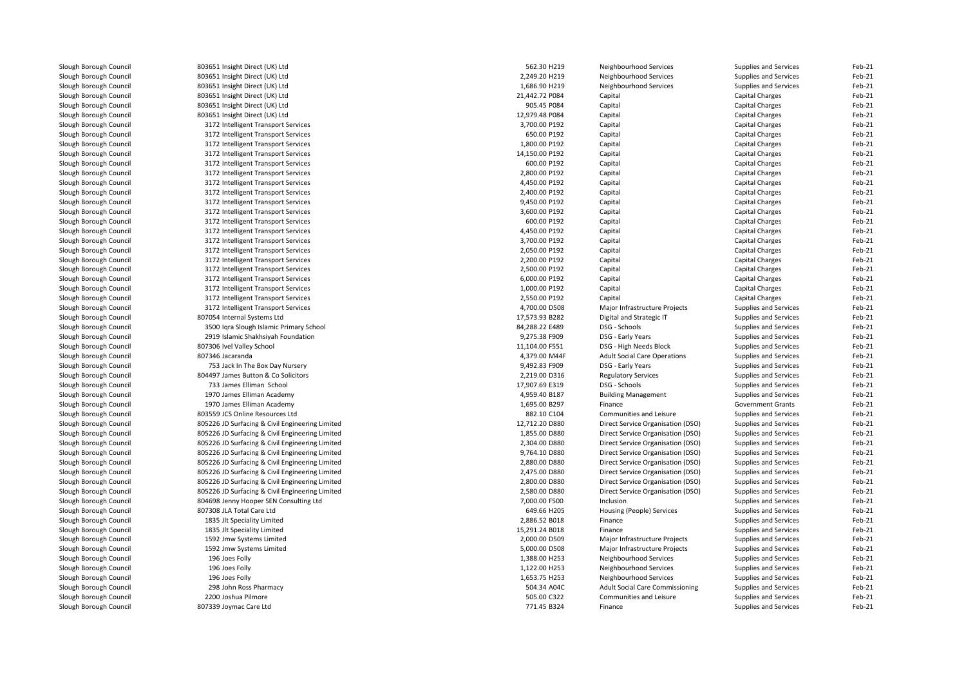| Slough Borough Council | 803651 Insight Direct (UK) Ltd                  | 562.30 H219    | Neighbourhood Services                 | Supplies and Services    | Feb-21           |
|------------------------|-------------------------------------------------|----------------|----------------------------------------|--------------------------|------------------|
| Slough Borough Council | 803651 Insight Direct (UK) Ltd                  | 2,249.20 H219  | Neighbourhood Services                 | Supplies and Services    | Feb-21           |
| Slough Borough Council | 803651 Insight Direct (UK) Ltd                  | 1,686.90 H219  | Neighbourhood Services                 | Supplies and Services    | Feb-21           |
| Slough Borough Council | 803651 Insight Direct (UK) Ltd                  | 21,442.72 P084 | Capital                                | <b>Capital Charges</b>   | Feb-21           |
| Slough Borough Council | 803651 Insight Direct (UK) Ltd                  | 905.45 P084    | Capital                                | Capital Charges          | Feb-21           |
| Slough Borough Council | 803651 Insight Direct (UK) Ltd                  | 12,979.48 P084 | Capital                                | Capital Charges          | Feb-21           |
| Slough Borough Council | 3172 Intelligent Transport Services             | 3,700.00 P192  | Capital                                | <b>Capital Charges</b>   | Feb-21           |
| Slough Borough Council | 3172 Intelligent Transport Services             | 650.00 P192    | Capital                                | Capital Charges          | Feb-21           |
| Slough Borough Council | 3172 Intelligent Transport Services             | 1,800.00 P192  | Capital                                | <b>Capital Charges</b>   | Feb-21           |
| Slough Borough Council | 3172 Intelligent Transport Services             | 14,150.00 P192 | Capital                                | <b>Capital Charges</b>   | Feb-21           |
| Slough Borough Council | 3172 Intelligent Transport Services             | 600.00 P192    | Capital                                | Capital Charges          | Feb-21           |
| Slough Borough Council | 3172 Intelligent Transport Services             | 2,800.00 P192  | Capital                                | Capital Charges          | Feb-21           |
| Slough Borough Council | 3172 Intelligent Transport Services             | 4,450.00 P192  | Capital                                | <b>Capital Charges</b>   | Feb-21           |
| Slough Borough Council | 3172 Intelligent Transport Services             | 2,400.00 P192  | Capital                                | Capital Charges          | Feb-21           |
| Slough Borough Council | 3172 Intelligent Transport Services             | 9,450.00 P192  | Capital                                | Capital Charges          | Feb-21           |
| Slough Borough Council | 3172 Intelligent Transport Services             | 3,600.00 P192  | Capital                                | Capital Charges          | Feb-21           |
| Slough Borough Council | 3172 Intelligent Transport Services             | 600.00 P192    | Capital                                | Capital Charges          | Feb-21           |
| Slough Borough Council | 3172 Intelligent Transport Services             | 4,450.00 P192  | Capital                                | Capital Charges          | Feb-21           |
| Slough Borough Council | 3172 Intelligent Transport Services             | 3,700.00 P192  | Capital                                | <b>Capital Charges</b>   | Feb-21           |
| Slough Borough Council | 3172 Intelligent Transport Services             | 2,050.00 P192  | Capital                                | Capital Charges          | Feb-21           |
| Slough Borough Council | 3172 Intelligent Transport Services             | 2,200.00 P192  | Capital                                | Capital Charges          | Feb-21           |
| Slough Borough Council | 3172 Intelligent Transport Services             | 2,500.00 P192  | Capital                                | Capital Charges          | Feb-21           |
| Slough Borough Council | 3172 Intelligent Transport Services             | 6,000.00 P192  | Capital                                | Capital Charges          | Feb-21           |
| Slough Borough Council | 3172 Intelligent Transport Services             | 1,000.00 P192  | Capital                                | Capital Charges          | Feb-21           |
| Slough Borough Council | 3172 Intelligent Transport Services             | 2,550.00 P192  | Capital                                | <b>Capital Charges</b>   | Feb-21           |
| Slough Borough Council | 3172 Intelligent Transport Services             | 4,700.00 D508  | Major Infrastructure Projects          | Supplies and Services    | Feb-21           |
| Slough Borough Council | 807054 Internal Systems Ltd                     | 17,573.93 B282 | Digital and Strategic IT               | Supplies and Services    | Feb-21           |
| Slough Borough Council | 3500 Iqra Slough Islamic Primary School         | 84,288.22 E489 | DSG - Schools                          | Supplies and Services    | Feb-21           |
|                        |                                                 | 9,275.38 F909  |                                        |                          |                  |
| Slough Borough Council | 2919 Islamic Shakhsiyah Foundation              |                | DSG - Early Years                      | Supplies and Services    | Feb-21<br>Feb-21 |
| Slough Borough Council | 807306 Ivel Valley School                       | 11,104.00 F551 | DSG - High Needs Block                 | Supplies and Services    |                  |
| Slough Borough Council | 807346 Jacaranda                                | 4,379.00 M44F  | <b>Adult Social Care Operations</b>    | Supplies and Services    | Feb-21           |
| Slough Borough Council | 753 Jack In The Box Day Nursery                 | 9,492.83 F909  | DSG - Early Years                      | Supplies and Services    | Feb-21           |
| Slough Borough Council | 804497 James Button & Co Solicitors             | 2,219.00 D316  | <b>Regulatory Services</b>             | Supplies and Services    | Feb-21           |
| Slough Borough Council | 733 James Elliman School                        | 17,907.69 E319 | DSG - Schools                          | Supplies and Services    | Feb-21           |
| Slough Borough Council | 1970 James Elliman Academy                      | 4,959.40 B187  | <b>Building Management</b>             | Supplies and Services    | Feb-21           |
| Slough Borough Council | 1970 James Elliman Academy                      | 1,695.00 B297  | Finance                                | <b>Government Grants</b> | Feb-21           |
| Slough Borough Council | 803559 JCS Online Resources Ltd                 | 882.10 C104    | Communities and Leisure                | Supplies and Services    | Feb-21           |
| Slough Borough Council | 805226 JD Surfacing & Civil Engineering Limited | 12,712.20 D880 | Direct Service Organisation (DSO)      | Supplies and Services    | Feb-21           |
| Slough Borough Council | 805226 JD Surfacing & Civil Engineering Limited | 1,855.00 D880  | Direct Service Organisation (DSO)      | Supplies and Services    | Feb-21           |
| Slough Borough Council | 805226 JD Surfacing & Civil Engineering Limited | 2,304.00 D880  | Direct Service Organisation (DSO)      | Supplies and Services    | Feb-21           |
| Slough Borough Council | 805226 JD Surfacing & Civil Engineering Limited | 9,764.10 D880  | Direct Service Organisation (DSO)      | Supplies and Services    | Feb-21           |
| Slough Borough Council | 805226 JD Surfacing & Civil Engineering Limited | 2,880.00 D880  | Direct Service Organisation (DSO)      | Supplies and Services    | Feb-21           |
| Slough Borough Council | 805226 JD Surfacing & Civil Engineering Limited | 2,475.00 D880  | Direct Service Organisation (DSO)      | Supplies and Services    | Feb-21           |
| Slough Borough Council | 805226 JD Surfacing & Civil Engineering Limited | 2,800.00 D880  | Direct Service Organisation (DSO)      | Supplies and Services    | Feb-21           |
| Slough Borough Council | 805226 JD Surfacing & Civil Engineering Limited | 2,580.00 D880  | Direct Service Organisation (DSO)      | Supplies and Services    | Feb-21           |
| Slough Borough Council | 804698 Jenny Hooper SEN Consulting Ltd          | 7,000.00 F500  | Inclusion                              | Supplies and Services    | Feb-21           |
| Slough Borough Council | 807308 JLA Total Care Ltd                       | 649.66 H205    | Housing (People) Services              | Supplies and Services    | Feb-21           |
| Slough Borough Council | 1835 Jlt Speciality Limited                     | 2,886.52 B018  | Finance                                | Supplies and Services    | Feb-21           |
| Slough Borough Council | 1835 Jlt Speciality Limited                     | 15,291.24 B018 | Finance                                | Supplies and Services    | Feb-21           |
| Slough Borough Council | 1592 Jmw Systems Limited                        | 2,000.00 D509  | Major Infrastructure Projects          | Supplies and Services    | Feb-21           |
| Slough Borough Council | 1592 Jmw Systems Limited                        | 5,000.00 D508  | Major Infrastructure Projects          | Supplies and Services    | Feb-21           |
| Slough Borough Council | 196 Joes Folly                                  | 1,388.00 H253  | Neighbourhood Services                 | Supplies and Services    | Feb-21           |
| Slough Borough Council | 196 Joes Folly                                  | 1,122.00 H253  | Neighbourhood Services                 | Supplies and Services    | Feb-21           |
| Slough Borough Council | 196 Joes Folly                                  | 1,653.75 H253  | Neighbourhood Services                 | Supplies and Services    | Feb-21           |
| Slough Borough Council | 298 John Ross Pharmacy                          | 504.34 A04C    | <b>Adult Social Care Commissioning</b> | Supplies and Services    | Feb-21           |
| Slough Borough Council | 2200 Joshua Pilmore                             | 505.00 C322    | Communities and Leisure                | Supplies and Services    | Feb-21           |
| Slough Borough Council | 807339 Joymac Care Ltd                          | 771.45 B324    | Finance                                | Supplies and Services    | Feb-21           |
|                        |                                                 |                |                                        |                          |                  |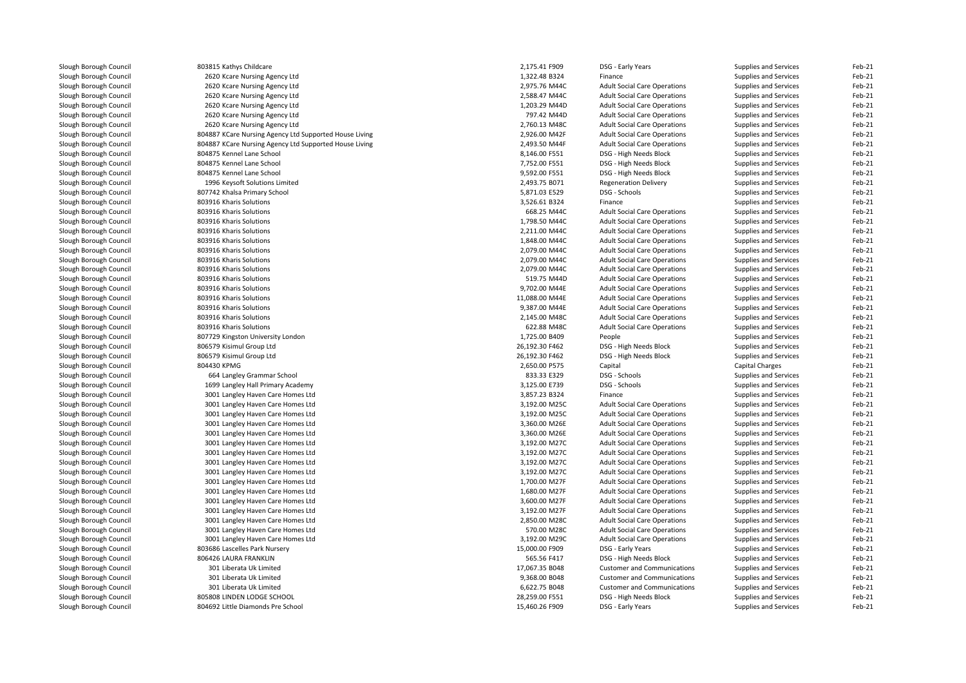| Slough Borough Council | 803815 Kathys Childcare                                | 2,175.41 F909  | DSG - Early Years                   | Supplies and Services                          | Feb-21   |
|------------------------|--------------------------------------------------------|----------------|-------------------------------------|------------------------------------------------|----------|
| Slough Borough Council | 2620 Kcare Nursing Agency Ltd                          | 1,322.48 B324  | Finance                             | Supplies and Services                          | Feb-21   |
| Slough Borough Council | 2620 Kcare Nursing Agency Ltd                          | 2,975.76 M44C  | <b>Adult Social Care Operations</b> | Supplies and Services                          | Feb-21   |
| Slough Borough Council | 2620 Kcare Nursing Agency Ltd                          | 2,588.47 M44C  | <b>Adult Social Care Operations</b> | Supplies and Services                          | Feb-21   |
| Slough Borough Council | 2620 Kcare Nursing Agency Ltd                          | 1,203.29 M44D  | <b>Adult Social Care Operations</b> | Supplies and Services                          | Feb-21   |
| Slough Borough Council | 2620 Kcare Nursing Agency Ltd                          | 797.42 M44D    | <b>Adult Social Care Operations</b> | Supplies and Services                          | Feb-21   |
| Slough Borough Council | 2620 Kcare Nursing Agency Ltd                          | 2,760.13 M48C  | <b>Adult Social Care Operations</b> | Supplies and Services                          | Feb-21   |
| Slough Borough Council | 804887 KCare Nursing Agency Ltd Supported House Living | 2,926.00 M42F  | <b>Adult Social Care Operations</b> | Supplies and Services                          | Feb-21   |
| Slough Borough Council | 804887 KCare Nursing Agency Ltd Supported House Living | 2,493.50 M44F  | <b>Adult Social Care Operations</b> | Supplies and Services                          | Feb-21   |
| Slough Borough Council | 804875 Kennel Lane School                              | 8,146.00 F551  | DSG - High Needs Block              | Supplies and Services                          | Feb-21   |
| Slough Borough Council | 804875 Kennel Lane School                              | 7,752.00 F551  | DSG - High Needs Block              | Supplies and Services                          | Feb-21   |
| Slough Borough Council | 804875 Kennel Lane School                              | 9,592.00 F551  | DSG - High Needs Block              | Supplies and Services                          | Feb-21   |
| Slough Borough Council | 1996 Keysoft Solutions Limited                         | 2,493.75 B071  | <b>Regeneration Delivery</b>        | Supplies and Services                          | Feb-21   |
| Slough Borough Council | 807742 Khalsa Primary School                           | 5,871.03 E529  | DSG - Schools                       | Supplies and Services                          | Feb-21   |
| Slough Borough Council | 803916 Kharis Solutions                                | 3,526.61 B324  | Finance                             | Supplies and Services                          | Feb-21   |
| Slough Borough Council | 803916 Kharis Solutions                                | 668.25 M44C    | <b>Adult Social Care Operations</b> | Supplies and Services                          | Feb-21   |
| Slough Borough Council | 803916 Kharis Solutions                                | 1,798.50 M44C  | <b>Adult Social Care Operations</b> | Supplies and Services                          | Feb-21   |
| Slough Borough Council | 803916 Kharis Solutions                                | 2,211.00 M44C  | <b>Adult Social Care Operations</b> | Supplies and Services                          | Feb-21   |
| Slough Borough Council | 803916 Kharis Solutions                                | 1,848.00 M44C  | <b>Adult Social Care Operations</b> | Supplies and Services                          | Feb-21   |
| Slough Borough Council | 803916 Kharis Solutions                                | 2,079.00 M44C  | <b>Adult Social Care Operations</b> | Supplies and Services                          | Feb-21   |
| Slough Borough Council | 803916 Kharis Solutions                                | 2,079.00 M44C  | <b>Adult Social Care Operations</b> | Supplies and Services                          | Feb-21   |
| Slough Borough Council | 803916 Kharis Solutions                                | 2,079.00 M44C  | <b>Adult Social Care Operations</b> | Supplies and Services                          | Feb-21   |
| Slough Borough Council | 803916 Kharis Solutions                                | 519.75 M44D    | <b>Adult Social Care Operations</b> | Supplies and Services                          | Feb-21   |
| Slough Borough Council | 803916 Kharis Solutions                                | 9,702.00 M44E  | <b>Adult Social Care Operations</b> | Supplies and Services                          | Feb-21   |
| Slough Borough Council | 803916 Kharis Solutions                                | 11,088.00 M44E | <b>Adult Social Care Operations</b> | Supplies and Services                          | Feb-21   |
| Slough Borough Council | 803916 Kharis Solutions                                | 9,387.00 M44E  | <b>Adult Social Care Operations</b> | Supplies and Services                          | Feb-21   |
| Slough Borough Council | 803916 Kharis Solutions                                | 2,145.00 M48C  | <b>Adult Social Care Operations</b> | Supplies and Services                          | Feb-21   |
| Slough Borough Council | 803916 Kharis Solutions                                | 622.88 M48C    | <b>Adult Social Care Operations</b> |                                                | Feb-21   |
| Slough Borough Council | 807729 Kingston University London                      | 1,725.00 B409  | People                              | Supplies and Services<br>Supplies and Services | Feb-21   |
|                        | 806579 Kisimul Group Ltd                               | 26,192.30 F462 | DSG - High Needs Block              |                                                | Feb-21   |
| Slough Borough Council | 806579 Kisimul Group Ltd                               | 26,192.30 F462 | DSG - High Needs Block              | Supplies and Services                          | Feb-21   |
| Slough Borough Council |                                                        |                |                                     | Supplies and Services                          | Feb-21   |
| Slough Borough Council | 804430 KPMG                                            | 2,650.00 P575  | Capital                             | Capital Charges                                |          |
| Slough Borough Council | 664 Langley Grammar School                             | 833.33 E329    | DSG - Schools                       | Supplies and Services                          | Feb-21   |
| Slough Borough Council | 1699 Langley Hall Primary Academy                      | 3,125.00 E739  | DSG - Schools                       | <b>Supplies and Services</b>                   | Feb-21   |
| Slough Borough Council | 3001 Langley Haven Care Homes Ltd                      | 3,857.23 B324  | Finance                             | Supplies and Services                          | Feb-21   |
| Slough Borough Council | 3001 Langley Haven Care Homes Ltd                      | 3,192.00 M25C  | <b>Adult Social Care Operations</b> | Supplies and Services                          | Feb-21   |
| Slough Borough Council | 3001 Langley Haven Care Homes Ltd                      | 3,192.00 M25C  | <b>Adult Social Care Operations</b> | Supplies and Services                          | Feb-21   |
| Slough Borough Council | 3001 Langley Haven Care Homes Ltd                      | 3,360.00 M26E  | <b>Adult Social Care Operations</b> | Supplies and Services                          | Feb-21   |
| Slough Borough Council | 3001 Langley Haven Care Homes Ltd                      | 3,360.00 M26E  | <b>Adult Social Care Operations</b> | Supplies and Services                          | Feb-21   |
| Slough Borough Council | 3001 Langley Haven Care Homes Ltd                      | 3,192.00 M27C  | <b>Adult Social Care Operations</b> | Supplies and Services                          | Feb-21   |
| Slough Borough Council | 3001 Langley Haven Care Homes Ltd                      | 3,192.00 M27C  | <b>Adult Social Care Operations</b> | Supplies and Services                          | Feb-21   |
| Slough Borough Council | 3001 Langley Haven Care Homes Ltd                      | 3,192.00 M27C  | <b>Adult Social Care Operations</b> | Supplies and Services                          | Feb-21   |
| Slough Borough Council | 3001 Langley Haven Care Homes Ltd                      | 3,192.00 M27C  | <b>Adult Social Care Operations</b> | Supplies and Services                          | Feb-21   |
| Slough Borough Council | 3001 Langley Haven Care Homes Ltd                      | 1,700.00 M27F  | <b>Adult Social Care Operations</b> | Supplies and Services                          | Feb-21   |
| Slough Borough Council | 3001 Langley Haven Care Homes Ltd                      | 1,680.00 M27F  | <b>Adult Social Care Operations</b> | Supplies and Services                          | Feb-21   |
| Slough Borough Council | 3001 Langley Haven Care Homes Ltd                      | 3,600.00 M27F  | <b>Adult Social Care Operations</b> | Supplies and Services                          | Feb-21   |
| Slough Borough Council | 3001 Langley Haven Care Homes Ltd                      | 3,192.00 M27F  | <b>Adult Social Care Operations</b> | Supplies and Services                          | Feb-21   |
| Slough Borough Council | 3001 Langley Haven Care Homes Ltd                      | 2,850.00 M28C  | <b>Adult Social Care Operations</b> | Supplies and Services                          | Feb-21   |
| Slough Borough Council | 3001 Langley Haven Care Homes Ltd                      | 570.00 M28C    | <b>Adult Social Care Operations</b> | Supplies and Services                          | Feb-21   |
| Slough Borough Council | 3001 Langley Haven Care Homes Ltd                      | 3,192.00 M29C  | <b>Adult Social Care Operations</b> | Supplies and Services                          | Feb-21   |
| Slough Borough Council | 803686 Lascelles Park Nursery                          | 15,000.00 F909 | DSG - Early Years                   | Supplies and Services                          | $Feb-21$ |
| Slough Borough Council | 806426 LAURA FRANKLIN                                  | 565.56 F417    | DSG - High Needs Block              | Supplies and Services                          | Feb-21   |
| Slough Borough Council | 301 Liberata Uk Limited                                | 17,067.35 B048 | <b>Customer and Communications</b>  | Supplies and Services                          | Feb-21   |
| Slough Borough Council | 301 Liberata Uk Limited                                | 9,368.00 B048  | <b>Customer and Communications</b>  | Supplies and Services                          | Feb-21   |
| Slough Borough Council | 301 Liberata Uk Limited                                | 6,622.75 B048  | <b>Customer and Communications</b>  | Supplies and Services                          | Feb-21   |
| Slough Borough Council | 805808 LINDEN LODGE SCHOOL                             | 28,259.00 F551 | DSG - High Needs Block              | Supplies and Services                          | Feb-21   |
| Slough Borough Council | 804692 Little Diamonds Pre School                      | 15,460.26 F909 | DSG - Early Years                   | Supplies and Services                          | Feb-21   |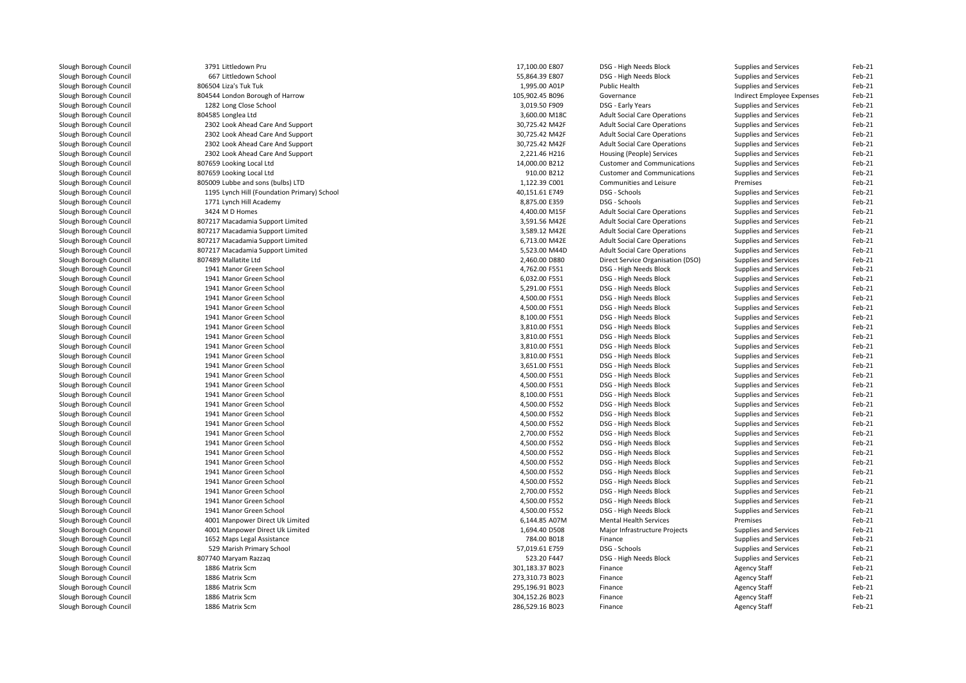| Slough Borough Council | 3791 Littledown Pru                         | 17,100.00 E807  | DSG - High Needs Block              | Supplies and Services      | Feb-21   |
|------------------------|---------------------------------------------|-----------------|-------------------------------------|----------------------------|----------|
| Slough Borough Council | 667 Littledown School                       | 55,864.39 E807  | DSG - High Needs Block              | Supplies and Services      | Feb-21   |
| Slough Borough Council | 806504 Liza's Tuk Tuk                       | 1,995.00 A01P   | Public Health                       | Supplies and Services      | Feb-21   |
| Slough Borough Council | 804544 London Borough of Harrow             | 105,902.45 B096 | Governance                          | Indirect Employee Expenses | Feb-21   |
| Slough Borough Council | 1282 Long Close School                      | 3,019.50 F909   | DSG - Early Years                   | Supplies and Services      | Feb-21   |
| Slough Borough Council | 804585 Longlea Ltd                          | 3,600.00 M18C   | <b>Adult Social Care Operations</b> | Supplies and Services      | Feb-21   |
| Slough Borough Council | 2302 Look Ahead Care And Support            | 30,725.42 M42F  | <b>Adult Social Care Operations</b> | Supplies and Services      | Feb-21   |
| Slough Borough Council | 2302 Look Ahead Care And Support            | 30,725.42 M42F  | <b>Adult Social Care Operations</b> | Supplies and Services      | Feb-21   |
| Slough Borough Council | 2302 Look Ahead Care And Support            | 30,725.42 M42F  | <b>Adult Social Care Operations</b> | Supplies and Services      | Feb-21   |
| Slough Borough Council | 2302 Look Ahead Care And Support            | 2,221.46 H216   | Housing (People) Services           | Supplies and Services      | Feb-21   |
| Slough Borough Council | 807659 Looking Local Ltd                    | 14,000.00 B212  | <b>Customer and Communications</b>  | Supplies and Services      | Feb-21   |
| Slough Borough Council | 807659 Looking Local Ltd                    | 910.00 B212     | <b>Customer and Communications</b>  | Supplies and Services      | Feb-21   |
| Slough Borough Council | 805009 Lubbe and sons (bulbs) LTD           | 1,122.39 C001   | Communities and Leisure             | Premises                   | Feb-21   |
| Slough Borough Council | 1195 Lynch Hill (Foundation Primary) School | 40,151.61 E749  | DSG - Schools                       | Supplies and Services      | Feb-21   |
| Slough Borough Council | 1771 Lynch Hill Academy                     | 8,875.00 E359   | DSG - Schools                       | Supplies and Services      | Feb-21   |
| Slough Borough Council | 3424 M D Homes                              | 4,400.00 M15F   | <b>Adult Social Care Operations</b> | Supplies and Services      | Feb-21   |
| Slough Borough Council | 807217 Macadamia Support Limited            | 3,591.56 M42E   | <b>Adult Social Care Operations</b> | Supplies and Services      | Feb-21   |
| Slough Borough Council | 807217 Macadamia Support Limited            | 3,589.12 M42E   | <b>Adult Social Care Operations</b> | Supplies and Services      | Feb-21   |
| Slough Borough Council | 807217 Macadamia Support Limited            | 6,713.00 M42E   | <b>Adult Social Care Operations</b> | Supplies and Services      | Feb-21   |
| Slough Borough Council | 807217 Macadamia Support Limited            | 5,523.00 M44D   | <b>Adult Social Care Operations</b> | Supplies and Services      | Feb-21   |
| Slough Borough Council | 807489 Mallatite Ltd                        | 2,460.00 D880   | Direct Service Organisation (DSO)   | Supplies and Services      | Feb-21   |
| Slough Borough Council | 1941 Manor Green School                     | 4,762.00 F551   | DSG - High Needs Block              | Supplies and Services      | Feb-21   |
|                        | 1941 Manor Green School                     | 6,032.00 F551   | DSG - High Needs Block              |                            | Feb-21   |
| Slough Borough Council |                                             |                 |                                     | Supplies and Services      |          |
| Slough Borough Council | 1941 Manor Green School                     | 5,291.00 F551   | DSG - High Needs Block              | Supplies and Services      | Feb-21   |
| Slough Borough Council | 1941 Manor Green School                     | 4,500.00 F551   | DSG - High Needs Block              | Supplies and Services      | Feb-21   |
| Slough Borough Council | 1941 Manor Green School                     | 4,500.00 F551   | DSG - High Needs Block              | Supplies and Services      | Feb-21   |
| Slough Borough Council | 1941 Manor Green School                     | 8,100.00 F551   | DSG - High Needs Block              | Supplies and Services      | Feb-21   |
| Slough Borough Council | 1941 Manor Green School                     | 3,810.00 F551   | DSG - High Needs Block              | Supplies and Services      | Feb-21   |
| Slough Borough Council | 1941 Manor Green School                     | 3,810.00 F551   | DSG - High Needs Block              | Supplies and Services      | Feb-21   |
| Slough Borough Council | 1941 Manor Green School                     | 3,810.00 F551   | DSG - High Needs Block              | Supplies and Services      | Feb-21   |
| Slough Borough Council | 1941 Manor Green School                     | 3,810.00 F551   | DSG - High Needs Block              | Supplies and Services      | Feb-21   |
| Slough Borough Council | 1941 Manor Green School                     | 3,651.00 F551   | DSG - High Needs Block              | Supplies and Services      | Feb-21   |
| Slough Borough Council | 1941 Manor Green School                     | 4,500.00 F551   | DSG - High Needs Block              | Supplies and Services      | Feb-21   |
| Slough Borough Council | 1941 Manor Green School                     | 4,500.00 F551   | DSG - High Needs Block              | Supplies and Services      | Feb-21   |
| Slough Borough Council | 1941 Manor Green School                     | 8,100.00 F551   | DSG - High Needs Block              | Supplies and Services      | Feb-21   |
| Slough Borough Council | 1941 Manor Green School                     | 4,500.00 F552   | DSG - High Needs Block              | Supplies and Services      | Feb-21   |
| Slough Borough Council | 1941 Manor Green School                     | 4,500.00 F552   | DSG - High Needs Block              | Supplies and Services      | Feb-21   |
| Slough Borough Council | 1941 Manor Green School                     | 4,500.00 F552   | DSG - High Needs Block              | Supplies and Services      | Feb-21   |
| Slough Borough Council | 1941 Manor Green School                     | 2,700.00 F552   | DSG - High Needs Block              | Supplies and Services      | $Feb-21$ |
| Slough Borough Council | 1941 Manor Green School                     | 4,500.00 F552   | DSG - High Needs Block              | Supplies and Services      | Feb-21   |
| Slough Borough Council | 1941 Manor Green School                     | 4,500.00 F552   | DSG - High Needs Block              | Supplies and Services      | Feb-21   |
| Slough Borough Council | 1941 Manor Green School                     | 4,500.00 F552   | DSG - High Needs Block              | Supplies and Services      | Feb-21   |
| Slough Borough Council | 1941 Manor Green School                     | 4,500.00 F552   | DSG - High Needs Block              | Supplies and Services      | Feb-21   |
| Slough Borough Council | 1941 Manor Green School                     | 4,500.00 F552   | DSG - High Needs Block              | Supplies and Services      | Feb-21   |
| Slough Borough Council | 1941 Manor Green School                     | 2,700.00 F552   | DSG - High Needs Block              | Supplies and Services      | Feb-21   |
| Slough Borough Council | 1941 Manor Green School                     | 4,500.00 F552   | DSG - High Needs Block              | Supplies and Services      | Feb-21   |
| Slough Borough Council | 1941 Manor Green School                     | 4,500.00 F552   | DSG - High Needs Block              | Supplies and Services      | Feb-21   |
| Slough Borough Council | 4001 Manpower Direct Uk Limited             | 6,144.85 A07M   | <b>Mental Health Services</b>       | Premises                   | Feb-21   |
| Slough Borough Council | 4001 Manpower Direct Uk Limited             | 1,694.40 D508   | Major Infrastructure Projects       | Supplies and Services      | Feb-21   |
| Slough Borough Council | 1652 Maps Legal Assistance                  | 784.00 B018     | Finance                             | Supplies and Services      | Feb-21   |
| Slough Borough Council | 529 Marish Primary School                   | 57,019.61 E759  | DSG - Schools                       | Supplies and Services      | Feb-21   |
| Slough Borough Council | 807740 Maryam Razzaq                        | 523.20 F447     | DSG - High Needs Block              | Supplies and Services      | Feb-21   |
| Slough Borough Council | 1886 Matrix Scm                             | 301,183.37 B023 | Finance                             | <b>Agency Staff</b>        | Feb-21   |
| Slough Borough Council | 1886 Matrix Scm                             | 273,310.73 B023 | Finance                             | <b>Agency Staff</b>        | Feb-21   |
| Slough Borough Council | 1886 Matrix Scm                             | 295,196.91 B023 | Finance                             | <b>Agency Staff</b>        | Feb-21   |
| Slough Borough Council | 1886 Matrix Scm                             | 304,152.26 B023 | Finance                             | Agency Staff               | Feb-21   |
| Slough Borough Council | 1886 Matrix Scm                             | 286,529.16 B023 | Finance                             | <b>Agency Staff</b>        | Feb-21   |
|                        |                                             |                 |                                     |                            |          |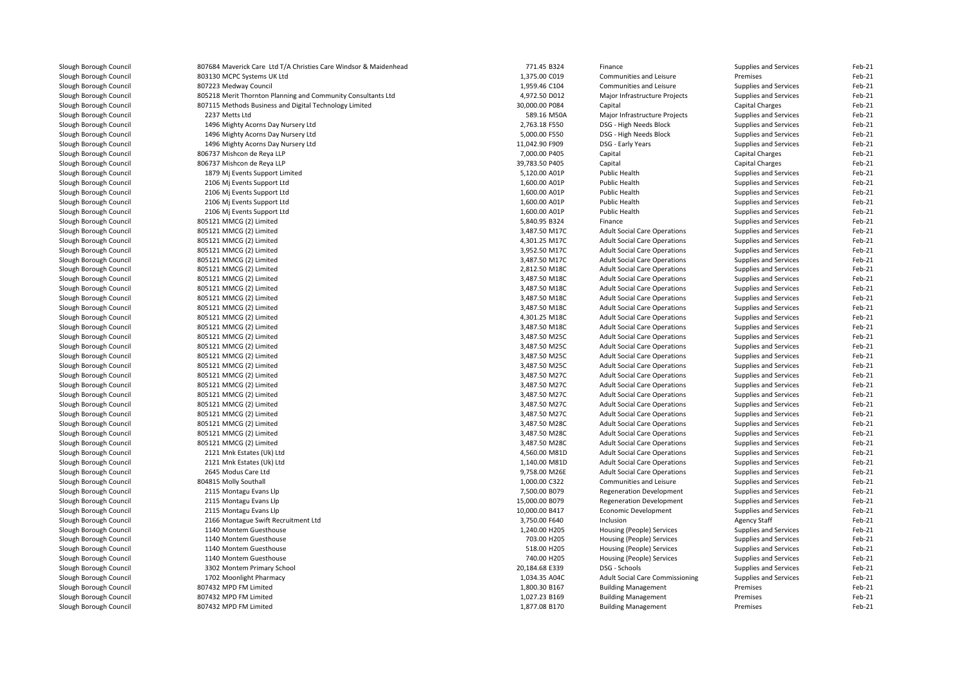| Slough Borough Council                           | 807684 Maverick Care Ltd T/A Christies Care Windsor & Maidenhead | 771.45 B324                    | Finance                                                                    | Supplies and Services                          | Feb-21   |
|--------------------------------------------------|------------------------------------------------------------------|--------------------------------|----------------------------------------------------------------------------|------------------------------------------------|----------|
| Slough Borough Council                           | 803130 MCPC Systems UK Ltd                                       | 1,375.00 C019                  | Communities and Leisure                                                    | Premises                                       | Feb-21   |
| Slough Borough Council                           | 807223 Medway Council                                            | 1,959.46 C104                  | Communities and Leisure                                                    | Supplies and Services                          | Feb-21   |
| Slough Borough Council                           | 805218 Merit Thornton Planning and Community Consultants Ltd     | 4,972.50 D012                  | Major Infrastructure Projects                                              | Supplies and Services                          | Feb-21   |
| Slough Borough Council                           | 807115 Methods Business and Digital Technology Limited           | 30,000.00 P084                 | Capital                                                                    | <b>Capital Charges</b>                         | Feb-21   |
| Slough Borough Council                           | 2237 Metts Ltd                                                   | 589.16 M50A                    | Major Infrastructure Projects                                              | Supplies and Services                          | Feb-21   |
| Slough Borough Council                           | 1496 Mighty Acorns Day Nursery Ltd                               | 2,763.18 F550                  | DSG - High Needs Block                                                     | Supplies and Services                          | Feb-21   |
| Slough Borough Council                           | 1496 Mighty Acorns Day Nursery Ltd                               | 5,000.00 F550                  | DSG - High Needs Block                                                     | Supplies and Services                          | Feb-21   |
| Slough Borough Council                           | 1496 Mighty Acorns Day Nursery Ltd                               | 11,042.90 F909                 | DSG - Early Years                                                          | Supplies and Services                          | Feb-21   |
| Slough Borough Council                           | 806737 Mishcon de Reya LLP                                       | 7,000.00 P405                  | Capital                                                                    | Capital Charges                                | Feb-21   |
| Slough Borough Council                           | 806737 Mishcon de Reya LLP                                       | 39,783.50 P405                 | Capital                                                                    | Capital Charges                                | Feb-21   |
| Slough Borough Council                           | 1879 Mj Events Support Limited                                   | 5,120.00 A01P                  | <b>Public Health</b>                                                       | Supplies and Services                          | Feb-21   |
| Slough Borough Council                           | 2106 Mj Events Support Ltd                                       | 1,600.00 A01P                  | <b>Public Health</b>                                                       | Supplies and Services                          | Feb-21   |
| Slough Borough Council                           | 2106 Mj Events Support Ltd                                       | 1,600.00 A01P                  | Public Health                                                              | Supplies and Services                          | Feb-21   |
| Slough Borough Council                           | 2106 Mj Events Support Ltd                                       | 1,600.00 A01P                  | Public Health                                                              | Supplies and Services                          | Feb-21   |
| Slough Borough Council                           | 2106 Mj Events Support Ltd                                       | 1,600.00 A01P                  | Public Health                                                              | Supplies and Services                          | Feb-21   |
| Slough Borough Council                           | 805121 MMCG (2) Limited                                          | 5,840.95 B324                  | Finance                                                                    | Supplies and Services                          | Feb-21   |
| Slough Borough Council                           | 805121 MMCG (2) Limited                                          | 3,487.50 M17C                  | <b>Adult Social Care Operations</b>                                        | Supplies and Services                          | Feb-21   |
| Slough Borough Council                           | 805121 MMCG (2) Limited                                          | 4,301.25 M17C                  | <b>Adult Social Care Operations</b>                                        | <b>Supplies and Services</b>                   | Feb-21   |
| Slough Borough Council                           | 805121 MMCG (2) Limited                                          | 3,952.50 M17C                  | <b>Adult Social Care Operations</b>                                        | Supplies and Services                          | Feb-21   |
| Slough Borough Council                           | 805121 MMCG (2) Limited                                          | 3,487.50 M17C                  | <b>Adult Social Care Operations</b>                                        | Supplies and Services                          | Feb-21   |
| Slough Borough Council                           | 805121 MMCG (2) Limited                                          | 2,812.50 M18C                  | <b>Adult Social Care Operations</b>                                        | <b>Supplies and Services</b>                   | Feb-21   |
| Slough Borough Council                           | 805121 MMCG (2) Limited                                          | 3,487.50 M18C                  | <b>Adult Social Care Operations</b>                                        | Supplies and Services                          | Feb-21   |
| Slough Borough Council                           | 805121 MMCG (2) Limited                                          | 3,487.50 M18C                  | <b>Adult Social Care Operations</b>                                        | Supplies and Services                          | Feb-21   |
| Slough Borough Council                           | 805121 MMCG (2) Limited                                          | 3,487.50 M18C                  | <b>Adult Social Care Operations</b>                                        | Supplies and Services                          | Feb-21   |
| Slough Borough Council                           | 805121 MMCG (2) Limited                                          | 3,487.50 M18C                  | <b>Adult Social Care Operations</b>                                        | Supplies and Services                          | Feb-21   |
| Slough Borough Council                           | 805121 MMCG (2) Limited                                          | 4,301.25 M18C                  | <b>Adult Social Care Operations</b>                                        | Supplies and Services                          | Feb-21   |
| Slough Borough Council                           | 805121 MMCG (2) Limited                                          | 3,487.50 M18C                  | <b>Adult Social Care Operations</b>                                        | Supplies and Services                          | Feb-21   |
| Slough Borough Council                           | 805121 MMCG (2) Limited                                          | 3,487.50 M25C                  | <b>Adult Social Care Operations</b>                                        | Supplies and Services                          | Feb-21   |
| Slough Borough Council                           | 805121 MMCG (2) Limited                                          | 3,487.50 M25C                  | <b>Adult Social Care Operations</b>                                        | Supplies and Services                          | Feb-21   |
| Slough Borough Council                           | 805121 MMCG (2) Limited                                          | 3,487.50 M25C                  | <b>Adult Social Care Operations</b>                                        | Supplies and Services                          | Feb-21   |
|                                                  | 805121 MMCG (2) Limited                                          | 3,487.50 M25C                  | <b>Adult Social Care Operations</b>                                        | Supplies and Services                          | Feb-21   |
| Slough Borough Council<br>Slough Borough Council | 805121 MMCG (2) Limited                                          | 3,487.50 M27C                  | <b>Adult Social Care Operations</b>                                        | Supplies and Services                          | Feb-21   |
|                                                  |                                                                  |                                |                                                                            |                                                | Feb-21   |
| Slough Borough Council                           | 805121 MMCG (2) Limited<br>805121 MMCG (2) Limited               | 3,487.50 M27C<br>3,487.50 M27C | <b>Adult Social Care Operations</b>                                        | Supplies and Services                          | Feb-21   |
| Slough Borough Council<br>Slough Borough Council | 805121 MMCG (2) Limited                                          | 3,487.50 M27C                  | <b>Adult Social Care Operations</b><br><b>Adult Social Care Operations</b> | Supplies and Services<br>Supplies and Services | Feb-21   |
|                                                  |                                                                  |                                |                                                                            |                                                | Feb-21   |
| Slough Borough Council                           | 805121 MMCG (2) Limited                                          | 3,487.50 M27C<br>3,487.50 M28C | <b>Adult Social Care Operations</b>                                        | Supplies and Services                          | Feb-21   |
| Slough Borough Council                           | 805121 MMCG (2) Limited                                          |                                | <b>Adult Social Care Operations</b>                                        | Supplies and Services                          |          |
| Slough Borough Council                           | 805121 MMCG (2) Limited                                          | 3,487.50 M28C                  | <b>Adult Social Care Operations</b>                                        | Supplies and Services                          | Feb-21   |
| Slough Borough Council                           | 805121 MMCG (2) Limited                                          | 3,487.50 M28C                  | <b>Adult Social Care Operations</b>                                        | Supplies and Services                          | Feb-21   |
| Slough Borough Council                           | 2121 Mnk Estates (Uk) Ltd                                        | 4,560.00 M81D                  | <b>Adult Social Care Operations</b>                                        | Supplies and Services                          | Feb-21   |
| Slough Borough Council                           | 2121 Mnk Estates (Uk) Ltd                                        | 1,140.00 M81D                  | <b>Adult Social Care Operations</b>                                        | Supplies and Services                          | Feb-21   |
| Slough Borough Council                           | 2645 Modus Care Ltd                                              | 9,758.00 M26E                  | <b>Adult Social Care Operations</b>                                        | Supplies and Services                          | Feb-21   |
| Slough Borough Council                           | 804815 Molly Southall                                            | 1,000.00 C322                  | Communities and Leisure                                                    | Supplies and Services                          | Feb-21   |
| Slough Borough Council                           | 2115 Montagu Evans Llp                                           | 7,500.00 B079                  | <b>Regeneration Development</b>                                            | Supplies and Services                          | Feb-21   |
| Slough Borough Council                           | 2115 Montagu Evans Llp                                           | 15,000.00 B079                 | <b>Regeneration Development</b>                                            | Supplies and Services                          | Feb-21   |
| Slough Borough Council                           | 2115 Montagu Evans Llp                                           | 10,000.00 B417                 | <b>Economic Development</b>                                                | Supplies and Services                          | Feb-21   |
| Slough Borough Council                           | 2166 Montague Swift Recruitment Ltd                              | 3,750.00 F640                  | Inclusion                                                                  | Agency Staff                                   | $Feb-21$ |
| Slough Borough Council                           | 1140 Montem Guesthouse                                           | 1,240.00 H205                  | Housing (People) Services                                                  | Supplies and Services                          | Feb-21   |
| Slough Borough Council                           | 1140 Montem Guesthouse                                           | 703.00 H205                    | Housing (People) Services                                                  | Supplies and Services                          | Feb-21   |
| Slough Borough Council                           | 1140 Montem Guesthouse                                           | 518.00 H205                    | Housing (People) Services                                                  | Supplies and Services                          | Feb-21   |
| Slough Borough Council                           | 1140 Montem Guesthouse                                           | 740.00 H205                    | Housing (People) Services                                                  | Supplies and Services                          | Feb-21   |
| Slough Borough Council                           | 3302 Montem Primary School                                       | 20,184.68 E339                 | DSG - Schools                                                              | Supplies and Services                          | Feb-21   |
| Slough Borough Council                           | 1702 Moonlight Pharmacy                                          | 1,034.35 A04C                  | Adult Social Care Commissioning                                            | Supplies and Services                          | Feb-21   |
| Slough Borough Council                           | 807432 MPD FM Limited                                            | 1,800.30 B167                  | <b>Building Management</b>                                                 | Premises                                       | Feb-21   |
| Slough Borough Council                           | 807432 MPD FM Limited                                            | 1,027.23 B169                  | <b>Building Management</b>                                                 | Premises                                       | Feb-21   |
| Slough Borough Council                           | 807432 MPD FM Limited                                            | 1,877.08 B170                  | <b>Building Management</b>                                                 | Premises                                       | Feb-21   |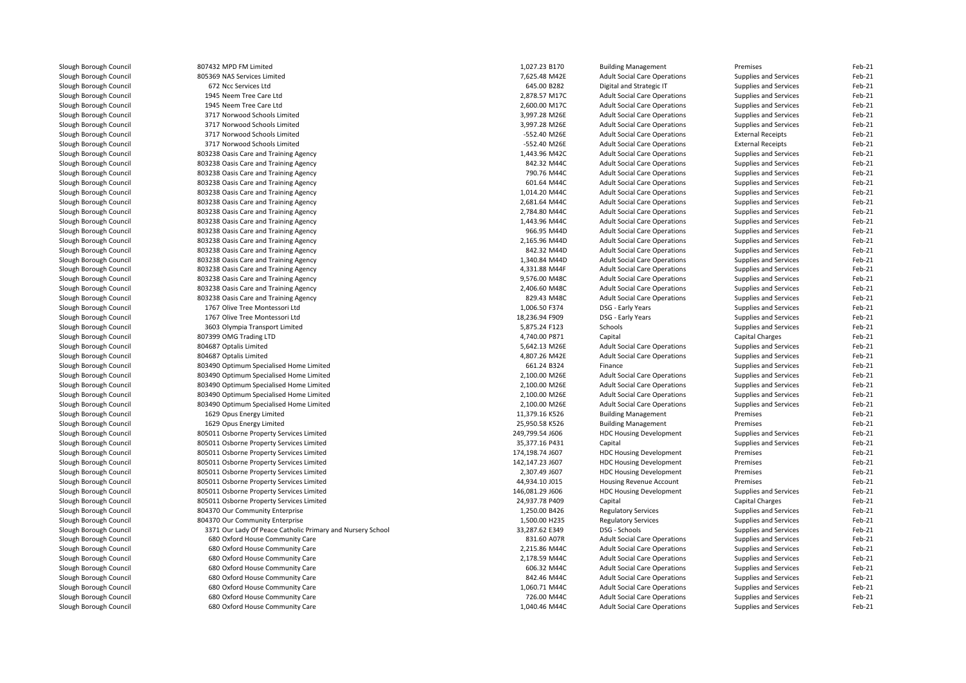| Slough Borough Council | 807432 MPD FM Limited                                      | 1,027.23 B170   | <b>Building Management</b>          | Premises                 | Feb-21 |
|------------------------|------------------------------------------------------------|-----------------|-------------------------------------|--------------------------|--------|
| Slough Borough Council | 805369 NAS Services Limited                                | 7,625.48 M42E   | <b>Adult Social Care Operations</b> | Supplies and Services    | Feb-21 |
| Slough Borough Council | 672 Ncc Services Ltd                                       | 645.00 B282     | Digital and Strategic IT            | Supplies and Services    | Feb-21 |
| Slough Borough Council | 1945 Neem Tree Care Ltd                                    | 2,878.57 M17C   | <b>Adult Social Care Operations</b> | Supplies and Services    | Feb-21 |
| Slough Borough Council | 1945 Neem Tree Care Ltd                                    | 2,600.00 M17C   | <b>Adult Social Care Operations</b> | Supplies and Services    | Feb-21 |
| Slough Borough Council | 3717 Norwood Schools Limited                               | 3,997.28 M26E   | <b>Adult Social Care Operations</b> | Supplies and Services    | Feb-21 |
| Slough Borough Council | 3717 Norwood Schools Limited                               | 3,997.28 M26E   | <b>Adult Social Care Operations</b> | Supplies and Services    | Feb-21 |
| Slough Borough Council | 3717 Norwood Schools Limited                               | -552.40 M26E    | <b>Adult Social Care Operations</b> | <b>External Receipts</b> | Feb-21 |
| Slough Borough Council | 3717 Norwood Schools Limited                               | -552.40 M26E    | <b>Adult Social Care Operations</b> | <b>External Receipts</b> | Feb-21 |
| Slough Borough Council | 803238 Oasis Care and Training Agency                      | 1,443.96 M42C   | <b>Adult Social Care Operations</b> | Supplies and Services    | Feb-21 |
| Slough Borough Council | 803238 Oasis Care and Training Agency                      | 842.32 M44C     | <b>Adult Social Care Operations</b> | Supplies and Services    | Feb-21 |
| Slough Borough Council | 803238 Oasis Care and Training Agency                      | 790.76 M44C     | <b>Adult Social Care Operations</b> | Supplies and Services    | Feb-21 |
| Slough Borough Council | 803238 Oasis Care and Training Agency                      | 601.64 M44C     | <b>Adult Social Care Operations</b> | Supplies and Services    | Feb-21 |
| Slough Borough Council | 803238 Oasis Care and Training Agency                      | 1,014.20 M44C   | <b>Adult Social Care Operations</b> | Supplies and Services    | Feb-21 |
| Slough Borough Council | 803238 Oasis Care and Training Agency                      | 2,681.64 M44C   | <b>Adult Social Care Operations</b> | Supplies and Services    | Feb-21 |
| Slough Borough Council | 803238 Oasis Care and Training Agency                      | 2,784.80 M44C   | <b>Adult Social Care Operations</b> | Supplies and Services    | Feb-21 |
| Slough Borough Council | 803238 Oasis Care and Training Agency                      | 1,443.96 M44C   | <b>Adult Social Care Operations</b> | Supplies and Services    | Feb-21 |
| Slough Borough Council | 803238 Oasis Care and Training Agency                      | 966.95 M44D     | <b>Adult Social Care Operations</b> | Supplies and Services    | Feb-21 |
| Slough Borough Council | 803238 Oasis Care and Training Agency                      | 2,165.96 M44D   | <b>Adult Social Care Operations</b> | Supplies and Services    | Feb-21 |
| Slough Borough Council | 803238 Oasis Care and Training Agency                      | 842.32 M44D     | <b>Adult Social Care Operations</b> | Supplies and Services    | Feb-21 |
|                        |                                                            | 1,340.84 M44D   |                                     |                          | Feb-21 |
| Slough Borough Council | 803238 Oasis Care and Training Agency                      |                 | <b>Adult Social Care Operations</b> | Supplies and Services    |        |
| Slough Borough Council | 803238 Oasis Care and Training Agency                      | 4,331.88 M44F   | <b>Adult Social Care Operations</b> | Supplies and Services    | Feb-21 |
| Slough Borough Council | 803238 Oasis Care and Training Agency                      | 9,576.00 M48C   | <b>Adult Social Care Operations</b> | Supplies and Services    | Feb-21 |
| Slough Borough Council | 803238 Oasis Care and Training Agency                      | 2,406.60 M48C   | <b>Adult Social Care Operations</b> | Supplies and Services    | Feb-21 |
| Slough Borough Council | 803238 Oasis Care and Training Agency                      | 829.43 M48C     | <b>Adult Social Care Operations</b> | Supplies and Services    | Feb-21 |
| Slough Borough Council | 1767 Olive Tree Montessori Ltd                             | 1,006.50 F374   | DSG - Early Years                   | Supplies and Services    | Feb-21 |
| Slough Borough Council | 1767 Olive Tree Montessori Ltd                             | 18,236.94 F909  | DSG - Early Years                   | Supplies and Services    | Feb-21 |
| Slough Borough Council | 3603 Olympia Transport Limited                             | 5,875.24 F123   | Schools                             | Supplies and Services    | Feb-21 |
| Slough Borough Council | 807399 OMG Trading LTD                                     | 4,740.00 P871   | Capital                             | <b>Capital Charges</b>   | Feb-21 |
| Slough Borough Council | 804687 Optalis Limited                                     | 5,642.13 M26E   | <b>Adult Social Care Operations</b> | Supplies and Services    | Feb-21 |
| Slough Borough Council | 804687 Optalis Limited                                     | 4,807.26 M42E   | <b>Adult Social Care Operations</b> | Supplies and Services    | Feb-21 |
| Slough Borough Council | 803490 Optimum Specialised Home Limited                    | 661.24 B324     | Finance                             | Supplies and Services    | Feb-21 |
| Slough Borough Council | 803490 Optimum Specialised Home Limited                    | 2,100.00 M26E   | <b>Adult Social Care Operations</b> | Supplies and Services    | Feb-21 |
| Slough Borough Council | 803490 Optimum Specialised Home Limited                    | 2,100.00 M26E   | <b>Adult Social Care Operations</b> | Supplies and Services    | Feb-21 |
| Slough Borough Council | 803490 Optimum Specialised Home Limited                    | 2,100.00 M26E   | <b>Adult Social Care Operations</b> | Supplies and Services    | Feb-21 |
| Slough Borough Council | 803490 Optimum Specialised Home Limited                    | 2,100.00 M26E   | <b>Adult Social Care Operations</b> | Supplies and Services    | Feb-21 |
| Slough Borough Council | 1629 Opus Energy Limited                                   | 11,379.16 K526  | <b>Building Management</b>          | Premises                 | Feb-21 |
| Slough Borough Council | 1629 Opus Energy Limited                                   | 25,950.58 K526  | <b>Building Management</b>          | Premises                 | Feb-21 |
| Slough Borough Council | 805011 Osborne Property Services Limited                   | 249,799.54 J606 | <b>HDC Housing Development</b>      | Supplies and Services    | Feb-21 |
| Slough Borough Council | 805011 Osborne Property Services Limited                   | 35,377.16 P431  | Capital                             | Supplies and Services    | Feb-21 |
| Slough Borough Council | 805011 Osborne Property Services Limited                   | 174,198.74 J607 | <b>HDC Housing Development</b>      | Premises                 | Feb-21 |
| Slough Borough Council | 805011 Osborne Property Services Limited                   | 142,147.23 J607 | <b>HDC Housing Development</b>      | Premises                 | Feb-21 |
| Slough Borough Council | 805011 Osborne Property Services Limited                   | 2,307.49 J607   | <b>HDC Housing Development</b>      | Premises                 | Feb-21 |
| Slough Borough Council | 805011 Osborne Property Services Limited                   | 44,934.10 J015  | Housing Revenue Account             | Premises                 | Feb-21 |
| Slough Borough Council | 805011 Osborne Property Services Limited                   | 146,081.29 J606 | <b>HDC Housing Development</b>      | Supplies and Services    | Feb-21 |
| Slough Borough Council | 805011 Osborne Property Services Limited                   | 24,937.78 P409  | Capital                             | Capital Charges          | Feb-21 |
| Slough Borough Council | 804370 Our Community Enterprise                            | 1,250.00 B426   | <b>Regulatory Services</b>          | Supplies and Services    | Feb-21 |
| Slough Borough Council | 804370 Our Community Enterprise                            | 1,500.00 H235   | <b>Regulatory Services</b>          | Supplies and Services    | Feb-21 |
| Slough Borough Council | 3371 Our Lady Of Peace Catholic Primary and Nursery School | 33,287.62 E349  | DSG - Schools                       | Supplies and Services    | Feb-21 |
| Slough Borough Council | 680 Oxford House Community Care                            | 831.60 A07R     | <b>Adult Social Care Operations</b> | Supplies and Services    | Feb-21 |
| Slough Borough Council | 680 Oxford House Community Care                            | 2,215.86 M44C   | <b>Adult Social Care Operations</b> | Supplies and Services    | Feb-21 |
| Slough Borough Council | 680 Oxford House Community Care                            | 2,178.59 M44C   | <b>Adult Social Care Operations</b> | Supplies and Services    | Feb-21 |
| Slough Borough Council | 680 Oxford House Community Care                            | 606.32 M44C     | <b>Adult Social Care Operations</b> | Supplies and Services    | Feb-21 |
| Slough Borough Council | 680 Oxford House Community Care                            | 842.46 M44C     | <b>Adult Social Care Operations</b> | Supplies and Services    | Feb-21 |
| Slough Borough Council | 680 Oxford House Community Care                            | 1,060.71 M44C   | <b>Adult Social Care Operations</b> | Supplies and Services    | Feb-21 |
| Slough Borough Council | 680 Oxford House Community Care                            | 726.00 M44C     | <b>Adult Social Care Operations</b> | Supplies and Services    | Feb-21 |
| Slough Borough Council | 680 Oxford House Community Care                            | 1,040.46 M44C   | <b>Adult Social Care Operations</b> | Supplies and Services    | Feb-21 |
|                        |                                                            |                 |                                     |                          |        |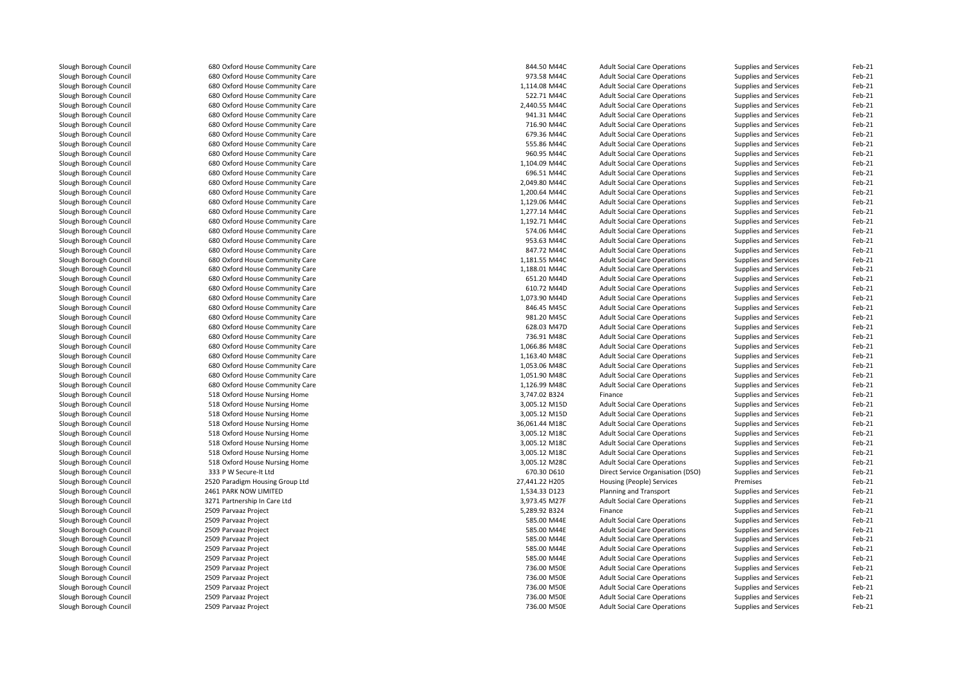| Slough Borough Council | 680 Oxford House Community Care | 844.50 M44C    | <b>Adult Social Care Operations</b> | Supplies and Services | Feb-21   |
|------------------------|---------------------------------|----------------|-------------------------------------|-----------------------|----------|
| Slough Borough Council | 680 Oxford House Community Care | 973.58 M44C    | <b>Adult Social Care Operations</b> | Supplies and Services | Feb-21   |
| Slough Borough Council | 680 Oxford House Community Care | 1,114.08 M44C  | <b>Adult Social Care Operations</b> | Supplies and Services | Feb-21   |
| Slough Borough Council | 680 Oxford House Community Care | 522.71 M44C    | <b>Adult Social Care Operations</b> | Supplies and Services | Feb-21   |
| Slough Borough Council | 680 Oxford House Community Care | 2,440.55 M44C  | <b>Adult Social Care Operations</b> | Supplies and Services | Feb-21   |
| Slough Borough Council | 680 Oxford House Community Care | 941.31 M44C    | <b>Adult Social Care Operations</b> | Supplies and Services | Feb-21   |
| Slough Borough Council | 680 Oxford House Community Care | 716.90 M44C    | <b>Adult Social Care Operations</b> | Supplies and Services | Feb-21   |
| Slough Borough Council | 680 Oxford House Community Care | 679.36 M44C    | <b>Adult Social Care Operations</b> | Supplies and Services | Feb-21   |
| Slough Borough Council | 680 Oxford House Community Care | 555.86 M44C    | <b>Adult Social Care Operations</b> | Supplies and Services | Feb-21   |
| Slough Borough Council | 680 Oxford House Community Care | 960.95 M44C    | <b>Adult Social Care Operations</b> | Supplies and Services | Feb-21   |
| Slough Borough Council | 680 Oxford House Community Care | 1,104.09 M44C  | <b>Adult Social Care Operations</b> | Supplies and Services | Feb-21   |
| Slough Borough Council | 680 Oxford House Community Care | 696.51 M44C    | <b>Adult Social Care Operations</b> | Supplies and Services | Feb-21   |
| Slough Borough Council | 680 Oxford House Community Care | 2,049.80 M44C  | <b>Adult Social Care Operations</b> | Supplies and Services | Feb-21   |
| Slough Borough Council | 680 Oxford House Community Care | 1,200.64 M44C  | <b>Adult Social Care Operations</b> | Supplies and Services | Feb-21   |
| Slough Borough Council | 680 Oxford House Community Care | 1,129.06 M44C  | <b>Adult Social Care Operations</b> | Supplies and Services | Feb-21   |
| Slough Borough Council | 680 Oxford House Community Care | 1,277.14 M44C  | <b>Adult Social Care Operations</b> | Supplies and Services | Feb-21   |
| Slough Borough Council | 680 Oxford House Community Care | 1,192.71 M44C  | <b>Adult Social Care Operations</b> | Supplies and Services | Feb-21   |
| Slough Borough Council | 680 Oxford House Community Care | 574.06 M44C    | <b>Adult Social Care Operations</b> | Supplies and Services | Feb-21   |
| Slough Borough Council | 680 Oxford House Community Care | 953.63 M44C    | <b>Adult Social Care Operations</b> | Supplies and Services | Feb-21   |
| Slough Borough Council | 680 Oxford House Community Care | 847.72 M44C    | <b>Adult Social Care Operations</b> | Supplies and Services | Feb-21   |
| Slough Borough Council | 680 Oxford House Community Care | 1,181.55 M44C  | <b>Adult Social Care Operations</b> | Supplies and Services | Feb-21   |
| Slough Borough Council | 680 Oxford House Community Care | 1,188.01 M44C  | <b>Adult Social Care Operations</b> | Supplies and Services | Feb-21   |
|                        |                                 | 651.20 M44D    |                                     |                       | Feb-21   |
| Slough Borough Council | 680 Oxford House Community Care |                | <b>Adult Social Care Operations</b> | Supplies and Services |          |
| Slough Borough Council | 680 Oxford House Community Care | 610.72 M44D    | <b>Adult Social Care Operations</b> | Supplies and Services | Feb-21   |
| Slough Borough Council | 680 Oxford House Community Care | 1,073.90 M44D  | <b>Adult Social Care Operations</b> | Supplies and Services | Feb-21   |
| Slough Borough Council | 680 Oxford House Community Care | 846.45 M45C    | <b>Adult Social Care Operations</b> | Supplies and Services | Feb-21   |
| Slough Borough Council | 680 Oxford House Community Care | 981.20 M45C    | <b>Adult Social Care Operations</b> | Supplies and Services | Feb-21   |
| Slough Borough Council | 680 Oxford House Community Care | 628.03 M47D    | <b>Adult Social Care Operations</b> | Supplies and Services | Feb-21   |
| Slough Borough Council | 680 Oxford House Community Care | 736.91 M48C    | <b>Adult Social Care Operations</b> | Supplies and Services | Feb-21   |
| Slough Borough Council | 680 Oxford House Community Care | 1,066.86 M48C  | <b>Adult Social Care Operations</b> | Supplies and Services | Feb-21   |
| Slough Borough Council | 680 Oxford House Community Care | 1,163.40 M48C  | <b>Adult Social Care Operations</b> | Supplies and Services | Feb-21   |
| Slough Borough Council | 680 Oxford House Community Care | 1,053.06 M48C  | <b>Adult Social Care Operations</b> | Supplies and Services | Feb-21   |
| Slough Borough Council | 680 Oxford House Community Care | 1,051.90 M48C  | <b>Adult Social Care Operations</b> | Supplies and Services | Feb-21   |
| Slough Borough Council | 680 Oxford House Community Care | 1,126.99 M48C  | <b>Adult Social Care Operations</b> | Supplies and Services | Feb-21   |
| Slough Borough Council | 518 Oxford House Nursing Home   | 3,747.02 B324  | Finance                             | Supplies and Services | Feb-21   |
| Slough Borough Council | 518 Oxford House Nursing Home   | 3,005.12 M15D  | <b>Adult Social Care Operations</b> | Supplies and Services | Feb-21   |
| Slough Borough Council | 518 Oxford House Nursing Home   | 3,005.12 M15D  | <b>Adult Social Care Operations</b> | Supplies and Services | Feb-21   |
| Slough Borough Council | 518 Oxford House Nursing Home   | 36,061.44 M18C | <b>Adult Social Care Operations</b> | Supplies and Services | Feb-21   |
| Slough Borough Council | 518 Oxford House Nursing Home   | 3,005.12 M18C  | <b>Adult Social Care Operations</b> | Supplies and Services | Feb-21   |
| Slough Borough Council | 518 Oxford House Nursing Home   | 3,005.12 M18C  | <b>Adult Social Care Operations</b> | Supplies and Services | Feb-21   |
| Slough Borough Council | 518 Oxford House Nursing Home   | 3,005.12 M18C  | <b>Adult Social Care Operations</b> | Supplies and Services | Feb-21   |
| Slough Borough Council | 518 Oxford House Nursing Home   | 3,005.12 M28C  | <b>Adult Social Care Operations</b> | Supplies and Services | Feb-21   |
| Slough Borough Council | 333 P W Secure-It Ltd           | 670.30 D610    | Direct Service Organisation (DSO)   | Supplies and Services | Feb-21   |
| Slough Borough Council | 2520 Paradigm Housing Group Ltd | 27,441.22 H205 | Housing (People) Services           | Premises              | Feb-21   |
| Slough Borough Council | 2461 PARK NOW LIMITED           | 1,534.33 D123  | Planning and Transport              | Supplies and Services | Feb-21   |
| Slough Borough Council | 3271 Partnership In Care Ltd    | 3,973.45 M27F  | <b>Adult Social Care Operations</b> | Supplies and Services | Feb-21   |
| Slough Borough Council | 2509 Parvaaz Project            | 5,289.92 B324  | Finance                             | Supplies and Services | Feb-21   |
| Slough Borough Council | 2509 Parvaaz Project            | 585.00 M44E    | <b>Adult Social Care Operations</b> | Supplies and Services | Feb-21   |
| Slough Borough Council | 2509 Parvaaz Project            | 585.00 M44E    | <b>Adult Social Care Operations</b> | Supplies and Services | Feb-21   |
| Slough Borough Council | 2509 Parvaaz Project            | 585.00 M44E    | <b>Adult Social Care Operations</b> | Supplies and Services | Feb-21   |
| Slough Borough Council | 2509 Parvaaz Project            | 585.00 M44E    | <b>Adult Social Care Operations</b> | Supplies and Services | Feb-21   |
| Slough Borough Council | 2509 Parvaaz Project            | 585.00 M44E    | <b>Adult Social Care Operations</b> | Supplies and Services | Feb-21   |
| Slough Borough Council | 2509 Parvaaz Project            | 736.00 M50E    | <b>Adult Social Care Operations</b> | Supplies and Services | Feb-21   |
|                        | 2509 Parvaaz Project            | 736.00 M50E    |                                     |                       | Feb-21   |
| Slough Borough Council |                                 |                | <b>Adult Social Care Operations</b> | Supplies and Services |          |
| Slough Borough Council | 2509 Parvaaz Project            | 736.00 M50E    | <b>Adult Social Care Operations</b> | Supplies and Services | Feb-21   |
| Slough Borough Council | 2509 Parvaaz Project            | 736.00 M50E    | <b>Adult Social Care Operations</b> | Supplies and Services | Feb-21   |
| Slough Borough Council | 2509 Parvaaz Project            | 736.00 M50E    | Adult Social Care Operations        | Sunnlies and Services | $Feh-21$ |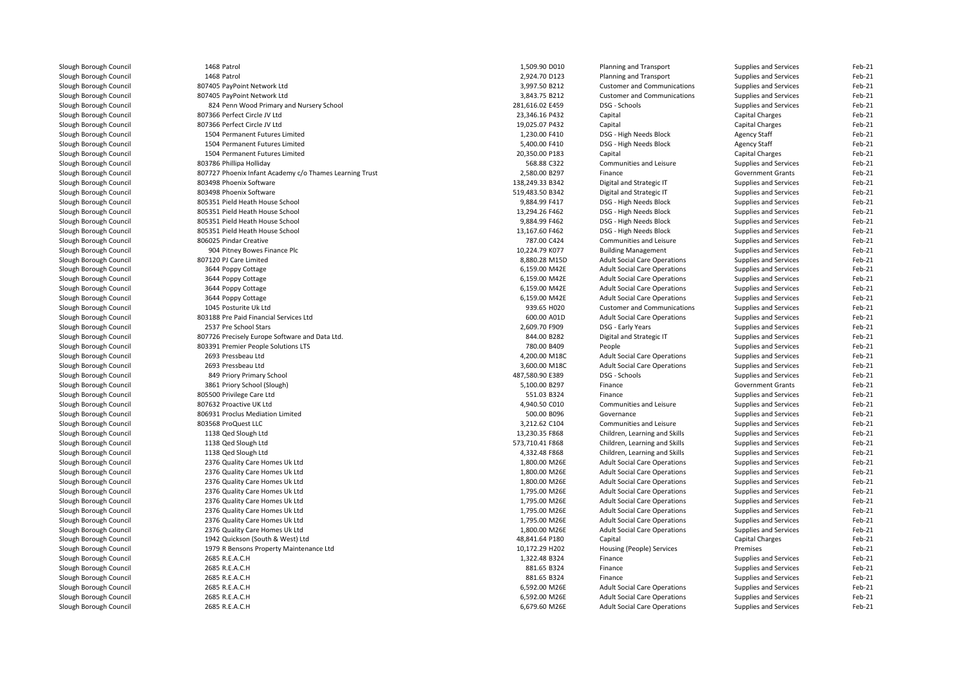| Slough Borough Council | 1468 Patrol                                             | 1,509.90 D010   | Planning and Transport              | Supplies and Services    | Feb-21           |
|------------------------|---------------------------------------------------------|-----------------|-------------------------------------|--------------------------|------------------|
| Slough Borough Council | 1468 Patrol                                             | 2,924.70 D123   | Planning and Transport              | Supplies and Services    | Feb-21           |
| Slough Borough Council | 807405 PayPoint Network Ltd                             | 3,997.50 B212   | <b>Customer and Communications</b>  | Supplies and Services    | Feb-21           |
| Slough Borough Council | 807405 PayPoint Network Ltd                             | 3,843.75 B212   | <b>Customer and Communications</b>  | Supplies and Services    | Feb-21           |
| Slough Borough Council | 824 Penn Wood Primary and Nursery School                | 281,616.02 E459 | DSG - Schools                       | Supplies and Services    | Feb-21           |
| Slough Borough Council | 807366 Perfect Circle JV Ltd                            | 23,346.16 P432  | Capital                             | Capital Charges          | Feb-21           |
| Slough Borough Council | 807366 Perfect Circle JV Ltd                            | 19,025.07 P432  | Capital                             | <b>Capital Charges</b>   | Feb-21           |
| Slough Borough Council | 1504 Permanent Futures Limited                          | 1,230.00 F410   | DSG - High Needs Block              | Agency Staff             | Feb-21           |
| Slough Borough Council | 1504 Permanent Futures Limited                          | 5,400.00 F410   | DSG - High Needs Block              | <b>Agency Staff</b>      | Feb-21           |
| Slough Borough Council | 1504 Permanent Futures Limited                          | 20,350.00 P183  | Capital                             | <b>Capital Charges</b>   | Feb-21           |
| Slough Borough Council | 803786 Phillipa Holliday                                | 568.88 C322     | Communities and Leisure             | Supplies and Services    | Feb-21           |
| Slough Borough Council | 807727 Phoenix Infant Academy c/o Thames Learning Trust | 2,580.00 B297   | Finance                             | <b>Government Grants</b> | Feb-21           |
| Slough Borough Council | 803498 Phoenix Software                                 | 138,249.33 B342 | Digital and Strategic IT            | Supplies and Services    | Feb-21           |
| Slough Borough Council | 803498 Phoenix Software                                 | 519,483.50 B342 | Digital and Strategic IT            | Supplies and Services    | Feb-21           |
| Slough Borough Council | 805351 Pield Heath House School                         | 9,884.99 F417   | DSG - High Needs Block              | Supplies and Services    | Feb-21           |
| Slough Borough Council | 805351 Pield Heath House School                         | 13,294.26 F462  | DSG - High Needs Block              | Supplies and Services    | Feb-21           |
| Slough Borough Council | 805351 Pield Heath House School                         | 9,884.99 F462   | DSG - High Needs Block              | Supplies and Services    | Feb-21           |
| Slough Borough Council | 805351 Pield Heath House School                         | 13,167.60 F462  | DSG - High Needs Block              | Supplies and Services    | Feb-21           |
|                        | 806025 Pindar Creative                                  | 787.00 C424     |                                     |                          | Feb-21           |
| Slough Borough Council |                                                         |                 | Communities and Leisure             | Supplies and Services    | Feb-21           |
| Slough Borough Council | 904 Pitney Bowes Finance Plc                            | 10,224.79 K077  | <b>Building Management</b>          | Supplies and Services    |                  |
| Slough Borough Council | 807120 PJ Care Limited                                  | 8,880.28 M15D   | <b>Adult Social Care Operations</b> | Supplies and Services    | Feb-21           |
| Slough Borough Council | 3644 Poppy Cottage                                      | 6,159.00 M42E   | <b>Adult Social Care Operations</b> | Supplies and Services    | Feb-21           |
| Slough Borough Council | 3644 Poppy Cottage                                      | 6,159.00 M42E   | <b>Adult Social Care Operations</b> | Supplies and Services    | Feb-21           |
| Slough Borough Council | 3644 Poppy Cottage                                      | 6,159.00 M42E   | <b>Adult Social Care Operations</b> | Supplies and Services    | Feb-21           |
| Slough Borough Council | 3644 Poppy Cottage                                      | 6,159.00 M42E   | <b>Adult Social Care Operations</b> | Supplies and Services    | Feb-21           |
| Slough Borough Council | 1045 Posturite Uk Ltd                                   | 939.65 H020     | <b>Customer and Communications</b>  | Supplies and Services    | Feb-21           |
| Slough Borough Council | 803188 Pre Paid Financial Services Ltd                  | 600.00 A01D     | <b>Adult Social Care Operations</b> | Supplies and Services    | Feb-21           |
| Slough Borough Council | 2537 Pre School Stars                                   | 2,609.70 F909   | DSG - Early Years                   | Supplies and Services    | Feb-21           |
| Slough Borough Council | 807726 Precisely Europe Software and Data Ltd.          | 844.00 B282     | Digital and Strategic IT            | Supplies and Services    | Feb-21           |
| Slough Borough Council | 803391 Premier People Solutions LTS                     | 780.00 B409     | People                              | Supplies and Services    | Feb-21           |
| Slough Borough Council | 2693 Pressbeau Ltd                                      | 4,200.00 M18C   | <b>Adult Social Care Operations</b> | Supplies and Services    | Feb-21           |
| Slough Borough Council | 2693 Pressbeau Ltd                                      | 3,600.00 M18C   | <b>Adult Social Care Operations</b> | Supplies and Services    | Feb-21           |
| Slough Borough Council | 849 Priory Primary School                               | 487,580.90 E389 | DSG - Schools                       | Supplies and Services    | Feb-21           |
| Slough Borough Council | 3861 Priory School (Slough)                             | 5,100.00 B297   | Finance                             | <b>Government Grants</b> | Feb-21           |
| Slough Borough Council | 805500 Privilege Care Ltd                               | 551.03 B324     | Finance                             | Supplies and Services    | Feb-21           |
| Slough Borough Council | 807632 Proactive UK Ltd                                 | 4,940.50 C010   | Communities and Leisure             | Supplies and Services    | Feb-21           |
| Slough Borough Council | 806931 Proclus Mediation Limited                        | 500.00 B096     | Governance                          | Supplies and Services    | Feb-21           |
| Slough Borough Council | 803568 ProQuest LLC                                     | 3,212.62 C104   | Communities and Leisure             | Supplies and Services    | Feb-21           |
| Slough Borough Council | 1138 Qed Slough Ltd                                     | 13,230.35 F868  | Children, Learning and Skills       | Supplies and Services    | Feb-21           |
| Slough Borough Council | 1138 Qed Slough Ltd                                     | 573,710.41 F868 | Children, Learning and Skills       | Supplies and Services    | Feb-21           |
| Slough Borough Council | 1138 Qed Slough Ltd                                     | 4,332.48 F868   | Children, Learning and Skills       | Supplies and Services    | Feb-21           |
| Slough Borough Council | 2376 Quality Care Homes Uk Ltd                          | 1,800.00 M26E   | <b>Adult Social Care Operations</b> | Supplies and Services    | Feb-21           |
| Slough Borough Council | 2376 Quality Care Homes Uk Ltd                          | 1,800.00 M26E   | <b>Adult Social Care Operations</b> | Supplies and Services    | Feb-21           |
| Slough Borough Council | 2376 Quality Care Homes Uk Ltd                          | 1,800.00 M26E   | <b>Adult Social Care Operations</b> | Supplies and Services    | Feb-21           |
| Slough Borough Council | 2376 Quality Care Homes Uk Ltd                          | 1,795.00 M26E   | <b>Adult Social Care Operations</b> | Supplies and Services    | Feb-21           |
| Slough Borough Council | 2376 Quality Care Homes Uk Ltd                          | 1,795.00 M26E   | <b>Adult Social Care Operations</b> | Supplies and Services    | Feb-21           |
| Slough Borough Council | 2376 Quality Care Homes Uk Ltd                          | 1,795.00 M26E   | <b>Adult Social Care Operations</b> | Supplies and Services    | Feb-21           |
| Slough Borough Council | 2376 Quality Care Homes Uk Ltd                          | 1,795.00 M26E   | <b>Adult Social Care Operations</b> | Supplies and Services    | Feb-21           |
| Slough Borough Council | 2376 Quality Care Homes Uk Ltd                          | 1,800.00 M26E   | <b>Adult Social Care Operations</b> | Supplies and Services    | Feb-21           |
| Slough Borough Council | 1942 Quickson (South & West) Ltd                        | 48,841.64 P180  | Capital                             | <b>Capital Charges</b>   | Feb-21           |
|                        |                                                         |                 |                                     |                          |                  |
| Slough Borough Council | 1979 R Bensons Property Maintenance Ltd                 | 10,172.29 H202  | Housing (People) Services           | Premises                 | Feb-21<br>Feb-21 |
| Slough Borough Council | 2685 R.E.A.C.H                                          | 1,322.48 B324   | Finance                             | Supplies and Services    |                  |
| Slough Borough Council | 2685 R.E.A.C.H                                          | 881.65 B324     | Finance                             | Supplies and Services    | Feb-21           |
| Slough Borough Council | 2685 R.E.A.C.H                                          | 881.65 B324     | Finance                             | Supplies and Services    | Feb-21           |
| Slough Borough Council | 2685 R.E.A.C.H                                          | 6,592.00 M26E   | <b>Adult Social Care Operations</b> | Supplies and Services    | Feb-21           |
| Slough Borough Council | 2685 R.E.A.C.H                                          | 6,592.00 M26E   | <b>Adult Social Care Operations</b> | Supplies and Services    | Feb-21           |
| Slough Borough Council | 2685 R.E.A.C.H                                          | 6,679.60 M26E   | <b>Adult Social Care Operations</b> | Supplies and Services    | Feb-21           |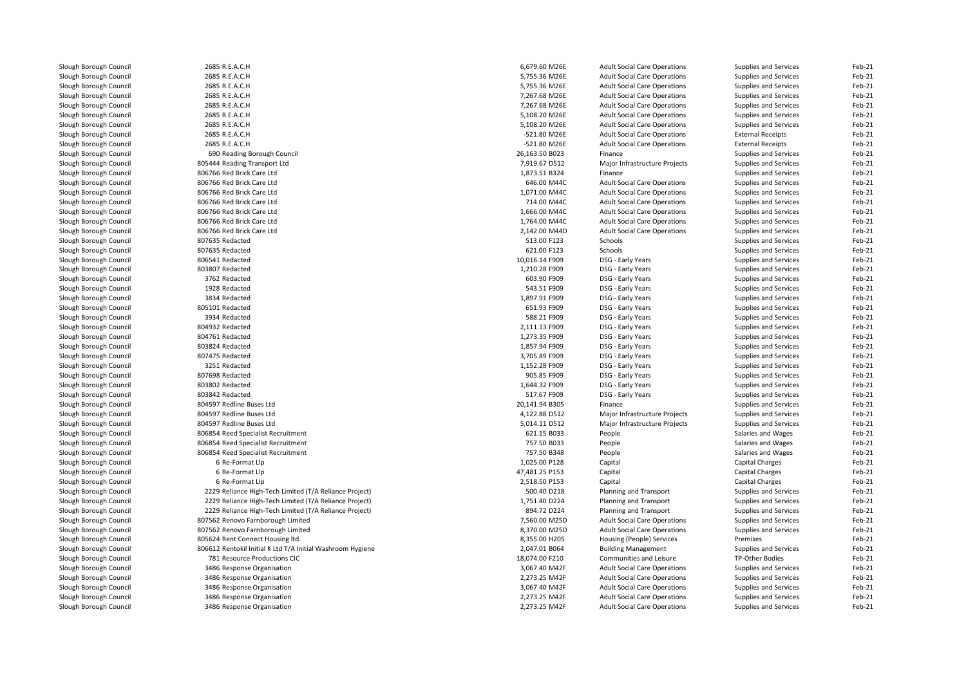| Slough Borough Council | 2685 R.E.A.C.H                                             | 6,679.60 M26E  | <b>Adult Social Care Operations</b> | Supplies and Services    | Feb-21 |
|------------------------|------------------------------------------------------------|----------------|-------------------------------------|--------------------------|--------|
| Slough Borough Council | 2685 R.E.A.C.H                                             | 5,755.36 M26E  | <b>Adult Social Care Operations</b> | Supplies and Services    | Feb-21 |
| Slough Borough Council | 2685 R.E.A.C.H                                             | 5,755.36 M26E  | <b>Adult Social Care Operations</b> | Supplies and Services    | Feb-21 |
| Slough Borough Council | 2685 R.E.A.C.H                                             | 7,267.68 M26E  | <b>Adult Social Care Operations</b> | Supplies and Services    | Feb-21 |
| Slough Borough Council | 2685 R.E.A.C.H                                             | 7,267.68 M26E  | <b>Adult Social Care Operations</b> | Supplies and Services    | Feb-21 |
| Slough Borough Council | 2685 R.E.A.C.H                                             | 5,108.20 M26E  | <b>Adult Social Care Operations</b> | Supplies and Services    | Feb-21 |
| Slough Borough Council | 2685 R.E.A.C.H                                             | 5,108.20 M26E  | <b>Adult Social Care Operations</b> | Supplies and Services    | Feb-21 |
| Slough Borough Council | 2685 R.E.A.C.H                                             | -521.80 M26E   | <b>Adult Social Care Operations</b> | <b>External Receipts</b> | Feb-21 |
| Slough Borough Council | 2685 R.E.A.C.H                                             | -521.80 M26E   | <b>Adult Social Care Operations</b> | <b>External Receipts</b> | Feb-21 |
| Slough Borough Council | 690 Reading Borough Council                                | 26,163.50 B023 | Finance                             | Supplies and Services    | Feb-21 |
| Slough Borough Council | 805444 Reading Transport Ltd                               | 7,919.67 D512  | Major Infrastructure Projects       | Supplies and Services    | Feb-21 |
| Slough Borough Council | 806766 Red Brick Care Ltd                                  | 1,873.51 B324  | Finance                             | Supplies and Services    | Feb-21 |
| Slough Borough Council | 806766 Red Brick Care Ltd                                  | 646.00 M44C    | <b>Adult Social Care Operations</b> | Supplies and Services    | Feb-21 |
| Slough Borough Council | 806766 Red Brick Care Ltd                                  | 1,071.00 M44C  | <b>Adult Social Care Operations</b> | Supplies and Services    | Feb-21 |
| Slough Borough Council | 806766 Red Brick Care Ltd                                  | 714.00 M44C    | <b>Adult Social Care Operations</b> | Supplies and Services    | Feb-21 |
| Slough Borough Council | 806766 Red Brick Care Ltd                                  | 1,666.00 M44C  | <b>Adult Social Care Operations</b> | Supplies and Services    | Feb-21 |
| Slough Borough Council | 806766 Red Brick Care Ltd                                  | 1,764.00 M44C  | <b>Adult Social Care Operations</b> | Supplies and Services    | Feb-21 |
| Slough Borough Council | 806766 Red Brick Care Ltd                                  | 2,142.00 M44D  | <b>Adult Social Care Operations</b> | Supplies and Services    | Feb-21 |
| Slough Borough Council | 807635 Redacted                                            | 513.00 F123    | Schools                             | Supplies and Services    | Feb-21 |
| Slough Borough Council | 807635 Redacted                                            | 621.00 F123    | Schools                             | Supplies and Services    | Feb-21 |
| Slough Borough Council | 806541 Redacted                                            | 10,016.14 F909 | DSG - Early Years                   | Supplies and Services    | Feb-21 |
| Slough Borough Council | 803807 Redacted                                            | 1,210.28 F909  | DSG - Early Years                   | Supplies and Services    | Feb-21 |
|                        |                                                            | 603.90 F909    |                                     |                          | Feb-21 |
| Slough Borough Council | 3762 Redacted                                              |                | DSG - Early Years                   | Supplies and Services    |        |
| Slough Borough Council | 1928 Redacted                                              | 543.51 F909    | DSG - Early Years                   | Supplies and Services    | Feb-21 |
| Slough Borough Council | 3834 Redacted                                              | 1,897.91 F909  | DSG - Early Years                   | Supplies and Services    | Feb-21 |
| Slough Borough Council | 805101 Redacted                                            | 651.93 F909    | DSG - Early Years                   | Supplies and Services    | Feb-21 |
| Slough Borough Council | 3934 Redacted                                              | 588.21 F909    | DSG - Early Years                   | Supplies and Services    | Feb-21 |
| Slough Borough Council | 804932 Redacted                                            | 2,111.13 F909  | DSG - Early Years                   | Supplies and Services    | Feb-21 |
| Slough Borough Council | 804761 Redacted                                            | 1,273.35 F909  | DSG - Early Years                   | Supplies and Services    | Feb-21 |
| Slough Borough Council | 803824 Redacted                                            | 1,857.94 F909  | DSG - Early Years                   | Supplies and Services    | Feb-21 |
| Slough Borough Council | 807475 Redacted                                            | 3,705.89 F909  | DSG - Early Years                   | Supplies and Services    | Feb-21 |
| Slough Borough Council | 3251 Redacted                                              | 1,152.28 F909  | DSG - Early Years                   | Supplies and Services    | Feb-21 |
| Slough Borough Council | 807698 Redacted                                            | 905.85 F909    | DSG - Early Years                   | Supplies and Services    | Feb-21 |
| Slough Borough Council | 803802 Redacted                                            | 1,644.32 F909  | DSG - Early Years                   | Supplies and Services    | Feb-21 |
| Slough Borough Council | 803842 Redacted                                            | 517.67 F909    | DSG - Early Years                   | Supplies and Services    | Feb-21 |
| Slough Borough Council | 804597 Redline Buses Ltd                                   | 20,141.94 B305 | Finance                             | Supplies and Services    | Feb-21 |
| Slough Borough Council | 804597 Redline Buses Ltd                                   | 4,122.88 D512  | Major Infrastructure Projects       | Supplies and Services    | Feb-21 |
| Slough Borough Council | 804597 Redline Buses Ltd                                   | 5,014.11 D512  | Major Infrastructure Projects       | Supplies and Services    | Feb-21 |
| Slough Borough Council | 806854 Reed Specialist Recruitment                         | 621.15 B033    | People                              | Salaries and Wages       | Feb-21 |
| Slough Borough Council | 806854 Reed Specialist Recruitment                         | 757.50 B033    | People                              | Salaries and Wages       | Feb-21 |
| Slough Borough Council | 806854 Reed Specialist Recruitment                         | 757.50 B348    | People                              | Salaries and Wages       | Feb-21 |
| Slough Borough Council | 6 Re-Format Llp                                            | 1,025.00 P128  | Capital                             | Capital Charges          | Feb-21 |
| Slough Borough Council | 6 Re-Format Llp                                            | 47,481.25 P153 | Capital                             | Capital Charges          | Feb-21 |
| Slough Borough Council | 6 Re-Format Llp                                            | 2,518.50 P153  | Capital                             | Capital Charges          | Feb-21 |
| Slough Borough Council | 2229 Reliance High-Tech Limited (T/A Reliance Project)     | 500.40 D218    | Planning and Transport              | Supplies and Services    | Feb-21 |
| Slough Borough Council | 2229 Reliance High-Tech Limited (T/A Reliance Project)     | 1,751.40 D224  | Planning and Transport              | Supplies and Services    | Feb-21 |
| Slough Borough Council | 2229 Reliance High-Tech Limited (T/A Reliance Project)     | 894.72 D224    | Planning and Transport              | Supplies and Services    | Feb-21 |
| Slough Borough Council | 807562 Renovo Farnborough Limited                          | 7,560.00 M25D  | <b>Adult Social Care Operations</b> | Supplies and Services    | Feb-21 |
| Slough Borough Council | 807562 Renovo Farnborough Limited                          | 8,370.00 M25D  | <b>Adult Social Care Operations</b> | Supplies and Services    | Feb-21 |
| Slough Borough Council | 805624 Rent Connect Housing ltd.                           | 8,355.00 H205  | Housing (People) Services           | Premises                 | Feb-21 |
| Slough Borough Council | 806612 Rentokil Initial K Ltd T/A Initial Washroom Hygiene | 2,047.01 B064  | <b>Building Management</b>          | Supplies and Services    | Feb-21 |
| Slough Borough Council | 781 Resource Productions CIC                               | 18,074.00 F210 | Communities and Leisure             | <b>TP-Other Bodies</b>   | Feb-21 |
| Slough Borough Council | 3486 Response Organisation                                 | 3,067.40 M42F  | <b>Adult Social Care Operations</b> | Supplies and Services    | Feb-21 |
| Slough Borough Council | 3486 Response Organisation                                 | 2,273.25 M42F  | <b>Adult Social Care Operations</b> | Supplies and Services    | Feb-21 |
| Slough Borough Council | 3486 Response Organisation                                 | 3,067.40 M42F  | <b>Adult Social Care Operations</b> | Supplies and Services    | Feb-21 |
| Slough Borough Council | 3486 Response Organisation                                 | 2,273.25 M42F  | <b>Adult Social Care Operations</b> | Supplies and Services    | Feb-21 |
| Slough Borough Council | 3486 Response Organisation                                 | 2,273.25 M42F  | <b>Adult Social Care Operations</b> | Supplies and Services    | Feb-21 |
|                        |                                                            |                |                                     |                          |        |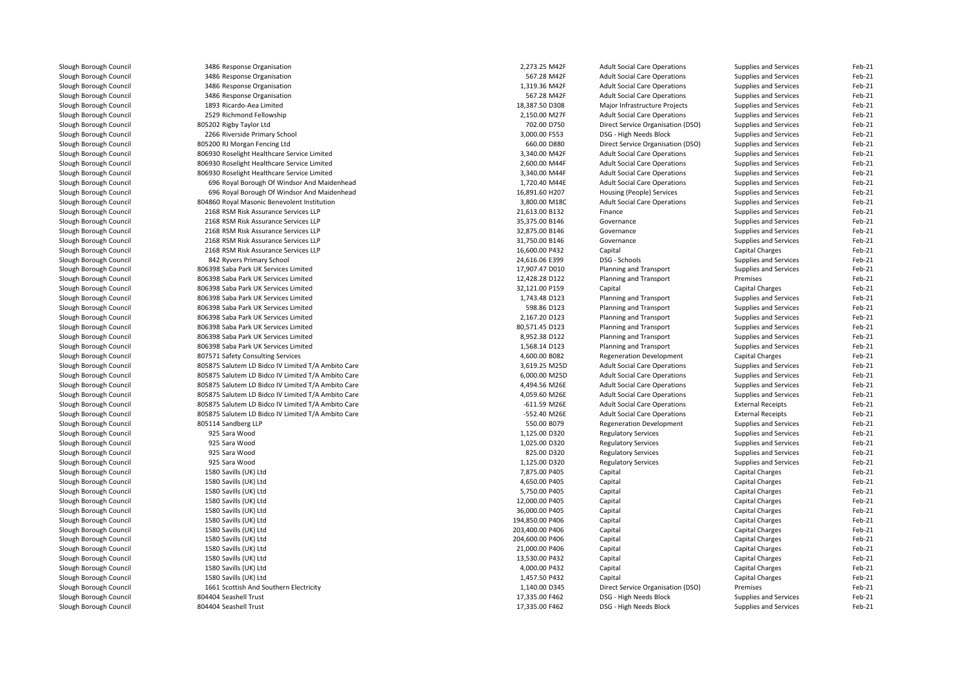| Slough Borough Council | 3486 Response Organisation                                                   | 2,273.25 M42F                | <b>Adult Social Care Operations</b>              | Supplies and Services    | Feb-21 |
|------------------------|------------------------------------------------------------------------------|------------------------------|--------------------------------------------------|--------------------------|--------|
| Slough Borough Council | 3486 Response Organisation                                                   | 567.28 M42F                  | <b>Adult Social Care Operations</b>              | Supplies and Services    | Feb-21 |
| Slough Borough Council | 3486 Response Organisation                                                   | 1,319.36 M42F                | <b>Adult Social Care Operations</b>              | Supplies and Services    | Feb-21 |
| Slough Borough Council | 3486 Response Organisation                                                   | 567.28 M42F                  | <b>Adult Social Care Operations</b>              | Supplies and Services    | Feb-21 |
| Slough Borough Council | 1893 Ricardo-Aea Limited                                                     | 18,387.50 D308               | Major Infrastructure Projects                    | Supplies and Services    | Feb-21 |
| Slough Borough Council | 2529 Richmond Fellowship                                                     | 2,150.00 M27F                | <b>Adult Social Care Operations</b>              | Supplies and Services    | Feb-21 |
| Slough Borough Council | 805202 Rigby Taylor Ltd                                                      | 702.00 D750                  | Direct Service Organisation (DSO)                | Supplies and Services    | Feb-21 |
| Slough Borough Council | 2266 Riverside Primary School                                                | 3,000.00 F553                | DSG - High Needs Block                           | Supplies and Services    | Feb-21 |
| Slough Borough Council | 805200 RJ Morgan Fencing Ltd                                                 | 660.00 D880                  | Direct Service Organisation (DSO)                | Supplies and Services    | Feb-21 |
| Slough Borough Council | 806930 Roselight Healthcare Service Limited                                  | 3,340.00 M42F                | <b>Adult Social Care Operations</b>              | Supplies and Services    | Feb-21 |
| Slough Borough Council | 806930 Roselight Healthcare Service Limited                                  | 2,600.00 M44F                | <b>Adult Social Care Operations</b>              | Supplies and Services    | Feb-21 |
| Slough Borough Council | 806930 Roselight Healthcare Service Limited                                  | 3,340.00 M44F                | <b>Adult Social Care Operations</b>              | Supplies and Services    | Feb-21 |
| Slough Borough Council | 696 Royal Borough Of Windsor And Maidenhead                                  | 1,720.40 M44E                | <b>Adult Social Care Operations</b>              | Supplies and Services    | Feb-21 |
| Slough Borough Council | 696 Royal Borough Of Windsor And Maidenhead                                  | 16,891.60 H207               | Housing (People) Services                        | Supplies and Services    | Feb-21 |
| Slough Borough Council | 804860 Royal Masonic Benevolent Institution                                  | 3,800.00 M18C                | <b>Adult Social Care Operations</b>              | Supplies and Services    | Feb-21 |
| Slough Borough Council | 2168 RSM Risk Assurance Services LLP                                         | 21,613.00 B132               | Finance                                          | Supplies and Services    | Feb-21 |
| Slough Borough Council | 2168 RSM Risk Assurance Services LLP                                         | 35,375.00 B146               | Governance                                       | Supplies and Services    | Feb-21 |
| Slough Borough Council | 2168 RSM Risk Assurance Services LLP                                         | 32,875.00 B146               | Governance                                       | Supplies and Services    | Feb-21 |
| Slough Borough Council | 2168 RSM Risk Assurance Services LLP                                         | 31,750.00 B146               | Governance                                       | Supplies and Services    | Feb-21 |
| Slough Borough Council | 2168 RSM Risk Assurance Services LLP                                         | 16,600.00 P432               | Capital                                          | <b>Capital Charges</b>   | Feb-21 |
| Slough Borough Council | 842 Ryvers Primary School                                                    | 24,616.06 E399               | DSG - Schools                                    | Supplies and Services    | Feb-21 |
| Slough Borough Council | 806398 Saba Park UK Services Limited                                         | 17,907.47 D010               | Planning and Transport                           | Supplies and Services    | Feb-21 |
| Slough Borough Council | 806398 Saba Park UK Services Limited                                         | 12,428.28 D122               | Planning and Transport                           | Premises                 | Feb-21 |
| Slough Borough Council | 806398 Saba Park UK Services Limited                                         |                              |                                                  |                          | Feb-21 |
| Slough Borough Council |                                                                              | 32,121.00 P159               | Capital                                          | Capital Charges          | Feb-21 |
|                        | 806398 Saba Park UK Services Limited<br>806398 Saba Park UK Services Limited | 1,743.48 D123<br>598.86 D123 | Planning and Transport<br>Planning and Transport | Supplies and Services    | Feb-21 |
| Slough Borough Council |                                                                              |                              |                                                  | Supplies and Services    |        |
| Slough Borough Council | 806398 Saba Park UK Services Limited                                         | 2,167.20 D123                | Planning and Transport                           | Supplies and Services    | Feb-21 |
| Slough Borough Council | 806398 Saba Park UK Services Limited                                         | 80,571.45 D123               | Planning and Transport                           | Supplies and Services    | Feb-21 |
| Slough Borough Council | 806398 Saba Park UK Services Limited                                         | 8,952.38 D122                | Planning and Transport                           | Supplies and Services    | Feb-21 |
| Slough Borough Council | 806398 Saba Park UK Services Limited                                         | 1,568.14 D123                | Planning and Transport                           | Supplies and Services    | Feb-21 |
| Slough Borough Council | 807571 Safety Consulting Services                                            | 4,600.00 B082                | <b>Regeneration Development</b>                  | Capital Charges          | Feb-21 |
| Slough Borough Council | 805875 Salutem LD Bidco IV Limited T/A Ambito Care                           | 3,619.25 M25D                | <b>Adult Social Care Operations</b>              | Supplies and Services    | Feb-21 |
| Slough Borough Council | 805875 Salutem LD Bidco IV Limited T/A Ambito Care                           | 6,000.00 M25D                | <b>Adult Social Care Operations</b>              | Supplies and Services    | Feb-21 |
| Slough Borough Council | 805875 Salutem LD Bidco IV Limited T/A Ambito Care                           | 4,494.56 M26E                | <b>Adult Social Care Operations</b>              | Supplies and Services    | Feb-21 |
| Slough Borough Council | 805875 Salutem LD Bidco IV Limited T/A Ambito Care                           | 4,059.60 M26E                | <b>Adult Social Care Operations</b>              | Supplies and Services    | Feb-21 |
| Slough Borough Council | 805875 Salutem LD Bidco IV Limited T/A Ambito Care                           | $-611.59$ M26E               | <b>Adult Social Care Operations</b>              | <b>External Receipts</b> | Feb-21 |
| Slough Borough Council | 805875 Salutem LD Bidco IV Limited T/A Ambito Care                           | -552.40 M26E                 | <b>Adult Social Care Operations</b>              | <b>External Receipts</b> | Feb-21 |
| Slough Borough Council | 805114 Sandberg LLP                                                          | 550.00 B079                  | <b>Regeneration Development</b>                  | Supplies and Services    | Feb-21 |
| Slough Borough Council | 925 Sara Wood                                                                | 1,125.00 D320                | <b>Regulatory Services</b>                       | Supplies and Services    | Feb-21 |
| Slough Borough Council | 925 Sara Wood                                                                | 1,025.00 D320                | <b>Regulatory Services</b>                       | Supplies and Services    | Feb-21 |
| Slough Borough Council | 925 Sara Wood                                                                | 825.00 D320                  | <b>Regulatory Services</b>                       | Supplies and Services    | Feb-21 |
| Slough Borough Council | 925 Sara Wood                                                                | 1,125.00 D320                | <b>Regulatory Services</b>                       | Supplies and Services    | Feb-21 |
| Slough Borough Council | 1580 Savills (UK) Ltd                                                        | 7,875.00 P405                | Capital                                          | <b>Capital Charges</b>   | Feb-21 |
| Slough Borough Council | 1580 Savills (UK) Ltd                                                        | 4,650.00 P405                | Capital                                          | Capital Charges          | Feb-21 |
| Slough Borough Council | 1580 Savills (UK) Ltd                                                        | 5,750.00 P405                | Capital                                          | Capital Charges          | Feb-21 |
| Slough Borough Council | 1580 Savills (UK) Ltd                                                        | 12,000.00 P405               | Capital                                          | <b>Capital Charges</b>   | Feb-21 |
| Slough Borough Council | 1580 Savills (UK) Ltd                                                        | 36,000.00 P405               | Capital                                          | Capital Charges          | Feb-21 |
| Slough Borough Council | 1580 Savills (UK) Ltd                                                        | 194,850.00 P406              | Capital                                          | Capital Charges          | Feb-21 |
| Slough Borough Council | 1580 Savills (UK) Ltd                                                        | 203,400.00 P406              | Capital                                          | Capital Charges          | Feb-21 |
| Slough Borough Council | 1580 Savills (UK) Ltd                                                        | 204,600.00 P406              | Capital                                          | Capital Charges          | Feb-21 |
| Slough Borough Council | 1580 Savills (UK) Ltd                                                        | 21,000.00 P406               | Capital                                          | <b>Capital Charges</b>   | Feb-21 |
| Slough Borough Council | 1580 Savills (UK) Ltd                                                        | 13,530.00 P432               | Capital                                          | Capital Charges          | Feb-21 |
| Slough Borough Council | 1580 Savills (UK) Ltd                                                        | 4,000.00 P432                | Capital                                          | Capital Charges          | Feb-21 |
| Slough Borough Council | 1580 Savills (UK) Ltd                                                        | 1,457.50 P432                | Capital                                          | Capital Charges          | Feb-21 |
| Slough Borough Council | 1661 Scottish And Southern Electricity                                       | 1,140.00 D345                | Direct Service Organisation (DSO)                | Premises                 | Feb-21 |
| Slough Borough Council | 804404 Seashell Trust                                                        | 17,335.00 F462               | DSG - High Needs Block                           | Supplies and Services    | Feb-21 |
| Slough Borough Council | 804404 Seashell Trust                                                        | 17,335.00 F462               | DSG - High Needs Block                           | Supplies and Services    | Feb-21 |
|                        |                                                                              |                              |                                                  |                          |        |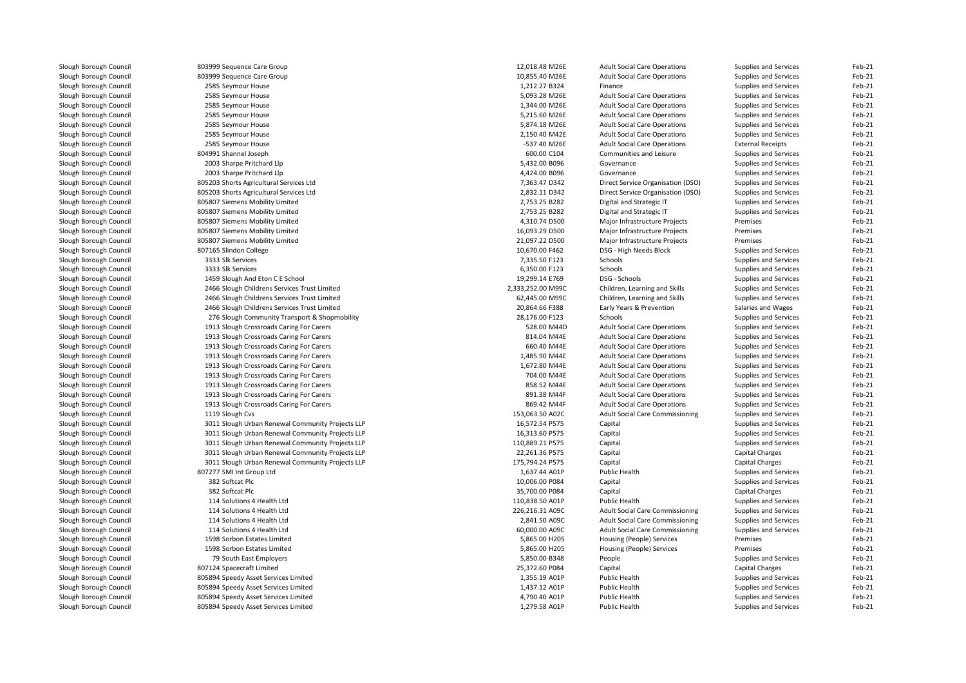| Slough Borough Council | 803999 Sequence Care Group                       | 12,018.48 M26E                   | <b>Adult Social Care Operations</b>    | Supplies and Services    | Feb-21 |
|------------------------|--------------------------------------------------|----------------------------------|----------------------------------------|--------------------------|--------|
| Slough Borough Council | 803999 Sequence Care Group                       | 10,855.40 M26E                   | <b>Adult Social Care Operations</b>    | Supplies and Services    | Feb-21 |
| Slough Borough Council | 2585 Seymour House                               | 1,212.27 B324                    | Finance                                | Supplies and Services    | Feb-21 |
| Slough Borough Council | 2585 Seymour House                               | 5,093.28 M26E                    | <b>Adult Social Care Operations</b>    | Supplies and Services    | Feb-21 |
| Slough Borough Council | 2585 Seymour House                               | 1,344.00 M26E                    | <b>Adult Social Care Operations</b>    | Supplies and Services    | Feb-21 |
| Slough Borough Council | 2585 Seymour House                               | 5,215.60 M26E                    | <b>Adult Social Care Operations</b>    | Supplies and Services    | Feb-21 |
| Slough Borough Council | 2585 Seymour House                               | 5,874.18 M26E                    | <b>Adult Social Care Operations</b>    | Supplies and Services    | Feb-21 |
| Slough Borough Council | 2585 Seymour House                               | 2,150.40 M42E                    | <b>Adult Social Care Operations</b>    | Supplies and Services    | Feb-21 |
| Slough Borough Council | 2585 Seymour House                               | -537.40 M26E                     | <b>Adult Social Care Operations</b>    | <b>External Receipts</b> | Feb-21 |
| Slough Borough Council | 804991 Shannel Joseph                            | 600.00 C104                      | Communities and Leisure                | Supplies and Services    | Feb-21 |
| Slough Borough Council | 2003 Sharpe Pritchard Llp                        | 5,432.00 B096                    | Governance                             | Supplies and Services    | Feb-21 |
| Slough Borough Council | 2003 Sharpe Pritchard Llp                        | 4,424.00 B096                    | Governance                             | Supplies and Services    | Feb-21 |
| Slough Borough Council | 805203 Shorts Agricultural Services Ltd          | 7,363.47 D342                    | Direct Service Organisation (DSO)      | Supplies and Services    | Feb-21 |
| Slough Borough Council | 805203 Shorts Agricultural Services Ltd          | 2,832.11 D342                    | Direct Service Organisation (DSO)      | Supplies and Services    | Feb-21 |
| Slough Borough Council | 805807 Siemens Mobility Limited                  | 2,753.25 B282                    | Digital and Strategic IT               | Supplies and Services    | Feb-21 |
| Slough Borough Council | 805807 Siemens Mobility Limited                  | 2,753.25 B282                    | Digital and Strategic IT               | Supplies and Services    | Feb-21 |
| Slough Borough Council | 805807 Siemens Mobility Limited                  | 4,310.74 D500                    | Major Infrastructure Projects          | Premises                 | Feb-21 |
| Slough Borough Council | 805807 Siemens Mobility Limited                  | 16,093.29 D500                   | Major Infrastructure Projects          | Premises                 | Feb-21 |
| Slough Borough Council | 805807 Siemens Mobility Limited                  | 21,097.22 D500                   | Major Infrastructure Projects          | Premises                 | Feb-21 |
| Slough Borough Council | 807165 Slindon College                           | 10,670.00 F462                   | DSG - High Needs Block                 | Supplies and Services    | Feb-21 |
| Slough Borough Council | 3333 Slk Services                                | 7,335.50 F123                    | Schools                                | Supplies and Services    | Feb-21 |
| Slough Borough Council | 3333 Slk Services                                | 6,350.00 F123                    | Schools                                | Supplies and Services    | Feb-21 |
| Slough Borough Council | 1459 Slough And Eton C E School                  | 19,299.14 E769                   | DSG - Schools                          | Supplies and Services    | Feb-21 |
| Slough Borough Council | 2466 Slough Childrens Services Trust Limited     | 2,333,252.00 M99C                | Children, Learning and Skills          | Supplies and Services    | Feb-21 |
| Slough Borough Council | 2466 Slough Childrens Services Trust Limited     | 62,445.00 M99C                   | Children, Learning and Skills          | Supplies and Services    | Feb-21 |
| Slough Borough Council | 2466 Slough Childrens Services Trust Limited     | 20,864.66 F388                   | Early Years & Prevention               | Salaries and Wages       | Feb-21 |
| Slough Borough Council | 276 Slough Community Transport & Shopmobility    | 28,176.00 F123                   | Schools                                | Supplies and Services    | Feb-21 |
| Slough Borough Council | 1913 Slough Crossroads Caring For Carers         | 528.00 M44D                      | <b>Adult Social Care Operations</b>    | Supplies and Services    | Feb-21 |
| Slough Borough Council | 1913 Slough Crossroads Caring For Carers         | 814.04 M44E                      | <b>Adult Social Care Operations</b>    | Supplies and Services    | Feb-21 |
| Slough Borough Council | 1913 Slough Crossroads Caring For Carers         | 660.40 M44E                      | <b>Adult Social Care Operations</b>    | Supplies and Services    | Feb-21 |
| Slough Borough Council | 1913 Slough Crossroads Caring For Carers         | 1,485.90 M44E                    | <b>Adult Social Care Operations</b>    | Supplies and Services    | Feb-21 |
| Slough Borough Council | 1913 Slough Crossroads Caring For Carers         | 1,672.80 M44E                    | <b>Adult Social Care Operations</b>    | Supplies and Services    | Feb-21 |
| Slough Borough Council | 1913 Slough Crossroads Caring For Carers         | 704.00 M44E                      | <b>Adult Social Care Operations</b>    | Supplies and Services    | Feb-21 |
| Slough Borough Council | 1913 Slough Crossroads Caring For Carers         | 858.52 M44E                      | <b>Adult Social Care Operations</b>    | Supplies and Services    | Feb-21 |
| Slough Borough Council | 1913 Slough Crossroads Caring For Carers         | 891.38 M44F                      | <b>Adult Social Care Operations</b>    | Supplies and Services    | Feb-21 |
| Slough Borough Council | 1913 Slough Crossroads Caring For Carers         | 869.42 M44F                      | <b>Adult Social Care Operations</b>    | Supplies and Services    | Feb-21 |
| Slough Borough Council | 1119 Slough Cvs                                  | 153,063.50 A02C                  | <b>Adult Social Care Commissioning</b> | Supplies and Services    | Feb-21 |
| Slough Borough Council | 3011 Slough Urban Renewal Community Projects LLP | 16,572.54 P575                   | Capital                                | Supplies and Services    | Feb-21 |
| Slough Borough Council | 3011 Slough Urban Renewal Community Projects LLP | 16,313.60 P575                   | Capital                                | Supplies and Services    | Feb-21 |
| Slough Borough Council | 3011 Slough Urban Renewal Community Projects LLP | 110,889.21 P575                  | Capital                                | Supplies and Services    | Feb-21 |
| Slough Borough Council | 3011 Slough Urban Renewal Community Projects LLP | 22,261.36 P575                   | Capital                                | Capital Charges          | Feb-21 |
| Slough Borough Council | 3011 Slough Urban Renewal Community Projects LLP | 175,794.24 P575                  | Capital                                | Capital Charges          | Feb-21 |
|                        | 807277 SMI Int Group Ltd                         | 1,637.44 A01P                    | <b>Public Health</b>                   |                          | Feb-21 |
| Slough Borough Council |                                                  |                                  |                                        | Supplies and Services    | Feb-21 |
| Slough Borough Council | 382 Softcat Plc<br>382 Softcat Plc               | 10,006.00 P084<br>35,700.00 P084 | Capital<br>Capital                     | Supplies and Services    | Feb-21 |
| Slough Borough Council |                                                  |                                  |                                        | Capital Charges          |        |
| Slough Borough Council | 114 Solutions 4 Health Ltd                       | 110,838.50 A01P                  | <b>Public Health</b>                   | Supplies and Services    | Feb-21 |
| Slough Borough Council | 114 Solutions 4 Health Ltd                       | 226,216.31 A09C                  | <b>Adult Social Care Commissioning</b> | Supplies and Services    | Feb-21 |
| Slough Borough Council | 114 Solutions 4 Health Ltd                       | 2,841.50 A09C                    | Adult Social Care Commissioning        | Supplies and Services    | Feb-21 |
| Slough Borough Council | 114 Solutions 4 Health Ltd                       | 60,000.00 A09C                   | <b>Adult Social Care Commissioning</b> | Supplies and Services    | Feb-21 |
| Slough Borough Council | 1598 Sorbon Estates Limited                      | 5,865.00 H205                    | Housing (People) Services              | Premises                 | Feb-21 |
| Slough Borough Council | 1598 Sorbon Estates Limited                      | 5,865.00 H205                    | Housing (People) Services              | Premises                 | Feb-21 |
| Slough Borough Council | 79 South East Employers                          | 5,850.00 B348                    | People                                 | Supplies and Services    | Feb-21 |
| Slough Borough Council | 807124 Spacecraft Limited                        | 25,372.60 P084                   | Capital                                | Capital Charges          | Feb-21 |
| Slough Borough Council | 805894 Speedy Asset Services Limited             | 1,355.19 A01P                    | <b>Public Health</b>                   | Supplies and Services    | Feb-21 |
| Slough Borough Council | 805894 Speedy Asset Services Limited             | 1,437.12 A01P                    | Public Health                          | Supplies and Services    | Feb-21 |
| Slough Borough Council | 805894 Speedy Asset Services Limited             | 4,790.40 A01P                    | Public Health                          | Supplies and Services    | Feb-21 |
| Slough Borough Council | 805894 Speedy Asset Services Limited             | 1,279.58 A01P                    | <b>Public Health</b>                   | Supplies and Services    | Feb-21 |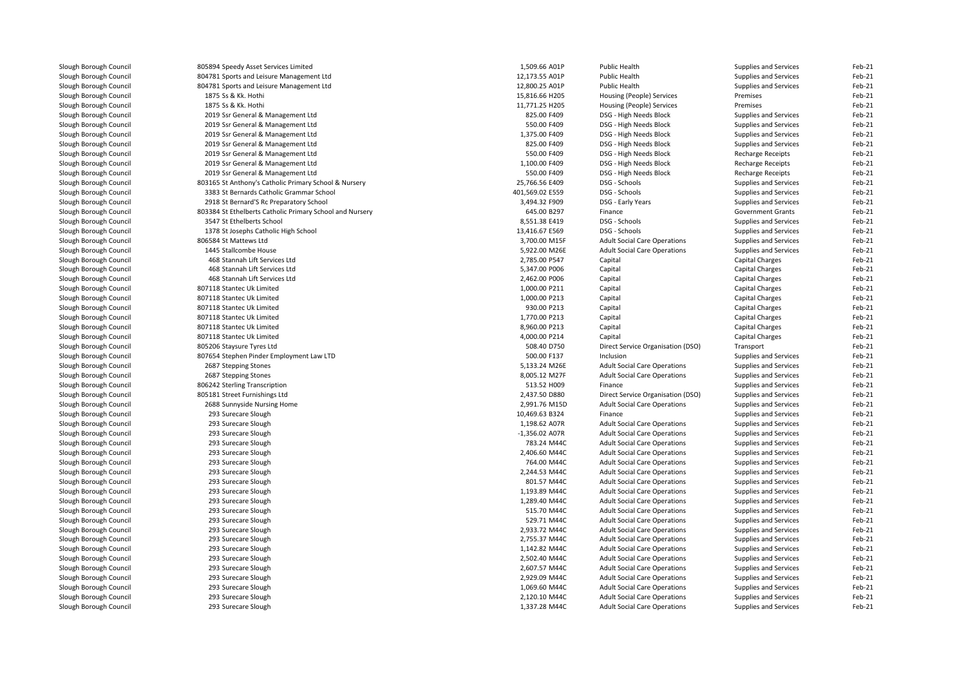| Slough Borough Council | 805894 Speedy Asset Services Limited                     | 1,509.66 A01P    | <b>Public Health</b>                | Supplies and Services        | Feb-21   |
|------------------------|----------------------------------------------------------|------------------|-------------------------------------|------------------------------|----------|
| Slough Borough Council | 804781 Sports and Leisure Management Ltd                 | 12,173.55 A01P   | <b>Public Health</b>                | Supplies and Services        | Feb-21   |
| Slough Borough Council | 804781 Sports and Leisure Management Ltd                 | 12,800.25 A01P   | Public Health                       | Supplies and Services        | Feb-21   |
| Slough Borough Council | 1875 Ss & Kk. Hothi                                      | 15,816.66 H205   | Housing (People) Services           | Premises                     | Feb-21   |
| Slough Borough Council | 1875 Ss & Kk. Hothi                                      | 11,771.25 H205   | Housing (People) Services           | Premises                     | Feb-21   |
| Slough Borough Council | 2019 Ssr General & Management Ltd                        | 825.00 F409      | DSG - High Needs Block              | Supplies and Services        | Feb-21   |
| Slough Borough Council | 2019 Ssr General & Management Ltd                        | 550.00 F409      | DSG - High Needs Block              | Supplies and Services        | Feb-21   |
| Slough Borough Council | 2019 Ssr General & Management Ltd                        | 1,375.00 F409    | DSG - High Needs Block              | Supplies and Services        | Feb-21   |
| Slough Borough Council | 2019 Ssr General & Management Ltd                        | 825.00 F409      | DSG - High Needs Block              | Supplies and Services        | Feb-21   |
| Slough Borough Council | 2019 Ssr General & Management Ltd                        | 550.00 F409      | DSG - High Needs Block              | <b>Recharge Receipts</b>     | Feb-21   |
| Slough Borough Council | 2019 Ssr General & Management Ltd                        | 1,100.00 F409    | DSG - High Needs Block              | <b>Recharge Receipts</b>     | $Feb-21$ |
| Slough Borough Council | 2019 Ssr General & Management Ltd                        | 550.00 F409      | DSG - High Needs Block              | <b>Recharge Receipts</b>     | Feb-21   |
| Slough Borough Council | 803165 St Anthony's Catholic Primary School & Nursery    | 25,766.56 E409   | DSG - Schools                       | Supplies and Services        | Feb-21   |
| Slough Borough Council | 3383 St Bernards Catholic Grammar School                 | 401,569.02 E559  | DSG - Schools                       | Supplies and Services        | Feb-21   |
| Slough Borough Council | 2918 St Bernard'S Rc Preparatory School                  | 3,494.32 F909    | DSG - Early Years                   | Supplies and Services        | Feb-21   |
| Slough Borough Council | 803384 St Ethelberts Catholic Primary School and Nursery | 645.00 B297      | Finance                             | <b>Government Grants</b>     | Feb-21   |
| Slough Borough Council | 3547 St Ethelberts School                                | 8,551.38 E419    | DSG - Schools                       | <b>Supplies and Services</b> | Feb-21   |
| Slough Borough Council | 1378 St Josephs Catholic High School                     | 13,416.67 E569   | DSG - Schools                       | Supplies and Services        | Feb-21   |
| Slough Borough Council | 806584 St Mattews Ltd                                    | 3,700.00 M15F    | <b>Adult Social Care Operations</b> | Supplies and Services        | Feb-21   |
| Slough Borough Council | 1445 Stallcombe House                                    | 5,922.00 M26E    | <b>Adult Social Care Operations</b> | Supplies and Services        | Feb-21   |
| Slough Borough Council | 468 Stannah Lift Services Ltd                            | 2,785.00 P547    | Capital                             | <b>Capital Charges</b>       | Feb-21   |
| Slough Borough Council | 468 Stannah Lift Services Ltd                            | 5,347.00 P006    | Capital                             | <b>Capital Charges</b>       | Feb-21   |
| Slough Borough Council | 468 Stannah Lift Services Ltd                            | 2,462.00 P006    | Capital                             | Capital Charges              | Feb-21   |
| Slough Borough Council | 807118 Stantec Uk Limited                                | 1,000.00 P211    | Capital                             | <b>Capital Charges</b>       | Feb-21   |
| Slough Borough Council | 807118 Stantec Uk Limited                                | 1,000.00 P213    | Capital                             | Capital Charges              | Feb-21   |
| Slough Borough Council | 807118 Stantec Uk Limited                                | 930.00 P213      | Capital                             | <b>Capital Charges</b>       | Feb-21   |
| Slough Borough Council | 807118 Stantec Uk Limited                                | 1,770.00 P213    | Capital                             | Capital Charges              | Feb-21   |
| Slough Borough Council | 807118 Stantec Uk Limited                                | 8,960.00 P213    | Capital                             | <b>Capital Charges</b>       | Feb-21   |
| Slough Borough Council | 807118 Stantec Uk Limited                                | 4,000.00 P214    | Capital                             | Capital Charges              | Feb-21   |
| Slough Borough Council | 805206 Staysure Tyres Ltd                                | 508.40 D750      | Direct Service Organisation (DSO)   | Transport                    | Feb-21   |
| Slough Borough Council | 807654 Stephen Pinder Employment Law LTD                 | 500.00 F137      | Inclusion                           | Supplies and Services        | Feb-21   |
| Slough Borough Council | 2687 Stepping Stones                                     | 5,133.24 M26E    | <b>Adult Social Care Operations</b> | Supplies and Services        | Feb-21   |
| Slough Borough Council | 2687 Stepping Stones                                     | 8,005.12 M27F    | <b>Adult Social Care Operations</b> | Supplies and Services        | Feb-21   |
| Slough Borough Council | 806242 Sterling Transcription                            | 513.52 H009      | Finance                             | Supplies and Services        | Feb-21   |
| Slough Borough Council | 805181 Street Furnishings Ltd                            | 2,437.50 D880    | Direct Service Organisation (DSO)   | Supplies and Services        | Feb-21   |
| Slough Borough Council | 2688 Sunnyside Nursing Home                              | 2,991.76 M15D    | <b>Adult Social Care Operations</b> | Supplies and Services        | Feb-21   |
| Slough Borough Council | 293 Surecare Slough                                      | 10,469.63 B324   | Finance                             | Supplies and Services        | Feb-21   |
| Slough Borough Council | 293 Surecare Slough                                      | 1,198.62 A07R    | <b>Adult Social Care Operations</b> | Supplies and Services        | Feb-21   |
| Slough Borough Council | 293 Surecare Slough                                      | $-1,356.02$ A07R | <b>Adult Social Care Operations</b> | Supplies and Services        | Feb-21   |
| Slough Borough Council | 293 Surecare Slough                                      | 783.24 M44C      | <b>Adult Social Care Operations</b> | Supplies and Services        | Feb-21   |
| Slough Borough Council | 293 Surecare Slough                                      | 2,406.60 M44C    | <b>Adult Social Care Operations</b> | Supplies and Services        | Feb-21   |
| Slough Borough Council | 293 Surecare Slough                                      | 764.00 M44C      | <b>Adult Social Care Operations</b> | Supplies and Services        | Feb-21   |
| Slough Borough Council | 293 Surecare Slough                                      | 2,244.53 M44C    | <b>Adult Social Care Operations</b> | Supplies and Services        | Feb-21   |
| Slough Borough Council | 293 Surecare Slough                                      | 801.57 M44C      | <b>Adult Social Care Operations</b> | Supplies and Services        | Feb-21   |
| Slough Borough Council | 293 Surecare Slough                                      | 1,193.89 M44C    | <b>Adult Social Care Operations</b> | Supplies and Services        | Feb-21   |
| Slough Borough Council | 293 Surecare Slough                                      | 1,289.40 M44C    | <b>Adult Social Care Operations</b> | Supplies and Services        | Feb-21   |
| Slough Borough Council | 293 Surecare Slough                                      | 515.70 M44C      | <b>Adult Social Care Operations</b> | Supplies and Services        | Feb-21   |
| Slough Borough Council | 293 Surecare Slough                                      | 529.71 M44C      | <b>Adult Social Care Operations</b> | Supplies and Services        | Feb-21   |
| Slough Borough Council | 293 Surecare Slough                                      | 2,933.72 M44C    | <b>Adult Social Care Operations</b> | Supplies and Services        | Feb-21   |
| Slough Borough Council | 293 Surecare Slough                                      | 2,755.37 M44C    | <b>Adult Social Care Operations</b> | Supplies and Services        | Feb-21   |
| Slough Borough Council | 293 Surecare Slough                                      | 1,142.82 M44C    | <b>Adult Social Care Operations</b> | Supplies and Services        | Feb-21   |
| Slough Borough Council | 293 Surecare Slough                                      | 2,502.40 M44C    | <b>Adult Social Care Operations</b> | Supplies and Services        | Feb-21   |
| Slough Borough Council | 293 Surecare Slough                                      | 2,607.57 M44C    | <b>Adult Social Care Operations</b> | Supplies and Services        | Feb-21   |
| Slough Borough Council | 293 Surecare Slough                                      | 2,929.09 M44C    | <b>Adult Social Care Operations</b> | Supplies and Services        | Feb-21   |
| Slough Borough Council | 293 Surecare Slough                                      | 1,069.60 M44C    | <b>Adult Social Care Operations</b> | Supplies and Services        | Feb-21   |
| Slough Borough Council | 293 Surecare Slough                                      | 2,120.10 M44C    | <b>Adult Social Care Operations</b> | Supplies and Services        | Feb-21   |
| Slough Borough Council | 293 Surecare Slough                                      | 1,337.28 M44C    | <b>Adult Social Care Operations</b> | Supplies and Services        | Feb-21   |
|                        |                                                          |                  |                                     |                              |          |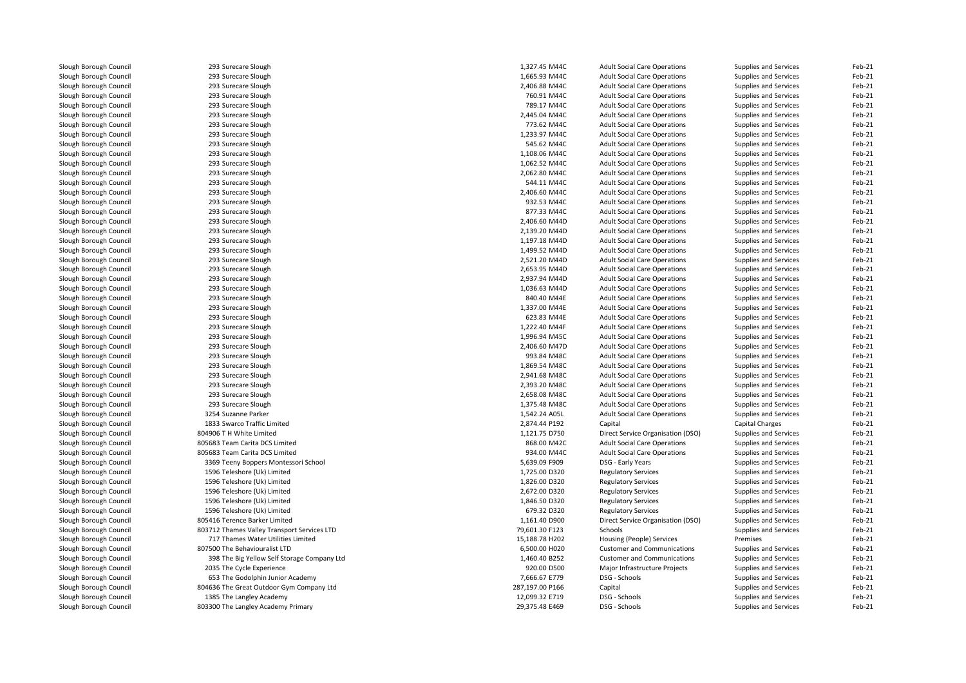| Slough Borough Council | 293 Surecare Slough                         | 1,327.45 M44C   | <b>Adult Social Care Operations</b> | Supplies and Services | Feb-21           |
|------------------------|---------------------------------------------|-----------------|-------------------------------------|-----------------------|------------------|
| Slough Borough Council | 293 Surecare Slough                         | 1,665.93 M44C   | <b>Adult Social Care Operations</b> | Supplies and Services | Feb-21           |
| Slough Borough Council | 293 Surecare Slough                         | 2,406.88 M44C   | <b>Adult Social Care Operations</b> | Supplies and Services | Feb-21           |
| Slough Borough Council | 293 Surecare Slough                         | 760.91 M44C     | <b>Adult Social Care Operations</b> | Supplies and Services | Feb-21           |
| Slough Borough Council | 293 Surecare Slough                         | 789.17 M44C     | <b>Adult Social Care Operations</b> | Supplies and Services | Feb-21           |
| Slough Borough Council | 293 Surecare Slough                         | 2,445.04 M44C   | <b>Adult Social Care Operations</b> | Supplies and Services | Feb-21           |
| Slough Borough Council | 293 Surecare Slough                         | 773.62 M44C     | <b>Adult Social Care Operations</b> | Supplies and Services | Feb-21           |
| Slough Borough Council | 293 Surecare Slough                         | 1,233.97 M44C   | <b>Adult Social Care Operations</b> | Supplies and Services | Feb-21           |
| Slough Borough Council | 293 Surecare Slough                         | 545.62 M44C     | <b>Adult Social Care Operations</b> | Supplies and Services | Feb-21           |
| Slough Borough Council | 293 Surecare Slough                         | 1.108.06 M44C   | <b>Adult Social Care Operations</b> | Supplies and Services | Feb-21           |
| Slough Borough Council | 293 Surecare Slough                         | 1,062.52 M44C   | <b>Adult Social Care Operations</b> | Supplies and Services | Feb-21           |
| Slough Borough Council | 293 Surecare Slough                         | 2,062.80 M44C   | <b>Adult Social Care Operations</b> | Supplies and Services | Feb-21           |
| Slough Borough Council | 293 Surecare Slough                         | 544.11 M44C     | <b>Adult Social Care Operations</b> | Supplies and Services | Feb-21           |
| Slough Borough Council | 293 Surecare Slough                         | 2,406.60 M44C   | <b>Adult Social Care Operations</b> | Supplies and Services | Feb-21           |
| Slough Borough Council | 293 Surecare Slough                         | 932.53 M44C     | <b>Adult Social Care Operations</b> | Supplies and Services | Feb-21           |
| Slough Borough Council | 293 Surecare Slough                         | 877.33 M44C     | <b>Adult Social Care Operations</b> | Supplies and Services | Feb-21           |
| Slough Borough Council | 293 Surecare Slough                         | 2,406.60 M44D   | <b>Adult Social Care Operations</b> | Supplies and Services | Feb-21           |
| Slough Borough Council | 293 Surecare Slough                         | 2,139.20 M44D   | <b>Adult Social Care Operations</b> | Supplies and Services | Feb-21           |
| Slough Borough Council | 293 Surecare Slough                         | 1,197.18 M44D   | <b>Adult Social Care Operations</b> | Supplies and Services | Feb-21           |
| Slough Borough Council | 293 Surecare Slough                         | 1,499.52 M44D   | <b>Adult Social Care Operations</b> | Supplies and Services | Feb-21           |
| Slough Borough Council | 293 Surecare Slough                         | 2,521.20 M44D   | <b>Adult Social Care Operations</b> | Supplies and Services | Feb-21           |
| Slough Borough Council | 293 Surecare Slough                         | 2,653.95 M44D   | <b>Adult Social Care Operations</b> | Supplies and Services | Feb-21           |
| Slough Borough Council | 293 Surecare Slough                         | 2,937.94 M44D   | <b>Adult Social Care Operations</b> | Supplies and Services | Feb-21           |
| Slough Borough Council | 293 Surecare Slough                         | 1,036.63 M44D   | <b>Adult Social Care Operations</b> | Supplies and Services | Feb-21           |
| Slough Borough Council | 293 Surecare Slough                         | 840.40 M44E     | <b>Adult Social Care Operations</b> | Supplies and Services | Feb-21           |
| Slough Borough Council | 293 Surecare Slough                         | 1,337.00 M44E   | <b>Adult Social Care Operations</b> | Supplies and Services | Feb-21           |
| Slough Borough Council | 293 Surecare Slough                         | 623.83 M44E     | <b>Adult Social Care Operations</b> | Supplies and Services | Feb-21           |
| Slough Borough Council | 293 Surecare Slough                         | 1,222.40 M44F   | <b>Adult Social Care Operations</b> | Supplies and Services | Feb-21           |
| Slough Borough Council | 293 Surecare Slough                         | 1,996.94 M45C   |                                     |                       | Feb-21           |
| Slough Borough Council | 293 Surecare Slough                         | 2,406.60 M47D   | <b>Adult Social Care Operations</b> | Supplies and Services | Feb-21           |
|                        |                                             | 993.84 M48C     | <b>Adult Social Care Operations</b> | Supplies and Services | Feb-21           |
| Slough Borough Council | 293 Surecare Slough                         |                 | <b>Adult Social Care Operations</b> | Supplies and Services |                  |
| Slough Borough Council | 293 Surecare Slough                         | 1,869.54 M48C   | <b>Adult Social Care Operations</b> | Supplies and Services | Feb-21<br>Feb-21 |
| Slough Borough Council | 293 Surecare Slough                         | 2,941.68 M48C   | <b>Adult Social Care Operations</b> | Supplies and Services |                  |
| Slough Borough Council | 293 Surecare Slough                         | 2,393.20 M48C   | <b>Adult Social Care Operations</b> | Supplies and Services | Feb-21           |
| Slough Borough Council | 293 Surecare Slough                         | 2,658.08 M48C   | <b>Adult Social Care Operations</b> | Supplies and Services | Feb-21           |
| Slough Borough Council | 293 Surecare Slough                         | 1,375.48 M48C   | <b>Adult Social Care Operations</b> | Supplies and Services | Feb-21           |
| Slough Borough Council | 3254 Suzanne Parker                         | 1,542.24 A05L   | <b>Adult Social Care Operations</b> | Supplies and Services | Feb-21           |
| Slough Borough Council | 1833 Swarco Traffic Limited                 | 2,874.44 P192   | Capital                             | Capital Charges       | Feb-21           |
| Slough Borough Council | 804906 T H White Limited                    | 1,121.75 D750   | Direct Service Organisation (DSO)   | Supplies and Services | Feb-21           |
| Slough Borough Council | 805683 Team Carita DCS Limited              | 868.00 M42C     | <b>Adult Social Care Operations</b> | Supplies and Services | Feb-21           |
| Slough Borough Council | 805683 Team Carita DCS Limited              | 934.00 M44C     | <b>Adult Social Care Operations</b> | Supplies and Services | Feb-21           |
| Slough Borough Council | 3369 Teeny Boppers Montessori School        | 5,639.09 F909   | DSG - Early Years                   | Supplies and Services | Feb-21           |
| Slough Borough Council | 1596 Teleshore (Uk) Limited                 | 1,725.00 D320   | <b>Regulatory Services</b>          | Supplies and Services | Feb-21           |
| Slough Borough Council | 1596 Teleshore (Uk) Limited                 | 1,826.00 D320   | <b>Regulatory Services</b>          | Supplies and Services | Feb-21           |
| Slough Borough Council | 1596 Teleshore (Uk) Limited                 | 2,672.00 D320   | <b>Regulatory Services</b>          | Supplies and Services | Feb-21           |
| Slough Borough Council | 1596 Teleshore (Uk) Limited                 | 1,846.50 D320   | <b>Regulatory Services</b>          | Supplies and Services | Feb-21           |
| Slough Borough Council | 1596 Teleshore (Uk) Limited                 | 679.32 D320     | <b>Regulatory Services</b>          | Supplies and Services | Feb-21           |
| Slough Borough Council | 805416 Terence Barker Limited               | 1,161.40 D900   | Direct Service Organisation (DSO)   | Supplies and Services | Feb-21           |
| Slough Borough Council | 803712 Thames Valley Transport Services LTD | 79,601.30 F123  | Schools                             | Supplies and Services | Feb-21           |
| Slough Borough Council | 717 Thames Water Utilities Limited          | 15,188.78 H202  | Housing (People) Services           | Premises              | Feb-21           |
| Slough Borough Council | 807500 The Behaviouralist LTD               | 6,500.00 H020   | <b>Customer and Communications</b>  | Supplies and Services | Feb-21           |
| Slough Borough Council | 398 The Big Yellow Self Storage Company Ltd | 1,460.40 B252   | <b>Customer and Communications</b>  | Supplies and Services | Feb-21           |
| Slough Borough Council | 2035 The Cycle Experience                   | 920.00 D500     | Major Infrastructure Projects       | Supplies and Services | Feb-21           |
| Slough Borough Council | 653 The Godolphin Junior Academy            | 7,666.67 E779   | DSG - Schools                       | Supplies and Services | Feb-21           |
| Slough Borough Council | 804636 The Great Outdoor Gym Company Ltd    | 287,197.00 P166 | Capital                             | Supplies and Services | Feb-21           |
| Slough Borough Council | 1385 The Langley Academy                    | 12,099.32 E719  | DSG - Schools                       | Supplies and Services | Feb-21           |
| Slough Borough Council | 803300 The Langley Academy Primary          | 29,375.48 E469  | DSG - Schools                       | Supplies and Services | Feb-21           |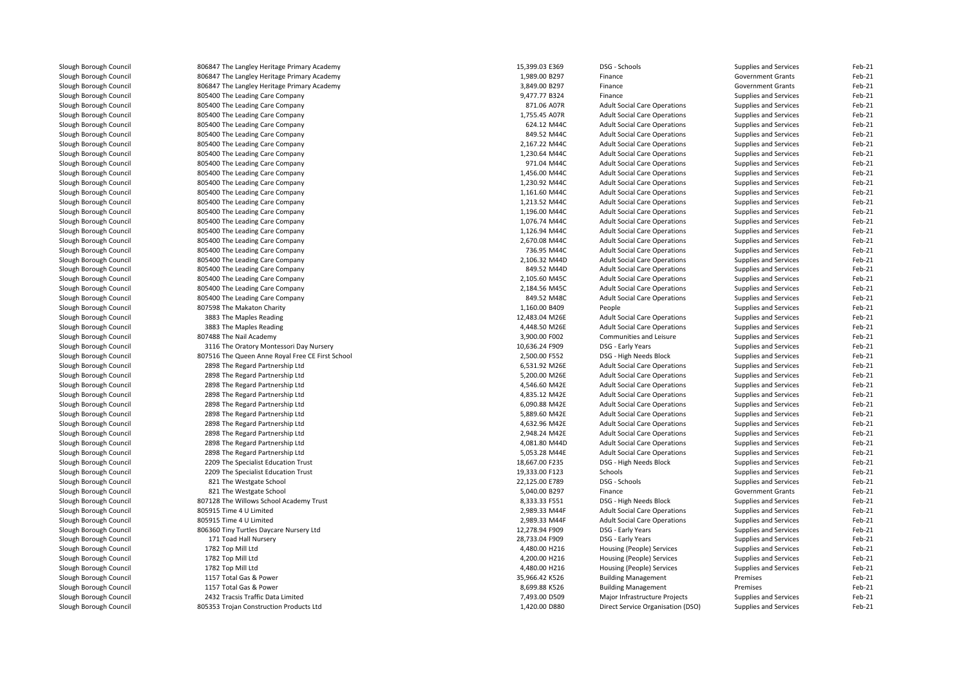| Slough Borough Council | 806847 The Langley Heritage Primary Academy      | 15,399.03 E369 | DSG - Schools                       | Supplies and Services    | Feb-21   |
|------------------------|--------------------------------------------------|----------------|-------------------------------------|--------------------------|----------|
| Slough Borough Council | 806847 The Langley Heritage Primary Academy      | 1,989.00 B297  | Finance                             | <b>Government Grants</b> | Feb-21   |
| Slough Borough Council | 806847 The Langley Heritage Primary Academy      | 3,849.00 B297  | Finance                             | <b>Government Grants</b> | Feb-21   |
| Slough Borough Council | 805400 The Leading Care Company                  | 9,477.77 B324  | Finance                             | Supplies and Services    | Feb-21   |
| Slough Borough Council | 805400 The Leading Care Company                  | 871.06 A07R    | <b>Adult Social Care Operations</b> | Supplies and Services    | Feb-21   |
| Slough Borough Council | 805400 The Leading Care Company                  | 1,755.45 A07R  | <b>Adult Social Care Operations</b> | Supplies and Services    | Feb-21   |
| Slough Borough Council | 805400 The Leading Care Company                  | 624.12 M44C    | <b>Adult Social Care Operations</b> | Supplies and Services    | Feb-21   |
| Slough Borough Council | 805400 The Leading Care Company                  | 849.52 M44C    | <b>Adult Social Care Operations</b> | Supplies and Services    | Feb-21   |
| Slough Borough Council | 805400 The Leading Care Company                  | 2,167.22 M44C  | <b>Adult Social Care Operations</b> | Supplies and Services    | Feb-21   |
| Slough Borough Council | 805400 The Leading Care Company                  | 1,230.64 M44C  | <b>Adult Social Care Operations</b> | Supplies and Services    | Feb-21   |
| Slough Borough Council | 805400 The Leading Care Company                  | 971.04 M44C    | <b>Adult Social Care Operations</b> | Supplies and Services    | Feb-21   |
| Slough Borough Council | 805400 The Leading Care Company                  | 1,456.00 M44C  | <b>Adult Social Care Operations</b> | Supplies and Services    | Feb-21   |
| Slough Borough Council | 805400 The Leading Care Company                  | 1,230.92 M44C  | <b>Adult Social Care Operations</b> | Supplies and Services    | Feb-21   |
| Slough Borough Council | 805400 The Leading Care Company                  | 1,161.60 M44C  | <b>Adult Social Care Operations</b> | Supplies and Services    | Feb-21   |
| Slough Borough Council | 805400 The Leading Care Company                  | 1,213.52 M44C  | <b>Adult Social Care Operations</b> | Supplies and Services    | Feb-21   |
| Slough Borough Council | 805400 The Leading Care Company                  | 1,196.00 M44C  | <b>Adult Social Care Operations</b> | Supplies and Services    | Feb-21   |
| Slough Borough Council | 805400 The Leading Care Company                  | 1,076.74 M44C  | <b>Adult Social Care Operations</b> | Supplies and Services    | Feb-21   |
| Slough Borough Council | 805400 The Leading Care Company                  | 1,126.94 M44C  | <b>Adult Social Care Operations</b> | Supplies and Services    | Feb-21   |
| Slough Borough Council | 805400 The Leading Care Company                  | 2,670.08 M44C  | <b>Adult Social Care Operations</b> | Supplies and Services    | Feb-21   |
| Slough Borough Council | 805400 The Leading Care Company                  | 736.95 M44C    | <b>Adult Social Care Operations</b> | Supplies and Services    | Feb-21   |
| Slough Borough Council | 805400 The Leading Care Company                  | 2,106.32 M44D  | <b>Adult Social Care Operations</b> | Supplies and Services    | Feb-21   |
| Slough Borough Council |                                                  | 849.52 M44D    |                                     |                          | Feb-21   |
|                        | 805400 The Leading Care Company                  | 2,105.60 M45C  | <b>Adult Social Care Operations</b> | Supplies and Services    | Feb-21   |
| Slough Borough Council | 805400 The Leading Care Company                  |                | <b>Adult Social Care Operations</b> | Supplies and Services    |          |
| Slough Borough Council | 805400 The Leading Care Company                  | 2,184.56 M45C  | <b>Adult Social Care Operations</b> | Supplies and Services    | Feb-21   |
| Slough Borough Council | 805400 The Leading Care Company                  | 849.52 M48C    | <b>Adult Social Care Operations</b> | Supplies and Services    | Feb-21   |
| Slough Borough Council | 807598 The Makaton Charity                       | 1,160.00 B409  | People                              | Supplies and Services    | Feb-21   |
| Slough Borough Council | 3883 The Maples Reading                          | 12,483.04 M26E | <b>Adult Social Care Operations</b> | Supplies and Services    | Feb-21   |
| Slough Borough Council | 3883 The Maples Reading                          | 4,448.50 M26E  | <b>Adult Social Care Operations</b> | Supplies and Services    | Feb-21   |
| Slough Borough Council | 807488 The Nail Academy                          | 3,900.00 F002  | Communities and Leisure             | Supplies and Services    | Feb-21   |
| Slough Borough Council | 3116 The Oratory Montessori Day Nursery          | 10,636.24 F909 | DSG - Early Years                   | Supplies and Services    | Feb-21   |
| Slough Borough Council | 807516 The Queen Anne Royal Free CE First School | 2,500.00 F552  | DSG - High Needs Block              | Supplies and Services    | Feb-21   |
| Slough Borough Council | 2898 The Regard Partnership Ltd                  | 6,531.92 M26E  | <b>Adult Social Care Operations</b> | Supplies and Services    | Feb-21   |
| Slough Borough Council | 2898 The Regard Partnership Ltd                  | 5,200.00 M26E  | <b>Adult Social Care Operations</b> | Supplies and Services    | Feb-21   |
| Slough Borough Council | 2898 The Regard Partnership Ltd                  | 4,546.60 M42E  | <b>Adult Social Care Operations</b> | Supplies and Services    | Feb-21   |
| Slough Borough Council | 2898 The Regard Partnership Ltd                  | 4,835.12 M42E  | <b>Adult Social Care Operations</b> | Supplies and Services    | Feb-21   |
| Slough Borough Council | 2898 The Regard Partnership Ltd                  | 6,090.88 M42E  | <b>Adult Social Care Operations</b> | Supplies and Services    | Feb-21   |
| Slough Borough Council | 2898 The Regard Partnership Ltd                  | 5,889.60 M42E  | <b>Adult Social Care Operations</b> | Supplies and Services    | Feb-21   |
| Slough Borough Council | 2898 The Regard Partnership Ltd                  | 4,632.96 M42E  | <b>Adult Social Care Operations</b> | Supplies and Services    | Feb-21   |
| Slough Borough Council | 2898 The Regard Partnership Ltd                  | 2,948.24 M42E  | <b>Adult Social Care Operations</b> | Supplies and Services    | Feb-21   |
| Slough Borough Council | 2898 The Regard Partnership Ltd                  | 4,081.80 M44D  | <b>Adult Social Care Operations</b> | Supplies and Services    | Feb-21   |
| Slough Borough Council | 2898 The Regard Partnership Ltd                  | 5,053.28 M44E  | <b>Adult Social Care Operations</b> | Supplies and Services    | Feb-21   |
| Slough Borough Council | 2209 The Specialist Education Trust              | 18,667.00 F235 | DSG - High Needs Block              | Supplies and Services    | Feb-21   |
| Slough Borough Council | 2209 The Specialist Education Trust              | 19,333.00 F123 | Schools                             | Supplies and Services    | Feb-21   |
| Slough Borough Council | 821 The Westgate School                          | 22,125.00 E789 | DSG - Schools                       | Supplies and Services    | Feb-21   |
| Slough Borough Council | 821 The Westgate School                          | 5,040.00 B297  | Finance                             | <b>Government Grants</b> | Feb-21   |
| Slough Borough Council | 807128 The Willows School Academy Trust          | 8,333.33 F551  | DSG - High Needs Block              | Supplies and Services    | Feb-21   |
| Slough Borough Council | 805915 Time 4 U Limited                          | 2,989.33 M44F  | <b>Adult Social Care Operations</b> | Supplies and Services    | Feb-21   |
| Slough Borough Council | 805915 Time 4 U Limited                          | 2,989.33 M44F  | <b>Adult Social Care Operations</b> | Supplies and Services    | Feb-21   |
| Slough Borough Council | 806360 Tiny Turtles Daycare Nursery Ltd          | 12,278.94 F909 | DSG - Early Years                   | Supplies and Services    | Feb-21   |
| Slough Borough Council | 171 Toad Hall Nursery                            | 28,733.04 F909 | DSG - Early Years                   | Supplies and Services    | Feb-21   |
| Slough Borough Council | 1782 Top Mill Ltd                                | 4,480.00 H216  | Housing (People) Services           | Supplies and Services    | Feb-21   |
| Slough Borough Council | 1782 Top Mill Ltd                                | 4,200.00 H216  | Housing (People) Services           | Supplies and Services    | Feb-21   |
| Slough Borough Council | 1782 Top Mill Ltd                                | 4,480.00 H216  | Housing (People) Services           | Supplies and Services    | Feb-21   |
| Slough Borough Council | 1157 Total Gas & Power                           | 35,966.42 K526 | <b>Building Management</b>          | Premises                 | Feb-21   |
| Slough Borough Council | 1157 Total Gas & Power                           | 8,699.88 K526  | <b>Building Management</b>          | Premises                 | Feb-21   |
| Slough Borough Council | 2432 Tracsis Traffic Data Limited                | 7,493.00 D509  | Major Infrastructure Projects       | Supplies and Services    | Feb-21   |
| Slough Borough Council | 805353 Troian Construction Products Ltd          | 1.420.00 D880  | Direct Service Organisation (DSO)   | Supplies and Services    | $Feh-21$ |
|                        |                                                  |                |                                     |                          |          |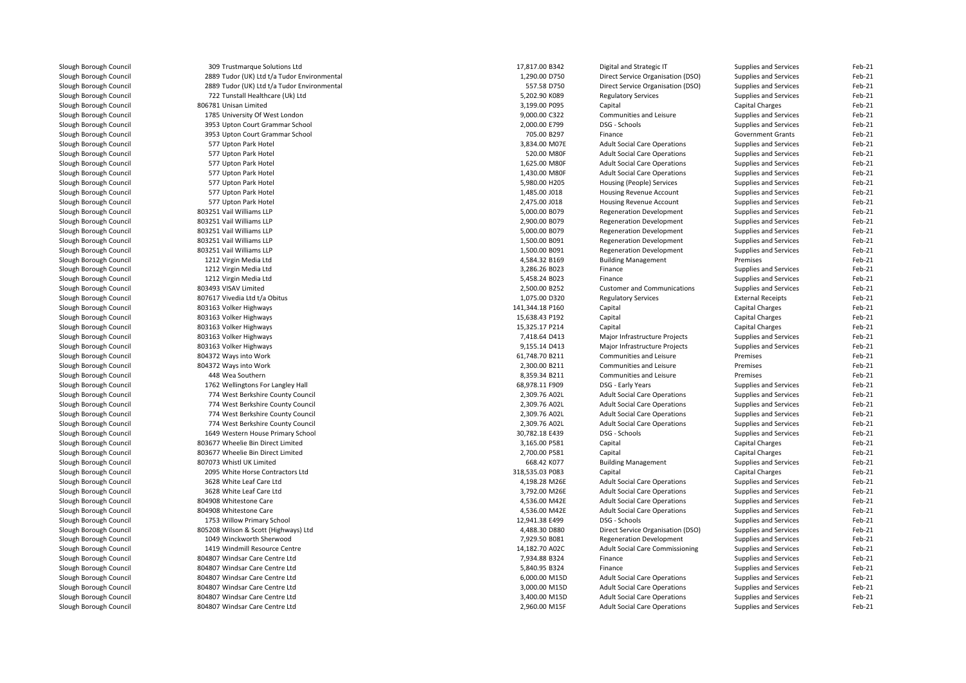| Slough Borough Council | 309 Trustmarque Solutions Ltd               | 17,817.00 B342  | Digital and Strategic IT               | Supplies and Services    | Feb-21 |
|------------------------|---------------------------------------------|-----------------|----------------------------------------|--------------------------|--------|
| Slough Borough Council | 2889 Tudor (UK) Ltd t/a Tudor Environmental | 1,290.00 D750   | Direct Service Organisation (DSO)      | Supplies and Services    | Feb-21 |
| Slough Borough Council | 2889 Tudor (UK) Ltd t/a Tudor Environmental | 557.58 D750     | Direct Service Organisation (DSO)      | Supplies and Services    | Feb-21 |
| Slough Borough Council | 722 Tunstall Healthcare (Uk) Ltd            | 5,202.90 K089   | <b>Regulatory Services</b>             | Supplies and Services    | Feb-21 |
| Slough Borough Council | 806781 Unisan Limited                       | 3,199.00 P095   | Capital                                | Capital Charges          | Feb-21 |
| Slough Borough Council | 1785 University Of West London              | 9,000.00 C322   | Communities and Leisure                | Supplies and Services    | Feb-21 |
| Slough Borough Council | 3953 Upton Court Grammar School             | 2,000.00 E799   | DSG - Schools                          | Supplies and Services    | Feb-21 |
| Slough Borough Council | 3953 Upton Court Grammar School             | 705.00 B297     | Finance                                | <b>Government Grants</b> | Feb-21 |
| Slough Borough Council | 577 Upton Park Hotel                        | 3,834.00 M07E   | <b>Adult Social Care Operations</b>    | Supplies and Services    | Feb-21 |
| Slough Borough Council | 577 Upton Park Hotel                        | 520.00 M80F     | <b>Adult Social Care Operations</b>    | Supplies and Services    | Feb-21 |
| Slough Borough Council | 577 Upton Park Hotel                        | 1,625.00 M80F   | <b>Adult Social Care Operations</b>    | Supplies and Services    | Feb-21 |
| Slough Borough Council | 577 Upton Park Hotel                        | 1,430.00 M80F   | <b>Adult Social Care Operations</b>    | Supplies and Services    | Feb-21 |
| Slough Borough Council | 577 Upton Park Hotel                        | 5,980.00 H205   | Housing (People) Services              | Supplies and Services    | Feb-21 |
| Slough Borough Council | 577 Upton Park Hotel                        | 1,485.00 J018   | Housing Revenue Account                | Supplies and Services    | Feb-21 |
| Slough Borough Council | 577 Upton Park Hotel                        | 2,475.00 J018   | Housing Revenue Account                | Supplies and Services    | Feb-21 |
| Slough Borough Council | 803251 Vail Williams LLP                    | 5,000.00 B079   | <b>Regeneration Development</b>        | Supplies and Services    | Feb-21 |
| Slough Borough Council | 803251 Vail Williams LLP                    | 2,900.00 B079   | <b>Regeneration Development</b>        | Supplies and Services    | Feb-21 |
| Slough Borough Council | 803251 Vail Williams LLP                    | 5,000.00 B079   | <b>Regeneration Development</b>        | Supplies and Services    | Feb-21 |
| Slough Borough Council | 803251 Vail Williams LLP                    | 1,500.00 B091   | <b>Regeneration Development</b>        | Supplies and Services    | Feb-21 |
| Slough Borough Council | 803251 Vail Williams LLP                    | 1,500.00 B091   | <b>Regeneration Development</b>        | Supplies and Services    | Feb-21 |
| Slough Borough Council | 1212 Virgin Media Ltd                       | 4,584.32 B169   | <b>Building Management</b>             | Premises                 | Feb-21 |
| Slough Borough Council | 1212 Virgin Media Ltd                       | 3,286.26 B023   | Finance                                | Supplies and Services    | Feb-21 |
| Slough Borough Council | 1212 Virgin Media Ltd                       | 5,458.24 B023   | Finance                                | Supplies and Services    | Feb-21 |
| Slough Borough Council | 803493 VISAV Limited                        | 2,500.00 B252   | <b>Customer and Communications</b>     | Supplies and Services    | Feb-21 |
| Slough Borough Council | 807617 Vivedia Ltd t/a Obitus               | 1,075.00 D320   | <b>Regulatory Services</b>             | <b>External Receipts</b> | Feb-21 |
| Slough Borough Council | 803163 Volker Highways                      | 141,344.18 P160 | Capital                                | Capital Charges          | Feb-21 |
| Slough Borough Council | 803163 Volker Highways                      | 15,638.43 P192  | Capital                                | <b>Capital Charges</b>   | Feb-21 |
| Slough Borough Council | 803163 Volker Highways                      | 15,325.17 P214  | Capital                                | Capital Charges          | Feb-21 |
| Slough Borough Council | 803163 Volker Highways                      | 7,418.64 D413   | Major Infrastructure Projects          | Supplies and Services    | Feb-21 |
| Slough Borough Council | 803163 Volker Highways                      | 9,155.14 D413   | Major Infrastructure Projects          | Supplies and Services    | Feb-21 |
| Slough Borough Council | 804372 Ways into Work                       | 61,748.70 B211  | Communities and Leisure                | Premises                 | Feb-21 |
| Slough Borough Council | 804372 Ways into Work                       | 2,300.00 B211   | Communities and Leisure                | Premises                 | Feb-21 |
| Slough Borough Council | 448 Wea Southern                            | 8,359.34 B211   | Communities and Leisure                | Premises                 | Feb-21 |
| Slough Borough Council | 1762 Wellingtons For Langley Hall           | 68,978.11 F909  | DSG - Early Years                      | Supplies and Services    | Feb-21 |
| Slough Borough Council | 774 West Berkshire County Council           | 2,309.76 A02L   | <b>Adult Social Care Operations</b>    | Supplies and Services    | Feb-21 |
| Slough Borough Council | 774 West Berkshire County Council           | 2,309.76 A02L   | <b>Adult Social Care Operations</b>    | Supplies and Services    | Feb-21 |
| Slough Borough Council | 774 West Berkshire County Council           | 2,309.76 A02L   | <b>Adult Social Care Operations</b>    | Supplies and Services    | Feb-21 |
| Slough Borough Council | 774 West Berkshire County Council           | 2,309.76 A02L   | <b>Adult Social Care Operations</b>    | Supplies and Services    | Feb-21 |
| Slough Borough Council | 1649 Western House Primary School           | 30,782.18 E439  | DSG - Schools                          | Supplies and Services    | Feb-21 |
| Slough Borough Council | 803677 Wheelie Bin Direct Limited           | 3,165.00 P581   | Capital                                | Capital Charges          | Feb-21 |
| Slough Borough Council | 803677 Wheelie Bin Direct Limited           | 2,700.00 P581   | Capital                                | Capital Charges          | Feb-21 |
| Slough Borough Council | 807073 Whistl UK Limited                    | 668.42 K077     | <b>Building Management</b>             | Supplies and Services    | Feb-21 |
| Slough Borough Council | 2095 White Horse Contractors Ltd            | 318,535.03 P083 | Capital                                | Capital Charges          | Feb-21 |
| Slough Borough Council | 3628 White Leaf Care Ltd                    | 4,198.28 M26E   | <b>Adult Social Care Operations</b>    | Supplies and Services    | Feb-21 |
| Slough Borough Council | 3628 White Leaf Care Ltd                    | 3,792.00 M26E   | <b>Adult Social Care Operations</b>    | Supplies and Services    | Feb-21 |
| Slough Borough Council | 804908 Whitestone Care                      | 4,536.00 M42E   | <b>Adult Social Care Operations</b>    | Supplies and Services    | Feb-21 |
| Slough Borough Council | 804908 Whitestone Care                      | 4,536.00 M42E   | <b>Adult Social Care Operations</b>    | Supplies and Services    | Feb-21 |
| Slough Borough Council | 1753 Willow Primary School                  | 12,941.38 E499  | DSG - Schools                          | Supplies and Services    | Feb-21 |
| Slough Borough Council | 805208 Wilson & Scott (Highways) Ltd        | 4,488.30 D880   | Direct Service Organisation (DSO)      | Supplies and Services    | Feb-21 |
| Slough Borough Council | 1049 Winckworth Sherwood                    | 7,929.50 B081   | <b>Regeneration Development</b>        | Supplies and Services    | Feb-21 |
| Slough Borough Council | 1419 Windmill Resource Centre               | 14,182.70 A02C  | <b>Adult Social Care Commissioning</b> | Supplies and Services    | Feb-21 |
| Slough Borough Council | 804807 Windsar Care Centre Ltd              | 7,934.88 B324   | Finance                                | Supplies and Services    | Feb-21 |
| Slough Borough Council | 804807 Windsar Care Centre Ltd              | 5,840.95 B324   | Finance                                | Supplies and Services    | Feb-21 |
| Slough Borough Council | 804807 Windsar Care Centre Ltd              | 6,000.00 M15D   | <b>Adult Social Care Operations</b>    | Supplies and Services    | Feb-21 |
| Slough Borough Council | 804807 Windsar Care Centre Ltd              | 3,000.00 M15D   | <b>Adult Social Care Operations</b>    | Supplies and Services    | Feb-21 |
| Slough Borough Council | 804807 Windsar Care Centre Ltd              | 3,400.00 M15D   | <b>Adult Social Care Operations</b>    |                          | Feb-21 |
|                        |                                             |                 |                                        | Supplies and Services    |        |